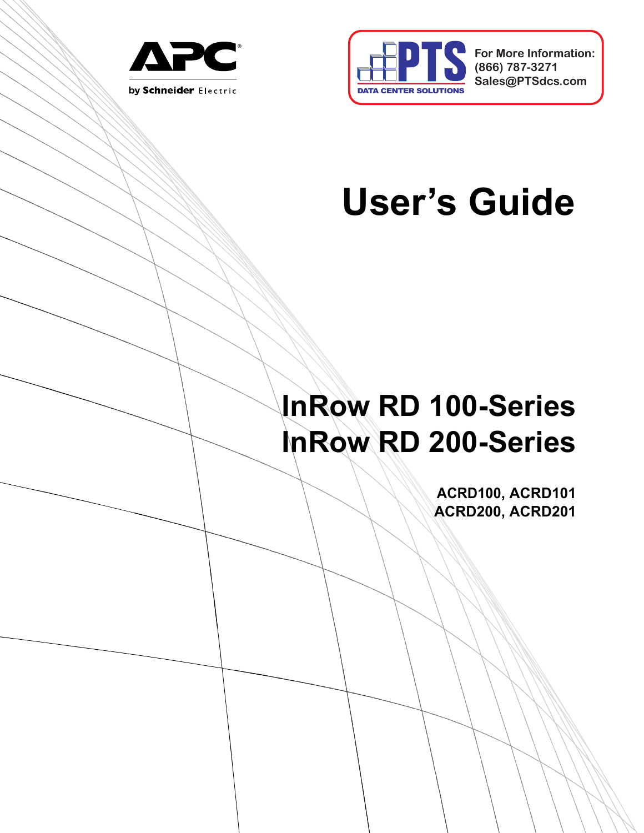



**For More Information: (866) 787-3271 Sales@PTSdcs.com**

# **User's Guide**

## **InRow RD 100-Series InRow RD 200-Series**

**ACRD100, ACRD101 ACRD200, ACRD201**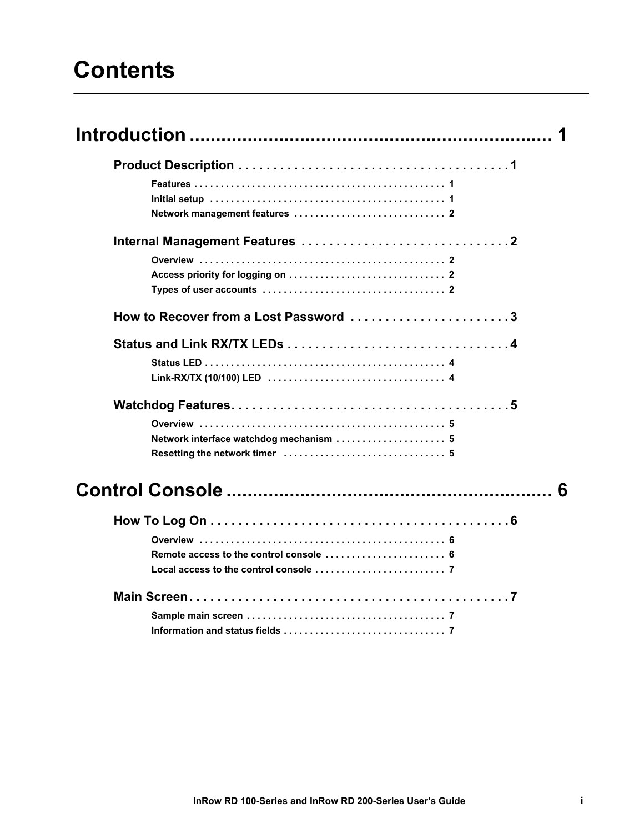### **Contents**

| How to Recover from a Lost Password 3   |   |
|-----------------------------------------|---|
|                                         |   |
|                                         |   |
|                                         |   |
|                                         |   |
| Network interface watchdog mechanism  5 |   |
|                                         |   |
|                                         | ĥ |
|                                         |   |
|                                         |   |
|                                         |   |
|                                         |   |
|                                         |   |
|                                         |   |
|                                         |   |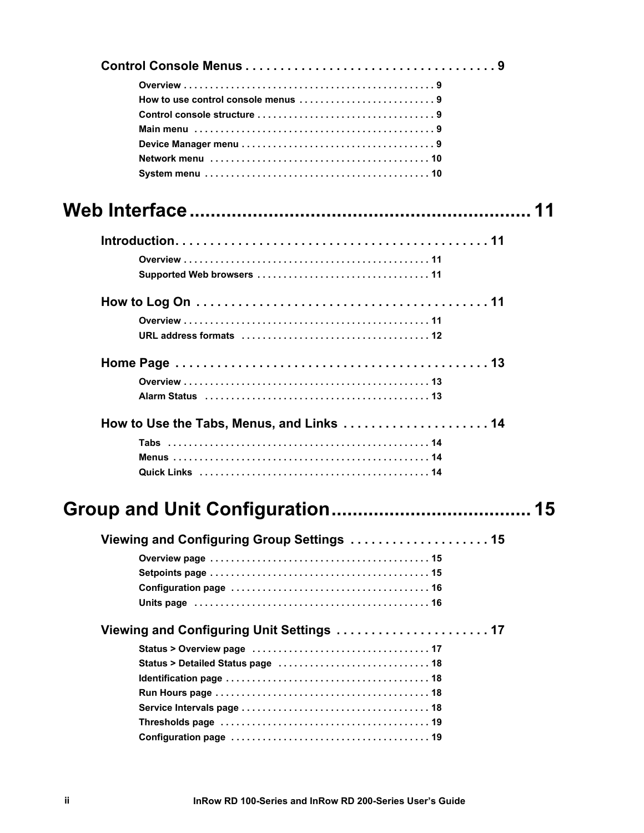| How to use control console menus 9                                                                             |    |
|----------------------------------------------------------------------------------------------------------------|----|
|                                                                                                                |    |
|                                                                                                                |    |
|                                                                                                                |    |
|                                                                                                                |    |
|                                                                                                                |    |
|                                                                                                                | 11 |
|                                                                                                                |    |
|                                                                                                                |    |
|                                                                                                                |    |
|                                                                                                                |    |
|                                                                                                                |    |
| URL address formats (a) contained a subset of the set of the set of the set of the set of the set of the set o |    |
|                                                                                                                |    |
|                                                                                                                |    |
|                                                                                                                |    |
| How to Use the Tabs, Menus, and Links  14                                                                      |    |
|                                                                                                                |    |
|                                                                                                                |    |
|                                                                                                                |    |
|                                                                                                                | 15 |
| Viewing and Configuring Group Settings  15                                                                     |    |
|                                                                                                                |    |
|                                                                                                                |    |
|                                                                                                                |    |
|                                                                                                                |    |
|                                                                                                                |    |
|                                                                                                                |    |
|                                                                                                                |    |
|                                                                                                                |    |
|                                                                                                                |    |
|                                                                                                                |    |
|                                                                                                                |    |
|                                                                                                                |    |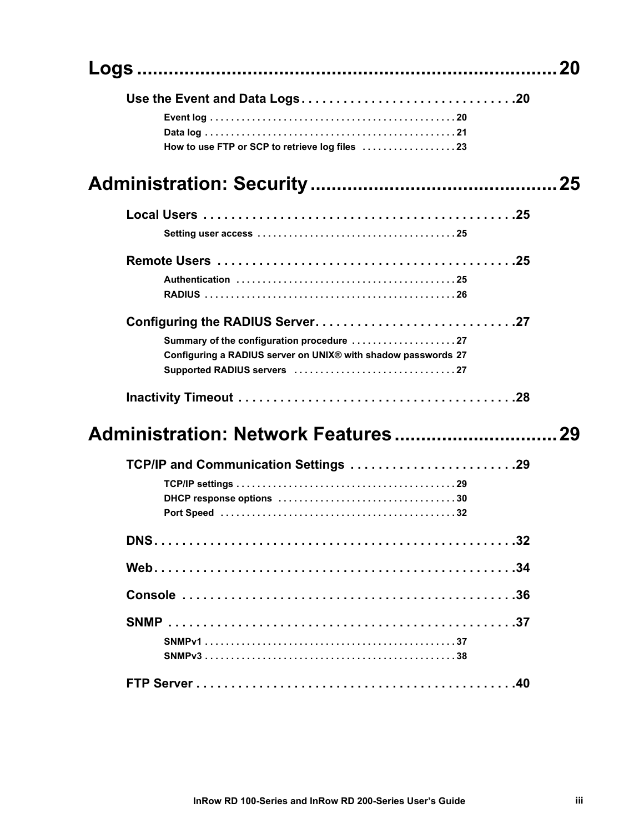|                                                                                                            | 20 |
|------------------------------------------------------------------------------------------------------------|----|
|                                                                                                            |    |
|                                                                                                            |    |
|                                                                                                            |    |
|                                                                                                            |    |
|                                                                                                            |    |
|                                                                                                            |    |
|                                                                                                            |    |
|                                                                                                            |    |
|                                                                                                            |    |
|                                                                                                            |    |
|                                                                                                            |    |
| Summary of the configuration procedure 27<br>Configuring a RADIUS server on UNIX® with shadow passwords 27 |    |
|                                                                                                            |    |
|                                                                                                            |    |
|                                                                                                            | 29 |
| TCP/IP and Communication Settings 29                                                                       |    |
|                                                                                                            |    |
|                                                                                                            |    |
|                                                                                                            |    |
|                                                                                                            |    |
|                                                                                                            |    |
|                                                                                                            |    |
|                                                                                                            |    |
|                                                                                                            |    |
|                                                                                                            |    |
|                                                                                                            |    |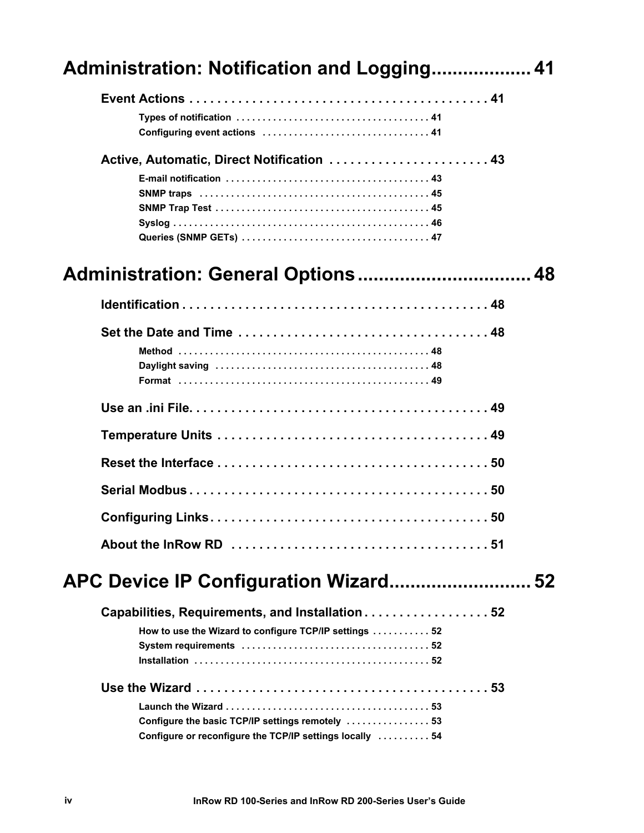| Administration: Notification and Logging 41                                                                  |  |
|--------------------------------------------------------------------------------------------------------------|--|
|                                                                                                              |  |
| Active, Automatic, Direct Notification  43                                                                   |  |
|                                                                                                              |  |
|                                                                                                              |  |
|                                                                                                              |  |
|                                                                                                              |  |
|                                                                                                              |  |
|                                                                                                              |  |
|                                                                                                              |  |
|                                                                                                              |  |
|                                                                                                              |  |
|                                                                                                              |  |
| Capabilities, Requirements, and Installation 52<br>How to use the Wizard to configure TCP/IP settings  52    |  |
| Configure the basic TCP/IP settings remotely  53<br>Configure or reconfigure the TCP/IP settings locally  54 |  |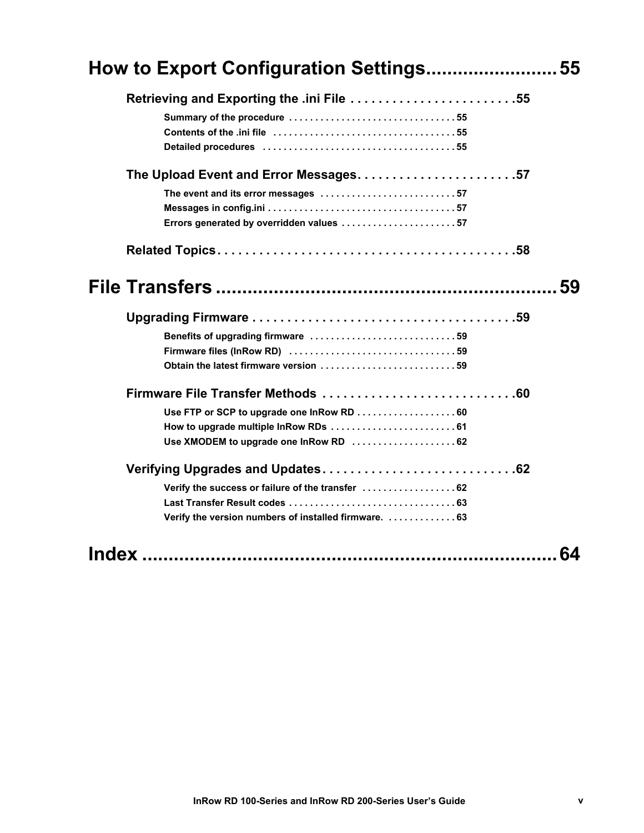| How to Export Configuration Settings55                                          |    |
|---------------------------------------------------------------------------------|----|
| Retrieving and Exporting the .ini File 55                                       |    |
| The Upload Event and Error Messages57                                           |    |
| The event and its error messages 57<br>Errors generated by overridden values 57 |    |
|                                                                                 |    |
|                                                                                 |    |
|                                                                                 |    |
| Benefits of upgrading firmware 59                                               |    |
|                                                                                 |    |
| Obtain the latest firmware version 59                                           |    |
|                                                                                 |    |
| Use FTP or SCP to upgrade one InRow RD  60                                      |    |
| How to upgrade multiple InRow RDs  61                                           |    |
| Use XMODEM to upgrade one InRow RD  62                                          |    |
|                                                                                 |    |
| Verify the success or failure of the transfer  62                               |    |
|                                                                                 |    |
| Verify the version numbers of installed firmware.  63                           |    |
|                                                                                 | 64 |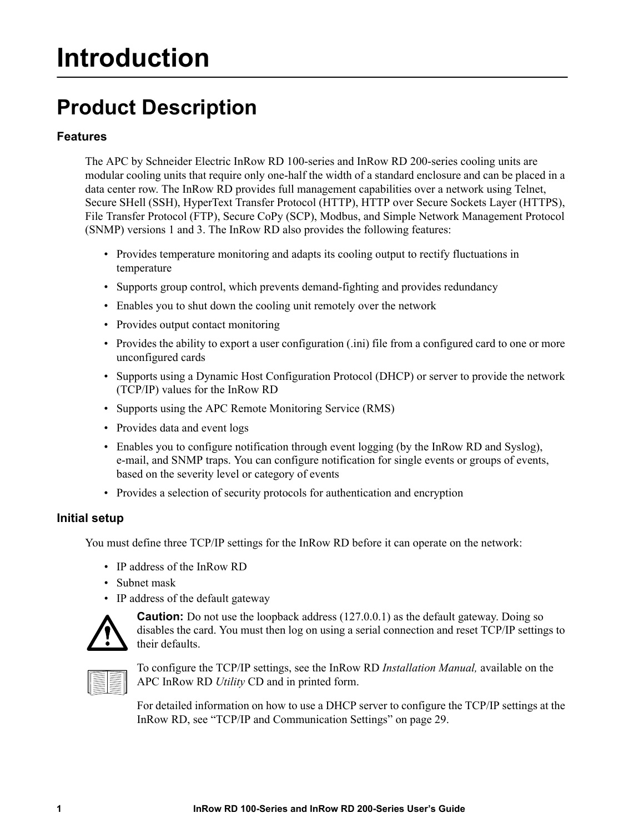## <span id="page-7-0"></span>**Introduction**

### <span id="page-7-1"></span>**Product Description**

### **Features**

The APC by Schneider Electric InRow RD 100-series and InRow RD 200-series cooling units are modular cooling units that require only one-half the width of a standard enclosure and can be placed in a data center row. The InRow RD provides full management capabilities over a network using Telnet, Secure SHell (SSH), HyperText Transfer Protocol (HTTP), HTTP over Secure Sockets Layer (HTTPS), File Transfer Protocol (FTP), Secure CoPy (SCP), Modbus, and Simple Network Management Protocol (SNMP) versions 1 and 3. The InRow RD also provides the following features:

- Provides temperature monitoring and adapts its cooling output to rectify fluctuations in temperature
- Supports group control, which prevents demand-fighting and provides redundancy
- Enables you to shut down the cooling unit remotely over the network
- Provides output contact monitoring
- Provides the ability to export a user configuration (.ini) file from a configured card to one or more unconfigured cards
- Supports using a Dynamic Host Configuration Protocol (DHCP) or server to provide the network (TCP/IP) values for the InRow RD
- Supports using the APC Remote Monitoring Service (RMS)
- Provides data and event logs
- Enables you to configure notification through event logging (by the InRow RD and Syslog), e-mail, and SNMP traps. You can configure notification for single events or groups of events, based on the severity level or category of events
- Provides a selection of security protocols for authentication and encryption

### <span id="page-7-2"></span>**Initial setup**

You must define three TCP/IP settings for the InRow RD before it can operate on the network:

- IP address of the InRow RD
- Subnet mask
- IP address of the default gateway



**Caution:** Do not use the loopback address (127.0.0.1) as the default gateway. Doing so disables the card. You must then log on using a serial connection and reset TCP/IP settings to their defaults.



To configure the TCP/IP settings, see the InRow RD *Installation Manual,* available on the APC InRow RD *Utility* CD and in printed form.

For detailed inf[ormation on how to use a DHCP server to configure](#page-35-3) the TCP/IP settings at the InRow RD, see "TCP/IP and Communication Settings" on page 29.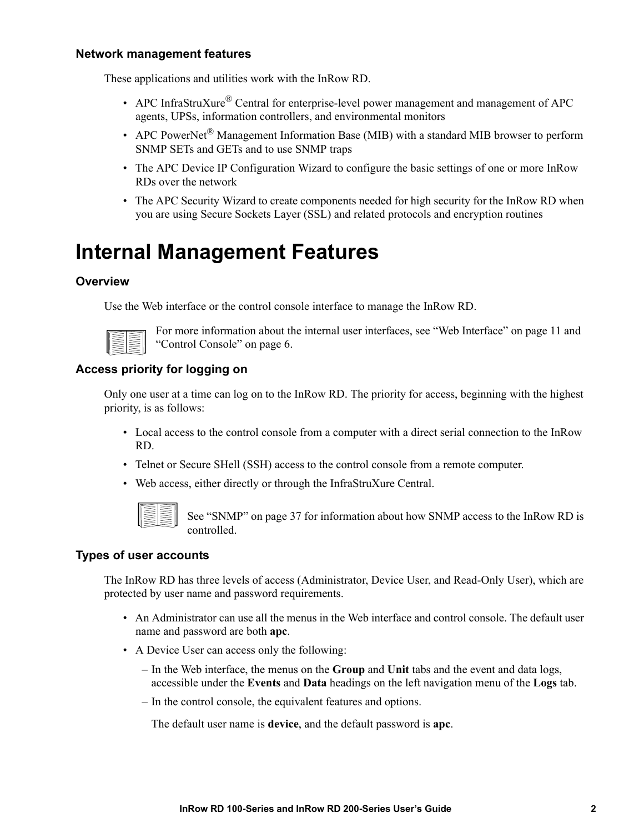### <span id="page-8-0"></span>**Network management features**

These applications and utilities work with the InRow RD.

- APC InfraStruXure<sup>®</sup> Central for enterprise-level power management and management of APC agents, UPSs, information controllers, and environmental monitors
- APC PowerNet<sup>®</sup> Management Information Base (MIB) with a standard MIB browser to perform SNMP SETs and GETs and to use SNMP traps
- The APC Device IP Configuration Wizard to configure the basic settings of one or more InRow RDs over the network
- The APC Security Wizard to create components needed for high security for the InRow RD when you are using Secure Sockets Layer (SSL) and related protocols and encryption routines

### <span id="page-8-2"></span><span id="page-8-1"></span>**Internal Management Features**

### **Overview**

Use the Web interface or the control console interface to manage the In[Row RD.](#page-17-6)



[For more information about t](#page-12-4)he internal user interfaces, see "Web Interface" on page 11 and "Control Console" on page 6.

### <span id="page-8-3"></span>**Access priority for logging on**

Only one user at a time can log on to the InRow RD. The priority for access, beginning with the highest priority, is as follows:

- Local access to the control console from a computer with a direct serial connection to the InRow RD.
- Telnet or Secure SHell (SSH) access to the control console from a remote computer.
- Web access, eit[her directly or throug](#page-43-2)h the InfraStruXure Central.



See "SNMP" on page 37 for information about how SNMP access to the InRow RD is controlled.

### <span id="page-8-5"></span><span id="page-8-4"></span>**Types of user accounts**

The InRow RD has three levels of access (Administrator, Device User, and Read-Only User), which are protected by user name and password requirements.

- An Administrator can use all the menus in the Web interface and control console. The default user name and password are both **apc**.
- A Device User can access only the following:
	- In the Web interface, the menus on the **Group** and **Unit** tabs and the event and data logs, accessible under the **Events** and **Data** headings on the left navigation menu of the **Logs** tab.
	- In the control console, the equivalent features and options.

The default user name is **device**, and the default password is **apc**.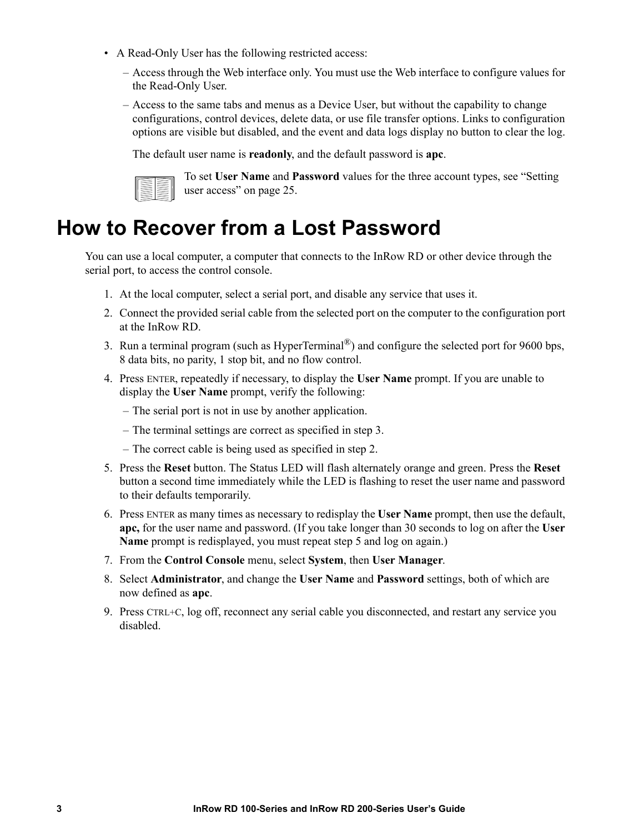- A Read-Only User has the following restricted access:
	- Access through the Web interface only. You must use the Web interface to configure values for the Read-Only User.
	- Access to the same tabs and menus as a Device User, but without the capability to change configurations, control devices, delete data, or use file transfer options. Links to configuration options are visible but disabled, and the event and data logs display no button to clear the log.

The defaul[t user name is](#page-31-5) **readonly**, and the default password is **apc**.



To set **User Name** and **Password** values for the three account types, see "Setting user access" on page 25.

### <span id="page-9-1"></span><span id="page-9-0"></span>**How to Recover from a Lost Password**

You can use a local computer, a computer that connects to the InRow RD or other device through the serial port, to access the control console.

- 1. At the local computer, select a serial port, and disable any service that uses it.
- 2. Connect the provided serial cable from the selected port on the computer to the configuration port at the InRow RD.
- 3. Run a terminal program (such as HyperTerminal®) and configure the selected port for 9600 bps, 8 data bits, no parity, 1 stop bit, and no flow control.
- 4. Press ENTER, repeatedly if necessary, to display the **User Name** prompt. If you are unable to display the **User Name** prompt, verify the following:
	- The serial port is not in use by another application.
	- The terminal settings are correct as specified in step 3.
	- The correct cable is being used as specified in step 2.
- 5. Press the **Reset** button. The Status LED will flash alternately orange and green. Press the **Reset** button a second time immediately while the LED is flashing to reset the user name and password to their defaults temporarily.
- 6. Press ENTER as many times as necessary to redisplay the **User Name** prompt, then use the default, **apc,** for the user name and password. (If you take longer than 30 seconds to log on after the **User Name** prompt is redisplayed, you must repeat step 5 and log on again.)
- 7. From the **Control Console** menu, select **System**, then **User Manager**.
- 8. Select **Administrator**, and change the **User Name** and **Password** settings, both of which are now defined as **apc**.
- 9. Press CTRL+C, log off, reconnect any serial cable you disconnected, and restart any service you disabled.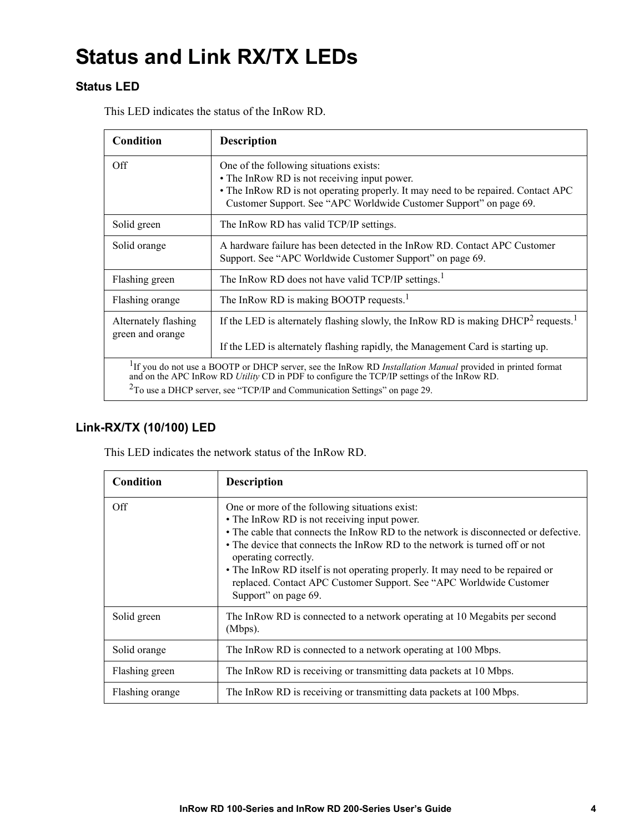### <span id="page-10-1"></span><span id="page-10-0"></span>**Status and Link RX/TX LEDs**

### **Status LED**

This LED indicates the status of the InRow RD.

| Condition                                                                                                                                                                                                                                                                                                     | <b>Description</b>                                                                                                                                                                                                                                 |
|---------------------------------------------------------------------------------------------------------------------------------------------------------------------------------------------------------------------------------------------------------------------------------------------------------------|----------------------------------------------------------------------------------------------------------------------------------------------------------------------------------------------------------------------------------------------------|
| Off                                                                                                                                                                                                                                                                                                           | One of the following situations exists:<br>• The InRow RD is not receiving input power.<br>• The InRow RD is not operating properly. It may need to be repaired. Contact APC<br>Customer Support. See "APC Worldwide Customer Support" on page 69. |
| Solid green                                                                                                                                                                                                                                                                                                   | The InRow RD has valid TCP/IP settings.                                                                                                                                                                                                            |
| Solid orange                                                                                                                                                                                                                                                                                                  | A hardware failure has been detected in the InRow RD. Contact APC Customer<br>Support. See "APC Worldwide Customer Support" on page 69.                                                                                                            |
| Flashing green                                                                                                                                                                                                                                                                                                | The InRow RD does not have valid TCP/IP settings. <sup>1</sup>                                                                                                                                                                                     |
| Flashing orange                                                                                                                                                                                                                                                                                               | The InRow RD is making BOOTP requests. <sup>1</sup>                                                                                                                                                                                                |
| Alternately flashing<br>green and orange                                                                                                                                                                                                                                                                      | If the LED is alternately flashing slowly, the InRow RD is making $DHCP2$ requests. <sup>1</sup>                                                                                                                                                   |
|                                                                                                                                                                                                                                                                                                               | If the LED is alternately flashing rapidly, the Management Card is starting up.                                                                                                                                                                    |
| <sup>1</sup> If you do not use a BOOTP or DHCP server, see the InRow RD <i>Installation Manual</i> provided in printed format<br>and on the APC InRow RD Utility CD in PDF to configure the TCP/IP settings of the InRow RD.<br>$2$ To use a DHCP server, see "TCP/IP and Communication Settings" on page 29. |                                                                                                                                                                                                                                                    |

### <span id="page-10-2"></span>**Link-RX/TX (10/100) LED**

This LED indicates the network status of the InRow RD.

| Condition       | <b>Description</b>                                                                                                                                                                                                                                                                                                                                                                                                                                                            |
|-----------------|-------------------------------------------------------------------------------------------------------------------------------------------------------------------------------------------------------------------------------------------------------------------------------------------------------------------------------------------------------------------------------------------------------------------------------------------------------------------------------|
| Off             | One or more of the following situations exist:<br>• The InRow RD is not receiving input power.<br>• The cable that connects the InRow RD to the network is disconnected or defective.<br>• The device that connects the InRow RD to the network is turned off or not<br>operating correctly.<br>• The InRow RD itself is not operating properly. It may need to be repaired or<br>replaced. Contact APC Customer Support. See "APC Worldwide Customer<br>Support" on page 69. |
| Solid green     | The InRow RD is connected to a network operating at 10 Megabits per second<br>(Mbps).                                                                                                                                                                                                                                                                                                                                                                                         |
| Solid orange    | The InRow RD is connected to a network operating at 100 Mbps.                                                                                                                                                                                                                                                                                                                                                                                                                 |
| Flashing green  | The InRow RD is receiving or transmitting data packets at 10 Mbps.                                                                                                                                                                                                                                                                                                                                                                                                            |
| Flashing orange | The InRow RD is receiving or transmitting data packets at 100 Mbps.                                                                                                                                                                                                                                                                                                                                                                                                           |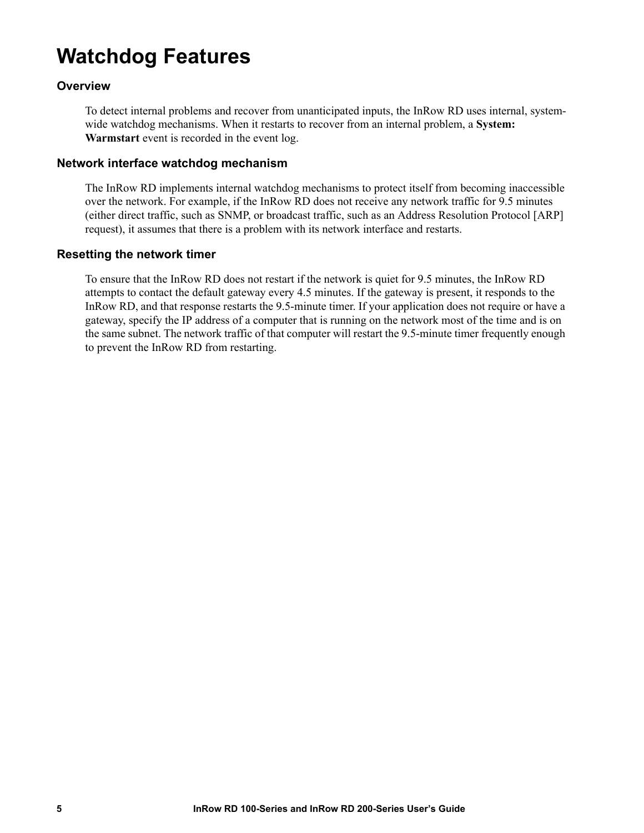### <span id="page-11-0"></span>**Watchdog Features**

### <span id="page-11-1"></span>**Overview**

To detect internal problems and recover from unanticipated inputs, the InRow RD uses internal, systemwide watchdog mechanisms. When it restarts to recover from an internal problem, a **System: Warmstart** event is recorded in the event log.

#### <span id="page-11-2"></span>**Network interface watchdog mechanism**

The InRow RD implements internal watchdog mechanisms to protect itself from becoming inaccessible over the network. For example, if the InRow RD does not receive any network traffic for 9.5 minutes (either direct traffic, such as SNMP, or broadcast traffic, such as an Address Resolution Protocol [ARP] request), it assumes that there is a problem with its network interface and restarts.

### <span id="page-11-3"></span>**Resetting the network timer**

To ensure that the InRow RD does not restart if the network is quiet for 9.5 minutes, the InRow RD attempts to contact the default gateway every 4.5 minutes. If the gateway is present, it responds to the InRow RD, and that response restarts the 9.5-minute timer. If your application does not require or have a gateway, specify the IP address of a computer that is running on the network most of the time and is on the same subnet. The network traffic of that computer will restart the 9.5-minute timer frequently enough to prevent the InRow RD from restarting.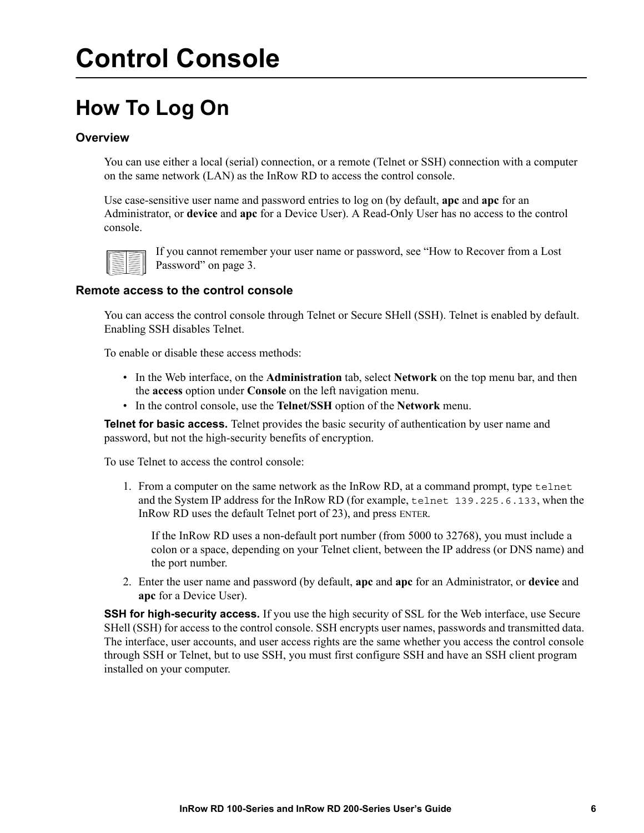## <span id="page-12-4"></span><span id="page-12-1"></span><span id="page-12-0"></span>**Control Console**

### <span id="page-12-2"></span>**How To Log On**

### **Overview**

You can use either a local (serial) connection, or a remote (Telnet or SSH) connection with a computer on the same network (LAN) as the InRow RD to access the control console.

Use case-sensitive user name and password entries to log on (by default, **apc** and **apc** for an Administrator, or **device** and **apc** for a Device User). A Read-Only User has no access to the control console.



[If you cannot rememb](#page-9-1)er your user name or password, see "How to Recover from a Lost Password" on page 3.

### <span id="page-12-3"></span>**Remote access to the control console**

You can access the control console through Telnet or Secure SHell (SSH). Telnet is enabled by default. Enabling SSH disables Telnet.

To enable or disable these access methods:

- In the Web interface, on the **Administration** tab, select **Network** on the top menu bar, and then the **access** option under **Console** on the left navigation menu.
- In the control console, use the **Telnet/SSH** option of the **Network** menu.

**Telnet for basic access.** Telnet provides the basic security of authentication by user name and password, but not the high-security benefits of encryption.

To use Telnet to access the control console:

1. From a computer on the same network as the InRow RD, at a command prompt, type telnet and the System IP address for the InRow RD (for example, telnet 139.225.6.133, when the InRow RD uses the default Telnet port of 23), and press ENTER.

If the InRow RD uses a non-default port number (from 5000 to 32768), you must include a colon or a space, depending on your Telnet client, between the IP address (or DNS name) and the port number.

2. Enter the user name and password (by default, **apc** and **apc** for an Administrator, or **device** and **apc** for a Device User).

**SSH for high-security access.** If you use the high security of SSL for the Web interface, use Secure SHell (SSH) for access to the control console. SSH encrypts user names, passwords and transmitted data. The interface, user accounts, and user access rights are the same whether you access the control console through SSH or Telnet, but to use SSH, you must first configure SSH and have an SSH client program installed on your computer.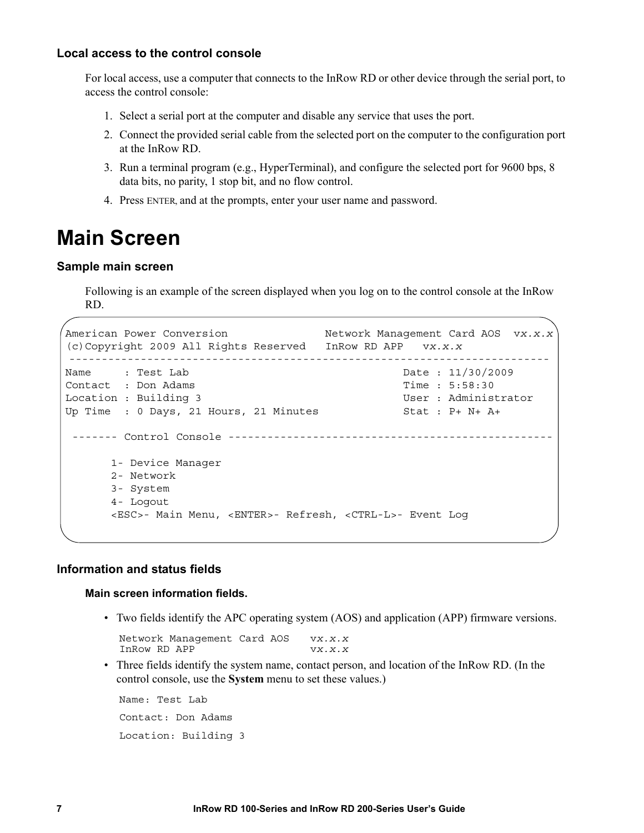#### <span id="page-13-0"></span>**Local access to the control console**

For local access, use a computer that connects to the InRow RD or other device through the serial port, to access the control console:

- 1. Select a serial port at the computer and disable any service that uses the port.
- 2. Connect the provided serial cable from the selected port on the computer to the configuration port at the InRow RD.
- 3. Run a terminal program (e.g., HyperTerminal), and configure the selected port for 9600 bps, 8 data bits, no parity, 1 stop bit, and no flow control.
- 4. Press ENTER, and at the prompts, enter your user name and password.

### <span id="page-13-1"></span>**Main Screen**

#### <span id="page-13-2"></span>**Sample main screen**

Following is an example of the screen displayed when you log on to the control console at the InRow RD.

```
American Power Conversion Network Management Card AOS vx.x.x
 (c)Copyright 2009 All Rights Reserved InRow RD APP vx.x.x
--------------------------------------------------------------------------
Name : Test Lab 2009 . Date : 11/30/2009
 Contact : Don Adams Time : 5:58:30
Location : Building 3 and User : Administrator
Up Time : 0 Days, 21 Hours, 21 Minutes Stat : P+ N+ A+
 ------- Control Console --------------------------------------------------
      1- Device Manager
      2- Network
      3- System
      4- Logout
       <ESC>- Main Menu, <ENTER>- Refresh, <CTRL-L>- Event Log
```
### <span id="page-13-3"></span>**Information and status fields**

#### **Main screen information fields.**

• Two fields identify the APC operating system (AOS) and application (APP) firmware versions.

Network Management Card AOS v*x.x.x* InRow RD APP v*x.x.x*

• Three fields identify the system name, contact person, and location of the InRow RD. (In the control console, use the **System** menu to set these values.)

Name: Test Lab Contact: Don Adams Location: Building 3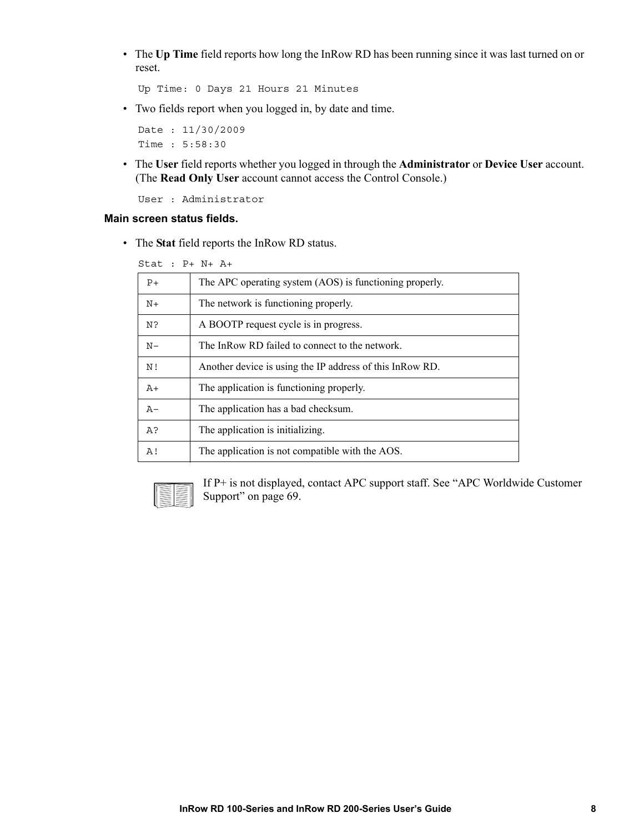• The **Up Time** field reports how long the InRow RD has been running since it was last turned on or reset.

```
Up Time: 0 Days 21 Hours 21 Minutes
```
• Two fields report when you logged in, by date and time.

Date : 11/30/2009 Time : 5:58:30

• The **User** field reports whether you logged in through the **Administrator** or **Device User** account. (The **Read Only User** account cannot access the Control Console.)

User : Administrator

#### **Main screen status fields.**

• The **Stat** field reports the InRow RD status.

Stat : P+ N+ A+

| $P+$  | The APC operating system (AOS) is functioning properly.  |
|-------|----------------------------------------------------------|
| $N+$  | The network is functioning properly.                     |
| N?    | A BOOTP request cycle is in progress.                    |
| $N -$ | The InRow RD failed to connect to the network.           |
| N!    | Another device is using the IP address of this InRow RD. |
| $A+$  | The application is functioning properly.                 |
| $A -$ | The application has a bad checksum.                      |
| A?    | The application is initializing.                         |
| A!    | The application is not compatible with the AOS.          |
|       |                                                          |



[If P+ is not displayed](#page-75-0), contact APC support staff. See "APC Worldwide Customer Support" on page 69.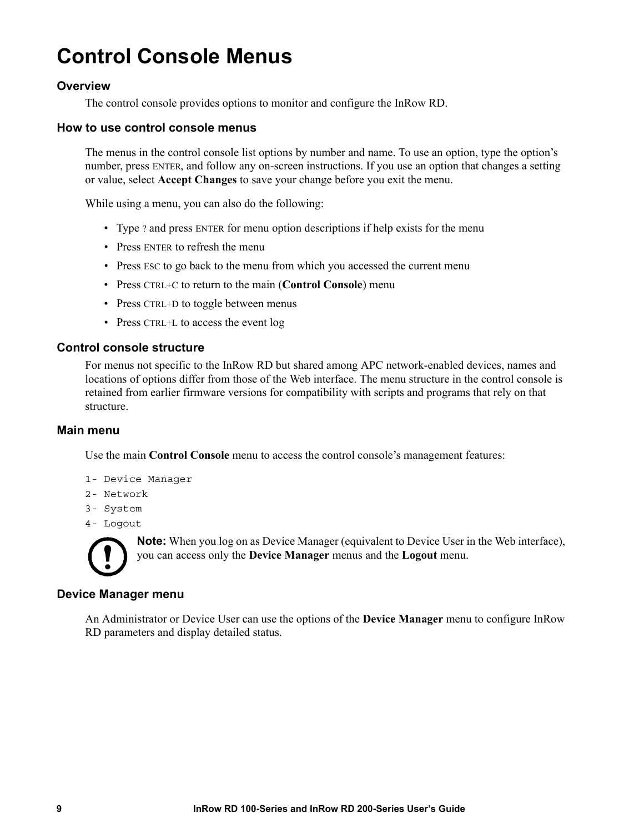### **Control Console Menus**

### <span id="page-15-0"></span>**Overview**

The control console provides options to monitor and configure the InRow RD.

#### <span id="page-15-1"></span>**How to use control console menus**

The menus in the control console list options by number and name. To use an option, type the option's number, press ENTER, and follow any on-screen instructions. If you use an option that changes a setting or value, select **Accept Changes** to save your change before you exit the menu.

While using a menu, you can also do the following:

- Type ? and press ENTER for menu option descriptions if help exists for the menu
- Press ENTER to refresh the menu
- Press ESC to go back to the menu from which you accessed the current menu
- Press CTRL+C to return to the main (**Control Console**) menu
- Press CTRL+D to toggle between menus
- Press CTRL+L to access the event log

#### <span id="page-15-2"></span>**Control console structure**

For menus not specific to the InRow RD but shared among APC network-enabled devices, names and locations of options differ from those of the Web interface. The menu structure in the control console is retained from earlier firmware versions for compatibility with scripts and programs that rely on that structure.

#### <span id="page-15-3"></span>**Main menu**

Use the main **Control Console** menu to access the control console's management features:

- 1- Device Manager
- 2- Network
- 3- System
- 4- Logout



**Note:** When you log on as Device Manager (equivalent to Device User in the Web interface), you can access only the **Device Manager** menus and the **Logout** menu.

#### <span id="page-15-4"></span>**Device Manager menu**

An Administrator or Device User can use the options of the **Device Manager** menu to configure InRow RD parameters and display detailed status.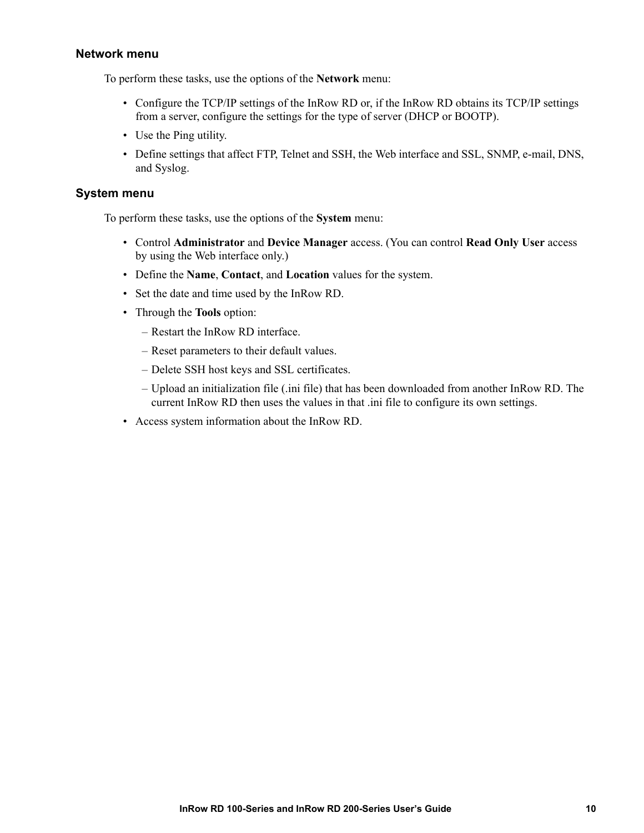### <span id="page-16-0"></span>**Network menu**

To perform these tasks, use the options of the **Network** menu:

- Configure the TCP/IP settings of the InRow RD or, if the InRow RD obtains its TCP/IP settings from a server, configure the settings for the type of server (DHCP or BOOTP).
- Use the Ping utility.
- Define settings that affect FTP, Telnet and SSH, the Web interface and SSL, SNMP, e-mail, DNS, and Syslog.

### <span id="page-16-1"></span>**System menu**

To perform these tasks, use the options of the **System** menu:

- Control **Administrator** and **Device Manager** access. (You can control **Read Only User** access by using the Web interface only.)
- Define the **Name**, **Contact**, and **Location** values for the system.
- Set the date and time used by the InRow RD.
- Through the **Tools** option:
	- Restart the InRow RD interface.
	- Reset parameters to their default values.
	- Delete SSH host keys and SSL certificates.
	- Upload an initialization file (.ini file) that has been downloaded from another InRow RD. The current InRow RD then uses the values in that .ini file to configure its own settings.
- Access system information about the InRow RD.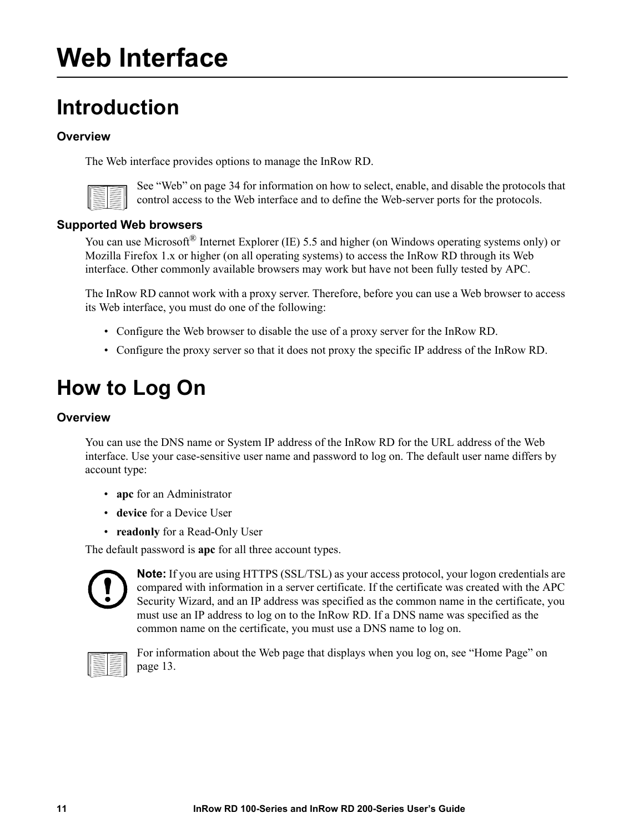## <span id="page-17-6"></span><span id="page-17-1"></span><span id="page-17-0"></span>**Web Interface**

### <span id="page-17-2"></span>**Introduction**

### **Overview**

The Web interf[ace provides option](#page-40-1)s to manage the InRow RD.



See "Web" on page 34 for information on how to select, enable, and disable the protocols that control access to the Web interface and to define the Web-server ports for the protocols.

### <span id="page-17-3"></span>**Supported Web browsers**

You can use Microsoft<sup>®</sup> Internet Explorer (IE) 5.5 and higher (on Windows operating systems only) or Mozilla Firefox 1.x or higher (on all operating systems) to access the InRow RD through its Web interface. Other commonly available browsers may work but have not been fully tested by APC.

The InRow RD cannot work with a proxy server. Therefore, before you can use a Web browser to access its Web interface, you must do one of the following:

- Configure the Web browser to disable the use of a proxy server for the InRow RD.
- Configure the proxy server so that it does not proxy the specific IP address of the InRow RD.

### <span id="page-17-5"></span><span id="page-17-4"></span>**How to Log On**

### **Overview**

You can use the DNS name or System IP address of the InRow RD for the URL address of the Web interface. Use your case-sensitive user name and password to log on. The default user name differs by account type:

- **apc** for an Administrator
- **device** for a Device User
- **readonly** for a Read-Only User

The default password is **apc** for all three account types.



**Note:** If you are using HTTPS (SSL/TSL) as your access protocol, your logon credentials are compared with information in a server certificate. If the certificate was created with the APC Security Wizard, and an IP address was specified as the common name in the certificate, you must use an IP address to log on to the InRow RD. If a DNS name was specified as the common name on the certificate, you must use a DNS name to log on.



[For info](#page-19-0)rmation about the Web page that displays when you log on, see "Home Page" on page 13.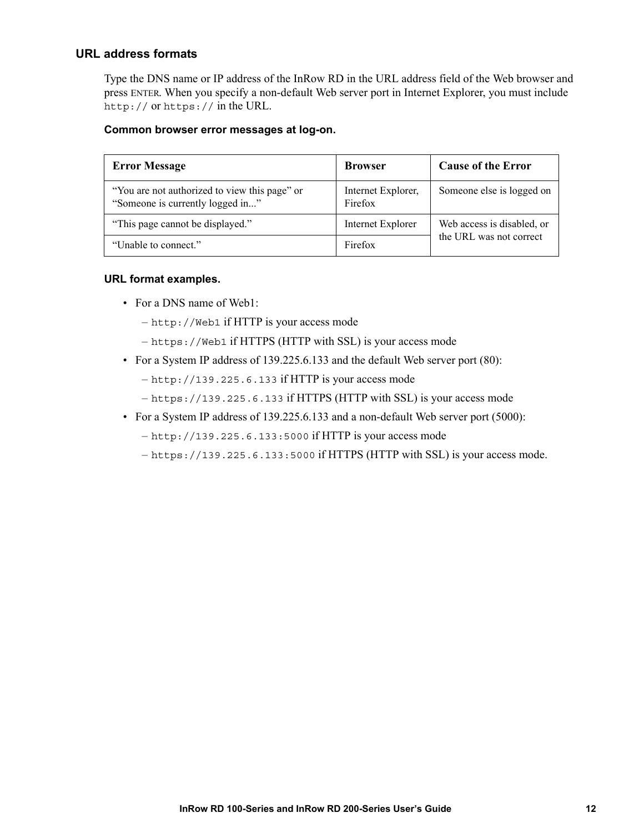### <span id="page-18-0"></span>**URL address formats**

Type the DNS name or IP address of the InRow RD in the URL address field of the Web browser and press ENTER. When you specify a non-default Web server port in Internet Explorer, you must include http:// or https:// in the URL.

#### **Common browser error messages at log-on.**

| <b>Error Message</b>                                                              | <b>Browser</b>                | <b>Cause of the Error</b>  |
|-----------------------------------------------------------------------------------|-------------------------------|----------------------------|
| "You are not authorized to view this page" or<br>"Someone is currently logged in" | Internet Explorer,<br>Firefox | Someone else is logged on  |
| "This page cannot be displayed."                                                  | Internet Explorer             | Web access is disabled, or |
| "Unable to connect."                                                              | Firefox                       | the URL was not correct    |

#### **URL format examples.**

- For a DNS name of Web1:
	- http://Web1 if HTTP is your access mode
	- https://Web1 if HTTPS (HTTP with SSL) is your access mode
- For a System IP address of 139.225.6.133 and the default Web server port (80):
	- http://139.225.6.133 if HTTP is your access mode
	- https://139.225.6.133 if HTTPS (HTTP with SSL) is your access mode
- For a System IP address of 139.225.6.133 and a non-default Web server port (5000):
	- http://139.225.6.133:5000 if HTTP is your access mode

– https://139.225.6.133:5000 if HTTPS (HTTP with SSL) is your access mode.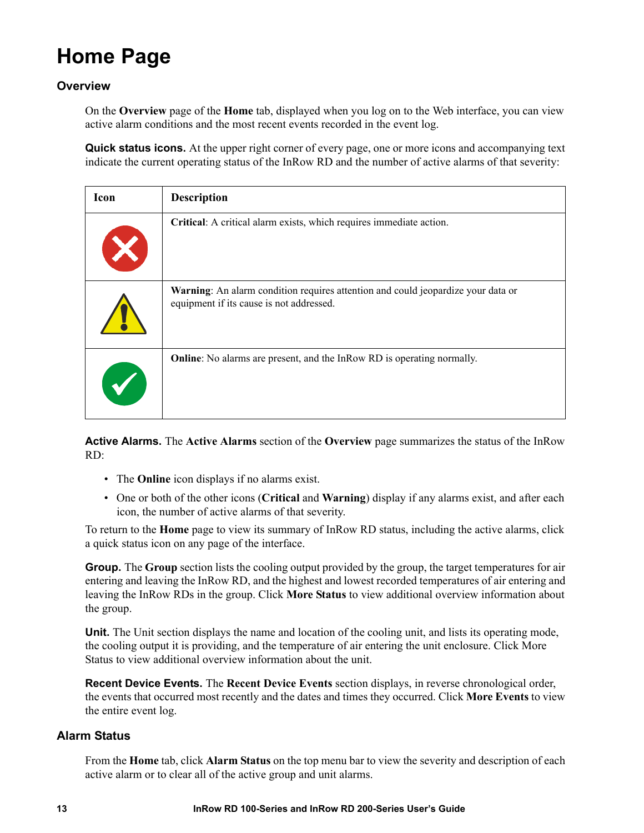### <span id="page-19-0"></span>**Home Page**

### <span id="page-19-1"></span>**Overview**

On the **Overview** page of the **Home** tab, displayed when you log on to the Web interface, you can view active alarm conditions and the most recent events recorded in the event log.

**Quick status icons.** At the upper right corner of every page, one or more icons and accompanying text indicate the current operating status of the InRow RD and the number of active alarms of that severity:

| Icon | <b>Description</b>                                                                                                           |
|------|------------------------------------------------------------------------------------------------------------------------------|
|      | Critical: A critical alarm exists, which requires immediate action.                                                          |
|      | Warning: An alarm condition requires attention and could jeopardize your data or<br>equipment if its cause is not addressed. |
|      | <b>Online</b> : No alarms are present, and the InRow RD is operating normally.                                               |

**Active Alarms.** The **Active Alarms** section of the **Overview** page summarizes the status of the InRow RD:

- The **Online** icon displays if no alarms exist.
- One or both of the other icons (**Critical** and **Warning**) display if any alarms exist, and after each icon, the number of active alarms of that severity.

To return to the **Home** page to view its summary of InRow RD status, including the active alarms, click a quick status icon on any page of the interface.

**Group.** The **Group** section lists the cooling output provided by the group, the target temperatures for air entering and leaving the InRow RD, and the highest and lowest recorded temperatures of air entering and leaving the InRow RDs in the group. Click **More Status** to view additional overview information about the group.

**Unit.** The Unit section displays the name and location of the cooling unit, and lists its operating mode, the cooling output it is providing, and the temperature of air entering the unit enclosure. Click More Status to view additional overview information about the unit.

**Recent Device Events.** The **Recent Device Events** section displays, in reverse chronological order, the events that occurred most recently and the dates and times they occurred. Click **More Events** to view the entire event log.

### <span id="page-19-2"></span>**Alarm Status**

From the **Home** tab, click **Alarm Status** on the top menu bar to view the severity and description of each active alarm or to clear all of the active group and unit alarms.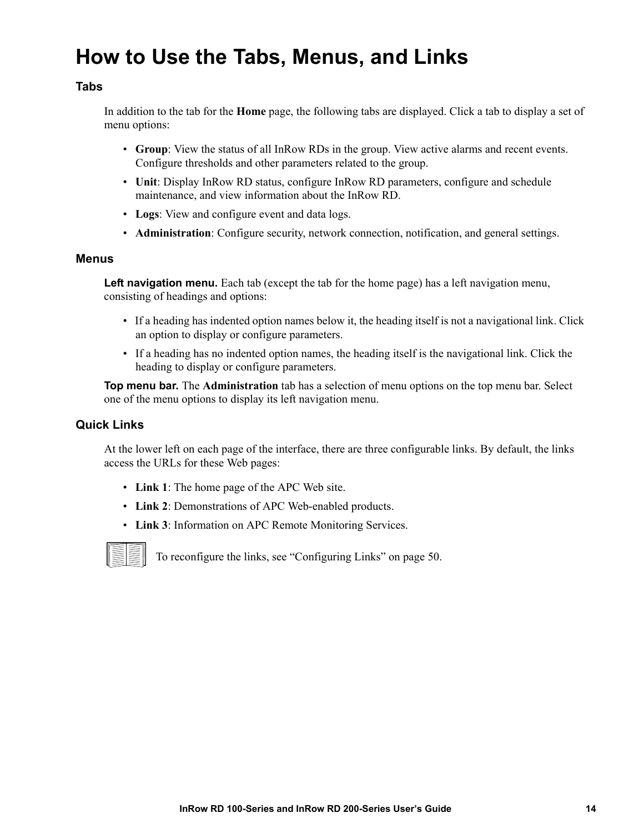### <span id="page-20-1"></span><span id="page-20-0"></span>**How to Use the Tabs, Menus, and Links**

### **Tabs**

In addition to the tab for the **Home** page, the following tabs are displayed. Click a tab to display a set of menu options:

- **Group**: View the status of all InRow RDs in the group. View active alarms and recent events. Configure thresholds and other parameters related to the group.
- **Unit**: Display InRow RD status, configure InRow RD parameters, configure and schedule maintenance, and view information about the InRow RD.
- **Logs**: View and configure event and data logs.
- **Administration**: Configure security, network connection, notification, and general settings.

#### <span id="page-20-2"></span>**Menus**

**Left navigation menu.** Each tab (except the tab for the home page) has a left navigation menu, consisting of headings and options:

- If a heading has indented option names below it, the heading itself is not a navigational link. Click an option to display or configure parameters.
- If a heading has no indented option names, the heading itself is the navigational link. Click the heading to display or configure parameters.

**Top menu bar.** The **Administration** tab has a selection of menu options on the top menu bar. Select one of the menu options to display its left navigation menu.

### <span id="page-20-3"></span>**Quick Links**

At the lower left on each page of the interface, there are three configurable links. By default, the links access the URLs for these Web pages:

- **Link 1**: The home page of the APC Web site.
- **Link 2**: Demonstrations of APC Web-enabled products.
- **Link 3**: Information on APC Re[mote Monitoring Services.](#page-56-3)



To reconfigure the links, see "Configuring Links" on page 50.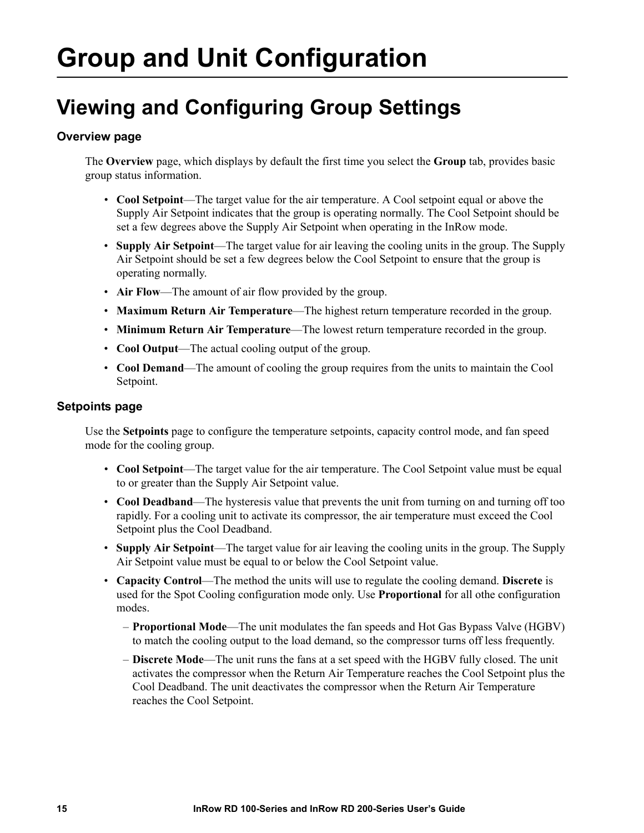## <span id="page-21-0"></span>**Group and Unit Configuration**

### <span id="page-21-1"></span>**Viewing and Configuring Group Settings**

### <span id="page-21-2"></span>**Overview page**

The **Overview** page, which displays by default the first time you select the **Group** tab, provides basic group status information.

- **Cool Setpoint**—The target value for the air temperature. A Cool setpoint equal or above the Supply Air Setpoint indicates that the group is operating normally. The Cool Setpoint should be set a few degrees above the Supply Air Setpoint when operating in the InRow mode.
- **Supply Air Setpoint**—The target value for air leaving the cooling units in the group. The Supply Air Setpoint should be set a few degrees below the Cool Setpoint to ensure that the group is operating normally.
- **Air Flow**—The amount of air flow provided by the group.
- **Maximum Return Air Temperature**—The highest return temperature recorded in the group.
- **Minimum Return Air Temperature**—The lowest return temperature recorded in the group.
- **Cool Output**—The actual cooling output of the group.
- **Cool Demand**—The amount of cooling the group requires from the units to maintain the Cool Setpoint.

### <span id="page-21-3"></span>**Setpoints page**

Use the **Setpoints** page to configure the temperature setpoints, capacity control mode, and fan speed mode for the cooling group.

- **Cool Setpoint**—The target value for the air temperature. The Cool Setpoint value must be equal to or greater than the Supply Air Setpoint value.
- **Cool Deadband**—The hysteresis value that prevents the unit from turning on and turning off too rapidly. For a cooling unit to activate its compressor, the air temperature must exceed the Cool Setpoint plus the Cool Deadband.
- **Supply Air Setpoint**—The target value for air leaving the cooling units in the group. The Supply Air Setpoint value must be equal to or below the Cool Setpoint value.
- **Capacity Control**—The method the units will use to regulate the cooling demand. **Discrete** is used for the Spot Cooling configuration mode only. Use **Proportional** for all othe configuration modes.
	- **Proportional Mode**—The unit modulates the fan speeds and Hot Gas Bypass Valve (HGBV) to match the cooling output to the load demand, so the compressor turns off less frequently.
	- **Discrete Mode**—The unit runs the fans at a set speed with the HGBV fully closed. The unit activates the compressor when the Return Air Temperature reaches the Cool Setpoint plus the Cool Deadband. The unit deactivates the compressor when the Return Air Temperature reaches the Cool Setpoint.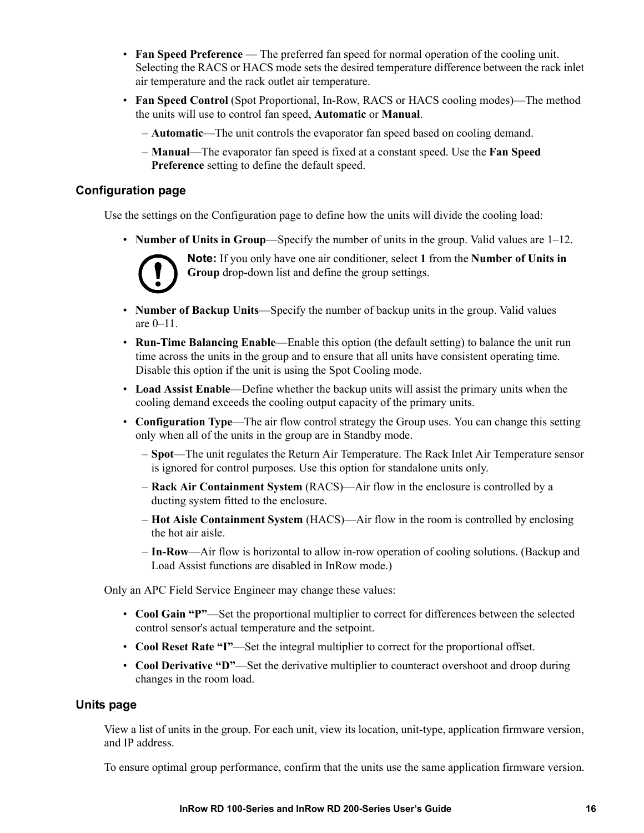- **Fan Speed Preference** The preferred fan speed for normal operation of the cooling unit. Selecting the RACS or HACS mode sets the desired temperature difference between the rack inlet air temperature and the rack outlet air temperature.
- **Fan Speed Control** (Spot Proportional, In-Row, RACS or HACS cooling modes)—The method the units will use to control fan speed, **Automatic** or **Manual**.

– **Automatic**—The unit controls the evaporator fan speed based on cooling demand.

– **Manual**—The evaporator fan speed is fixed at a constant speed. Use the **Fan Speed Preference** setting to define the default speed.

### <span id="page-22-0"></span>**Configuration page**

Use the settings on the Configuration page to define how the units will divide the cooling load:

• **Number of Units in Group**—Specify the number of units in the group. Valid values are 1–12.



**Note:** If you only have one air conditioner, select **1** from the **Number of Units in Group** drop-down list and define the group settings.

- **Number of Backup Units**—Specify the number of backup units in the group. Valid values are 0–11.
- **Run-Time Balancing Enable—Enable this option (the default setting) to balance the unit run** time across the units in the group and to ensure that all units have consistent operating time. Disable this option if the unit is using the Spot Cooling mode.
- **Load Assist Enable**—Define whether the backup units will assist the primary units when the cooling demand exceeds the cooling output capacity of the primary units.
- **Configuration Type**—The air flow control strategy the Group uses. You can change this setting only when all of the units in the group are in Standby mode.
	- **Spot**—The unit regulates the Return Air Temperature. The Rack Inlet Air Temperature sensor is ignored for control purposes. Use this option for standalone units only.
	- **Rack Air Containment System** (RACS)—Air flow in the enclosure is controlled by a ducting system fitted to the enclosure.
	- **Hot Aisle Containment System** (HACS)—Air flow in the room is controlled by enclosing the hot air aisle.
	- **In-Row**—Air flow is horizontal to allow in-row operation of cooling solutions. (Backup and Load Assist functions are disabled in InRow mode.)

Only an APC Field Service Engineer may change these values:

- **Cool Gain "P"**—Set the proportional multiplier to correct for differences between the selected control sensor's actual temperature and the setpoint.
- **Cool Reset Rate "I"**—Set the integral multiplier to correct for the proportional offset.
- **Cool Derivative "D"**—Set the derivative multiplier to counteract overshoot and droop during changes in the room load.

#### <span id="page-22-1"></span>**Units page**

View a list of units in the group. For each unit, view its location, unit-type, application firmware version, and IP address.

To ensure optimal group performance, confirm that the units use the same application firmware version.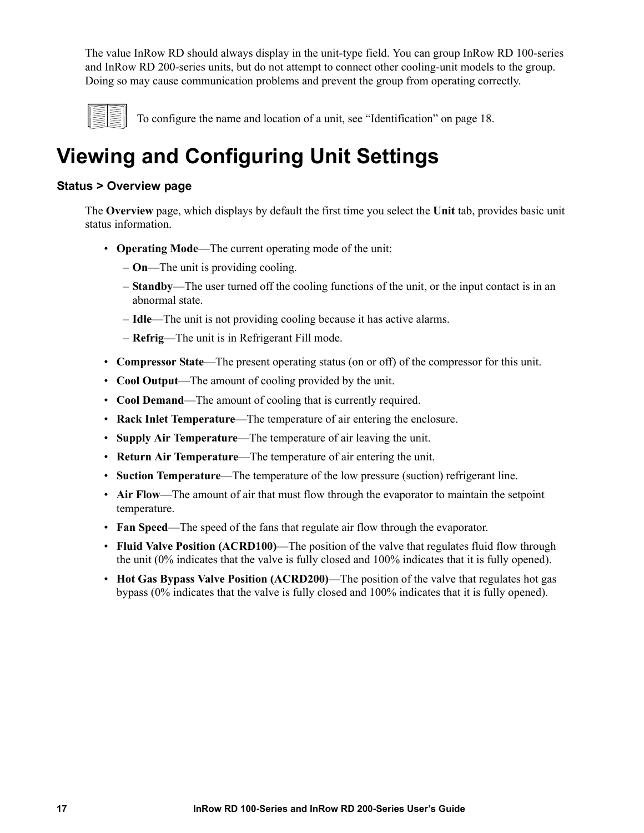The value InRow RD should always display in the unit-type field. You can group InRow RD 100-series and InRow RD 200-series units, but do not attempt to connect other cooling-unit models to the group. Doing so may cause communication problems and prevent the group from operating correctly.



To configure the name and location of a unit, see "Identification" on page 18.

### <span id="page-23-1"></span><span id="page-23-0"></span>**Viewing and Configuring Unit Settings**

### **Status > Overview page**

The **Overview** page, which displays by default the first time you select the **Unit** tab, provides basic unit status information.

- **Operating Mode**—The current operating mode of the unit:
	- **On**—The unit is providing cooling.
	- **Standby**—The user turned off the cooling functions of the unit, or the input contact is in an abnormal state.
	- **Idle**—The unit is not providing cooling because it has active alarms.
	- **Refrig**—The unit is in Refrigerant Fill mode.
- **Compressor State**—The present operating status (on or off) of the compressor for this unit.
- **Cool Output**—The amount of cooling provided by the unit.
- **Cool Demand**—The amount of cooling that is currently required.
- **Rack Inlet Temperature**—The temperature of air entering the enclosure.
- **Supply Air Temperature**—The temperature of air leaving the unit.
- **Return Air Temperature**—The temperature of air entering the unit.
- **Suction Temperature**—The temperature of the low pressure (suction) refrigerant line.
- **Air Flow**—The amount of air that must flow through the evaporator to maintain the setpoint temperature.
- **Fan Speed**—The speed of the fans that regulate air flow through the evaporator.
- **Fluid Valve Position (ACRD100)**—The position of the valve that regulates fluid flow through the unit (0% indicates that the valve is fully closed and 100% indicates that it is fully opened).
- **Hot Gas Bypass Valve Position (ACRD200)**—The position of the valve that regulates hot gas bypass (0% indicates that the valve is fully closed and 100% indicates that it is fully opened).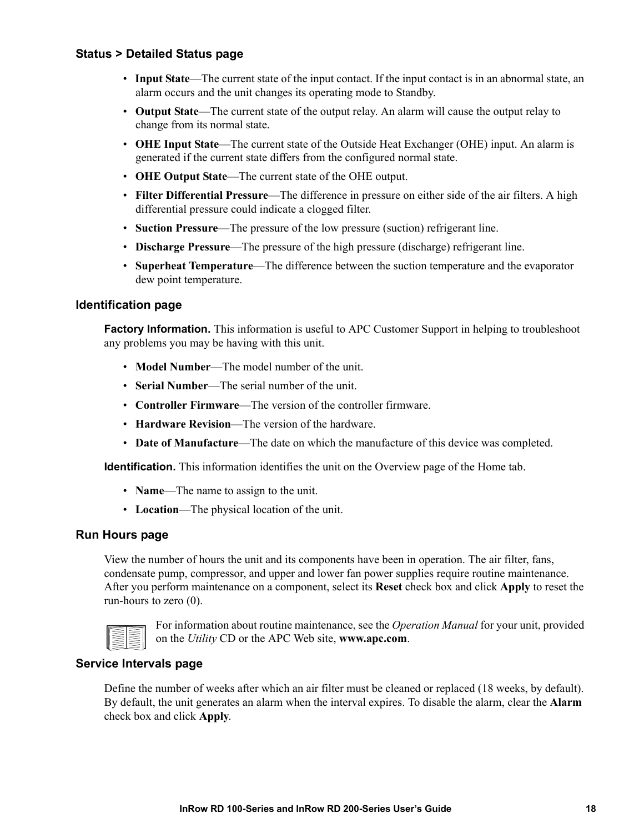### <span id="page-24-0"></span>**Status > Detailed Status page**

- **Input State**—The current state of the input contact. If the input contact is in an abnormal state, an alarm occurs and the unit changes its operating mode to Standby.
- **Output State**—The current state of the output relay. An alarm will cause the output relay to change from its normal state.
- **OHE Input State**—The current state of the Outside Heat Exchanger (OHE) input. An alarm is generated if the current state differs from the configured normal state.
- **OHE Output State**—The current state of the OHE output.
- **Filter Differential Pressure**—The difference in pressure on either side of the air filters. A high differential pressure could indicate a clogged filter.
- **Suction Pressure**—The pressure of the low pressure (suction) refrigerant line.
- **Discharge Pressure**—The pressure of the high pressure (discharge) refrigerant line.
- **Superheat Temperature**—The difference between the suction temperature and the evaporator dew point temperature.

#### <span id="page-24-1"></span>**Identification page**

**Factory Information.** This information is useful to APC Customer Support in helping to troubleshoot any problems you may be having with this unit.

- **Model Number**—The model number of the unit.
- **Serial Number**—The serial number of the unit.
- **Controller Firmware**—The version of the controller firmware.
- **Hardware Revision**—The version of the hardware.
- **Date of Manufacture**—The date on which the manufacture of this device was completed.

**Identification.** This information identifies the unit on the Overview page of the Home tab.

- **Name**—The name to assign to the unit.
- **Location**—The physical location of the unit.

### <span id="page-24-2"></span>**Run Hours page**

View the number of hours the unit and its components have been in operation. The air filter, fans, condensate pump, compressor, and upper and lower fan power supplies require routine maintenance. After you perform maintenance on a component, select its **Reset** check box and click **Apply** to reset the run-hours to zero (0).



For informat[ion about routine maintenan](http://www.apc.com)ce, see the *Operation Manual* for your unit, provided on the *Utility* CD or the APC Web site, **www.apc.com**.

### <span id="page-24-3"></span>**Service Intervals page**

Define the number of weeks after which an air filter must be cleaned or replaced (18 weeks, by default). By default, the unit generates an alarm when the interval expires. To disable the alarm, clear the **Alarm** check box and click **Apply**.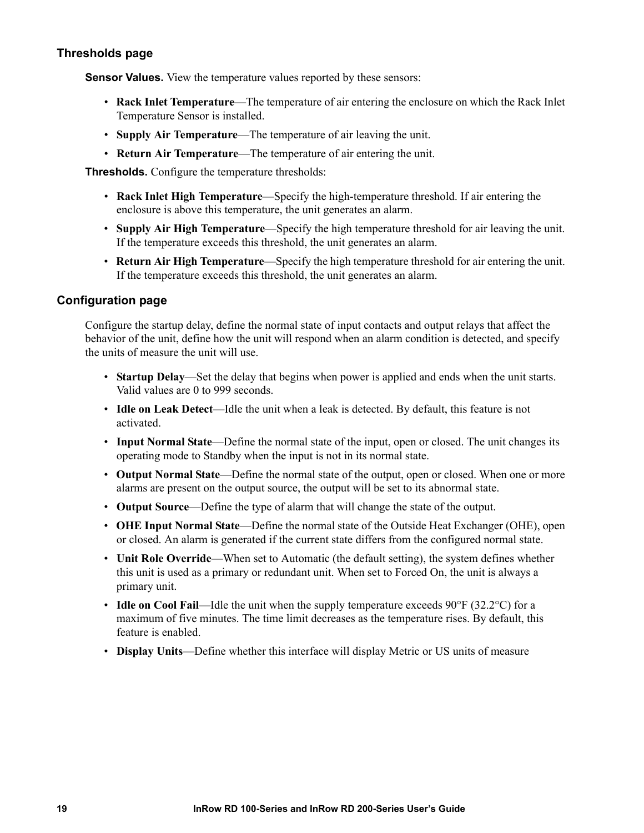### <span id="page-25-0"></span>**Thresholds page**

**Sensor Values.** View the temperature values reported by these sensors:

- **Rack Inlet Temperature**—The temperature of air entering the enclosure on which the Rack Inlet Temperature Sensor is installed.
- **Supply Air Temperature**—The temperature of air leaving the unit.
- **Return Air Temperature**—The temperature of air entering the unit.

**Thresholds.** Configure the temperature thresholds:

- **Rack Inlet High Temperature**—Specify the high-temperature threshold. If air entering the enclosure is above this temperature, the unit generates an alarm.
- **Supply Air High Temperature**—Specify the high temperature threshold for air leaving the unit. If the temperature exceeds this threshold, the unit generates an alarm.
- **Return Air High Temperature**—Specify the high temperature threshold for air entering the unit. If the temperature exceeds this threshold, the unit generates an alarm.

#### <span id="page-25-1"></span>**Configuration page**

Configure the startup delay, define the normal state of input contacts and output relays that affect the behavior of the unit, define how the unit will respond when an alarm condition is detected, and specify the units of measure the unit will use.

- **Startup Delay**—Set the delay that begins when power is applied and ends when the unit starts. Valid values are 0 to 999 seconds.
- **Idle on Leak Detect**—Idle the unit when a leak is detected. By default, this feature is not activated.
- **Input Normal State**—Define the normal state of the input, open or closed. The unit changes its operating mode to Standby when the input is not in its normal state.
- **Output Normal State**—Define the normal state of the output, open or closed. When one or more alarms are present on the output source, the output will be set to its abnormal state.
- **Output Source**—Define the type of alarm that will change the state of the output.
- **OHE Input Normal State**—Define the normal state of the Outside Heat Exchanger (OHE), open or closed. An alarm is generated if the current state differs from the configured normal state.
- **Unit Role Override**—When set to Automatic (the default setting), the system defines whether this unit is used as a primary or redundant unit. When set to Forced On, the unit is always a primary unit.
- **Idle on Cool Fail—Idle** the unit when the supply temperature exceeds 90°F (32.2°C) for a maximum of five minutes. The time limit decreases as the temperature rises. By default, this feature is enabled.
- **Display Units**—Define whether this interface will display Metric or US units of measure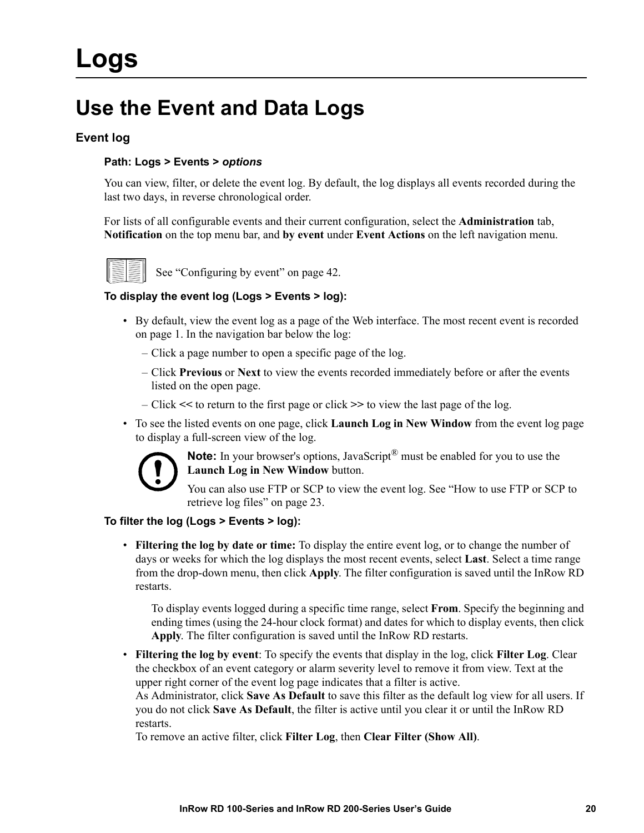### <span id="page-26-1"></span><span id="page-26-0"></span>**Use the Event and Data Logs**

### **Event log**

### **Path: Logs > Events >** *options*

You can view, filter, or delete the event log. By default, the log displays all events recorded during the last two days, in reverse chronological order.

For lists of all configurable events and their current configuration, select the **Administration** tab, **Notification** on the top menu bar, and **by event** under **Event Actions** on the left navigation menu.



See "Configuring by event" on page 42.

### **To display the event log (Logs > Events > log):**

- By default, view the event log as a page of the Web interface. The most recent event is recorded on page 1. In the navigation bar below the log:
	- Click a page number to open a specific page of the log.
	- Click **Previous** or **Next** to view the events recorded immediately before or after the events listed on the open page.
	- Click **<<** to return to the first page or click **>>** to view the last page of the log.
- To see the listed events on one page, click **Launch Log in New Window** from the event log page to display a full-screen view of the log.



**Note:** In your browser's options, JavaScript<sup>®</sup> must be enabled for you to use the **[Launch Log in New Window](#page-29-0)** button.

You can also use FTP or SCP to view the event log. See "How to use FTP or SCP to retrieve log files" on page 23.

### **To filter the log (Logs > Events > log):**

• **Filtering the log by date or time:** To display the entire event log, or to change the number of days or weeks for which the log displays the most recent events, select **Last**. Select a time range from the drop-down menu, then click **Apply**. The filter configuration is saved until the InRow RD restarts.

To display events logged during a specific time range, select **From**. Specify the beginning and ending times (using the 24-hour clock format) and dates for which to display events, then click **Apply**. The filter configuration is saved until the InRow RD restarts.

• **Filtering the log by event**: To specify the events that display in the log, click **Filter Log**. Clear the checkbox of an event category or alarm severity level to remove it from view. Text at the upper right corner of the event log page indicates that a filter is active.

As Administrator, click **Save As Default** to save this filter as the default log view for all users. If you do not click **Save As Default**, the filter is active until you clear it or until the InRow RD restarts.

To remove an active filter, click **Filter Log**, then **Clear Filter (Show All)**.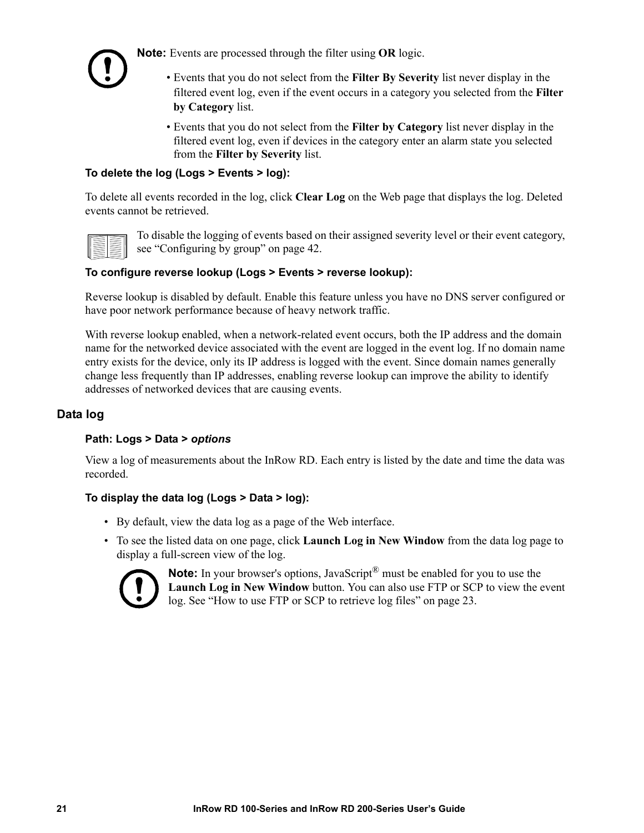

**Note:** Events are processed through the filter using **OR** logic.

- Events that you do not select from the **Filter By Severity** list never display in the filtered event log, even if the event occurs in a category you selected from the **Filter by Category** list.
- Events that you do not select from the **Filter by Category** list never display in the filtered event log, even if devices in the category enter an alarm state you selected from the **Filter by Severity** list.

### **To delete the log (Logs > Events > log):**

To delete all events recorded in the log, click **Clear Log** on the Web page that displays the log. Deleted events cannot be retrieved.



To [disable the logging of events based o](#page-48-0)n their assigned severity level or their event category, see "Configuring by group" on page 42.

### **To configure reverse lookup (Logs > Events > reverse lookup):**

Reverse lookup is disabled by default. Enable this feature unless you have no DNS server configured or have poor network performance because of heavy network traffic.

With reverse lookup enabled, when a network-related event occurs, both the IP address and the domain name for the networked device associated with the event are logged in the event log. If no domain name entry exists for the device, only its IP address is logged with the event. Since domain names generally change less frequently than IP addresses, enabling reverse lookup can improve the ability to identify addresses of networked devices that are causing events.

### <span id="page-27-0"></span>**Data log**

### **Path: Logs > Data >** *options*

View a log of measurements about the InRow RD. Each entry is listed by the date and time the data was recorded.

### **To display the data log (Logs > Data > log):**

- By default, view the data log as a page of the Web interface.
- To see the listed data on one page, click **Launch Log in New Window** from the data log page to display a full-screen view of the log.



**Note:** [In your browser's options, JavaScript](#page-29-0)<sup>®</sup> must be enabled for you to use the **Launch Log in New Window** button. You can also use FTP or SCP to view the event log. See "How to use FTP or SCP to retrieve log files" on page 23.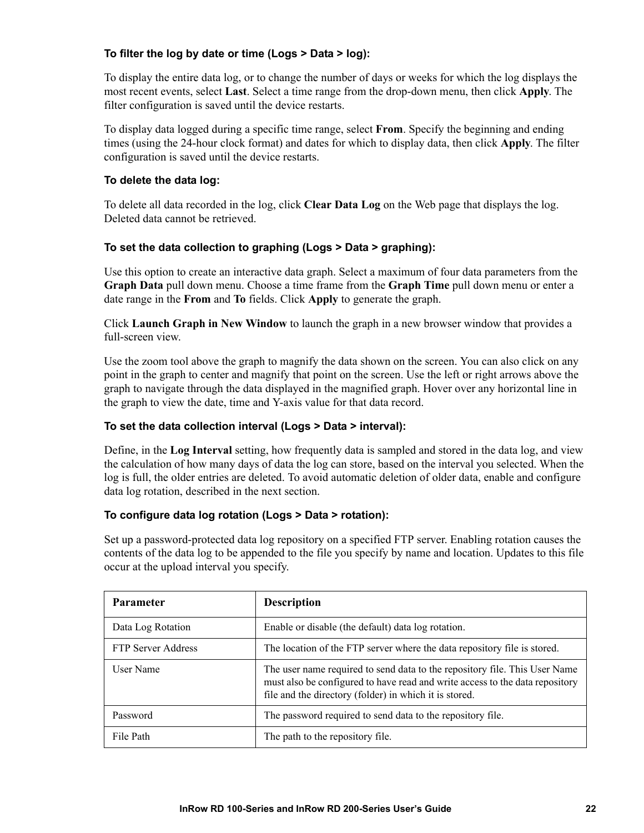### **To filter the log by date or time (Logs > Data > log):**

To display the entire data log, or to change the number of days or weeks for which the log displays the most recent events, select **Last**. Select a time range from the drop-down menu, then click **Apply**. The filter configuration is saved until the device restarts.

To display data logged during a specific time range, select **From**. Specify the beginning and ending times (using the 24-hour clock format) and dates for which to display data, then click **Apply**. The filter configuration is saved until the device restarts.

#### **To delete the data log:**

To delete all data recorded in the log, click **Clear Data Log** on the Web page that displays the log. Deleted data cannot be retrieved.

### **To set the data collection to graphing (Logs > Data > graphing):**

Use this option to create an interactive data graph. Select a maximum of four data parameters from the **Graph Data** pull down menu. Choose a time frame from the **Graph Time** pull down menu or enter a date range in the **From** and **To** fields. Click **Apply** to generate the graph.

Click **Launch Graph in New Window** to launch the graph in a new browser window that provides a full-screen view.

Use the zoom tool above the graph to magnify the data shown on the screen. You can also click on any point in the graph to center and magnify that point on the screen. Use the left or right arrows above the graph to navigate through the data displayed in the magnified graph. Hover over any horizontal line in the graph to view the date, time and Y-axis value for that data record.

### **To set the data collection interval (Logs > Data > interval):**

Define, in the **Log Interval** setting, how frequently data is sampled and stored in the data log, and view the calculation of how many days of data the log can store, based on the interval you selected. When the log is full, the older entries are deleted. To avoid automatic deletion of older data, enable and configure data log rotation, described in the next section.

### **To configure data log rotation (Logs > Data > rotation):**

Set up a password-protected data log repository on a specified FTP server. Enabling rotation causes the contents of the data log to be appended to the file you specify by name and location. Updates to this file occur at the upload interval you specify.

| <b>Parameter</b>          | <b>Description</b>                                                                                                                                                                                                   |
|---------------------------|----------------------------------------------------------------------------------------------------------------------------------------------------------------------------------------------------------------------|
| Data Log Rotation         | Enable or disable (the default) data log rotation.                                                                                                                                                                   |
| <b>FTP Server Address</b> | The location of the FTP server where the data repository file is stored.                                                                                                                                             |
| User Name                 | The user name required to send data to the repository file. This User Name<br>must also be configured to have read and write access to the data repository<br>file and the directory (folder) in which it is stored. |
| Password                  | The password required to send data to the repository file.                                                                                                                                                           |
| File Path                 | The path to the repository file.                                                                                                                                                                                     |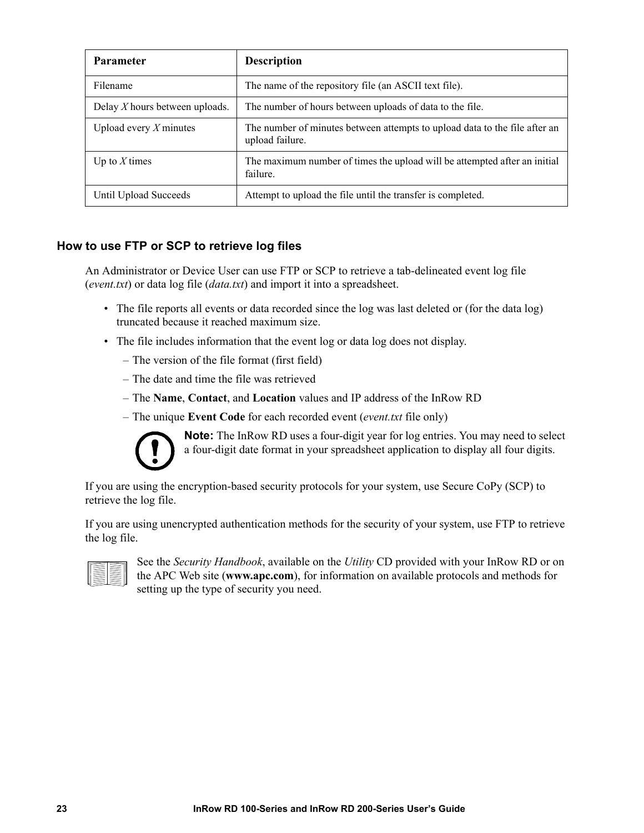| <b>Parameter</b>                 | <b>Description</b>                                                                            |
|----------------------------------|-----------------------------------------------------------------------------------------------|
| Filename                         | The name of the repository file (an ASCII text file).                                         |
| Delay $X$ hours between uploads. | The number of hours between uploads of data to the file.                                      |
| Upload every $X$ minutes         | The number of minutes between attempts to upload data to the file after an<br>upload failure. |
| Up to $X$ times                  | The maximum number of times the upload will be attempted after an initial<br>failure.         |
| Until Upload Succeeds            | Attempt to upload the file until the transfer is completed.                                   |

### <span id="page-29-0"></span>**How to use FTP or SCP to retrieve log files**

An Administrator or Device User can use FTP or SCP to retrieve a tab-delineated event log file (*event.txt*) or data log file (*data.txt*) and import it into a spreadsheet.

- The file reports all events or data recorded since the log was last deleted or (for the data log) truncated because it reached maximum size.
- The file includes information that the event log or data log does not display.
	- The version of the file format (first field)
	- The date and time the file was retrieved
	- The **Name**, **Contact**, and **Location** values and IP address of the InRow RD
	- The unique **Event Code** for each recorded event (*event.txt* file only)



**Note:** The InRow RD uses a four-digit year for log entries. You may need to select a four-digit date format in your spreadsheet application to display all four digits.

If you are using the encryption-based security protocols for your system, use Secure CoPy (SCP) to retrieve the log file.

If you are using unencrypted authentication methods for the security of your system, use FTP to retrieve the log file.

|--|

See the *Security Handbook*, available on the *Utility* CD provided with your InRow RD or on the APC Web site (**www.apc.com**), for information on available protocols and methods for setting up the type of security you need.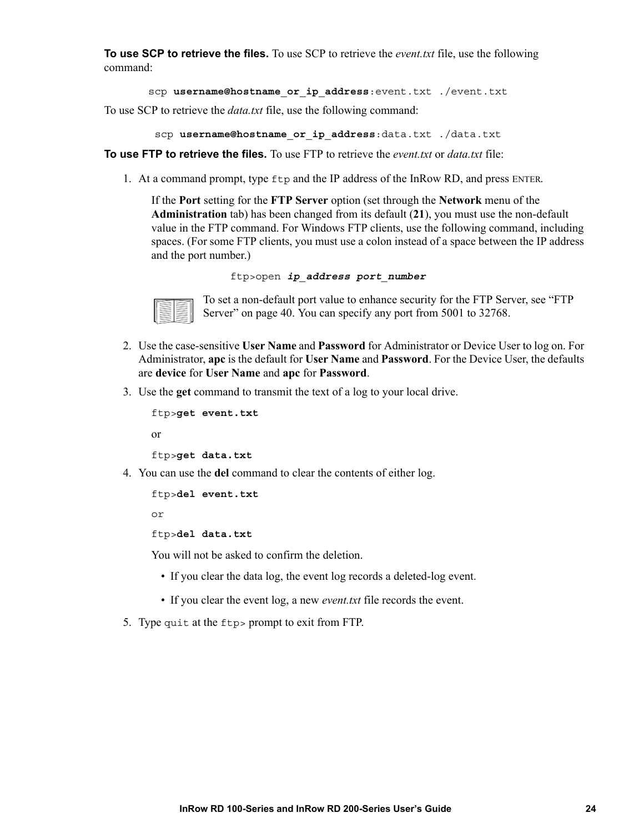**To use SCP to retrieve the files.** To use SCP to retrieve the *event.txt* file, use the following command:

```
scp username@hostname_or_ip_address:event.txt ./event.txt
```
To use SCP to retrieve the *data.txt* file, use the following command:

```
scp username@hostname_or_ip_address:data.txt ./data.txt
```
**To use FTP to retrieve the files.** To use FTP to retrieve the *event.txt* or *data.txt* file:

1. At a command prompt, type ftp and the IP address of the InRow RD, and press ENTER.

If the **Port** setting for the **FTP Server** option (set through the **Network** menu of the **Administration** tab) has been changed from its default (**21**), you must use the non-default value in the FTP command. For Windows FTP clients, use the following command, including spaces. (For some FTP clients, you must use a colon instead of a space between the IP address and the port number.)

```
ftp>open ip_address port_number
```


[To set a non-default](#page-46-1) port value to enhance security for the FTP Server, see "FTP Server" on page 40. You can specify any port from 5001 to 32768.

- 2. Use the case-sensitive **User Name** and **Password** for Administrator or Device User to log on. For Administrator, **apc** is the default for **User Name** and **Password**. For the Device User, the defaults are **device** for **User Name** and **apc** for **Password**.
- 3. Use the **get** command to transmit the text of a log to your local drive.

```
ftp>get event.txt
or
```
ftp>**get data.txt**

4. You can use the **del** command to clear the contents of either log.

```
ftp>del event.txt
```
or

ftp>**del data.txt**

You will not be asked to confirm the deletion.

- If you clear the data log, the event log records a deleted-log event.
- If you clear the event log, a new *event.txt* file records the event.
- 5. Type quit at the ftp> prompt to exit from FTP.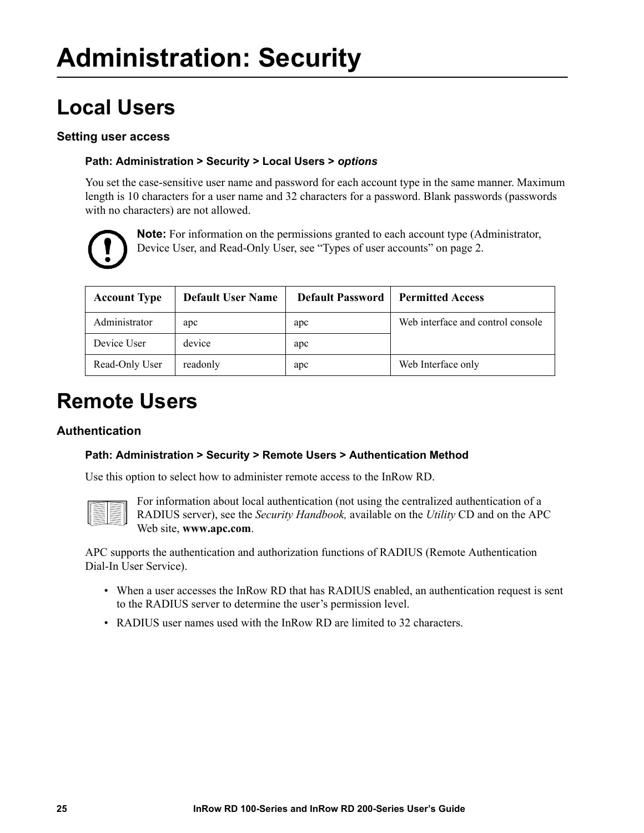### <span id="page-31-5"></span><span id="page-31-2"></span><span id="page-31-1"></span><span id="page-31-0"></span>**Local Users**

### **Setting user access**

### **Path: Administration > Security > Local Users >** *options*

You set the case-sensitive user name and password for each account type in the same manner. Maximum length is 10 characters for a user name and 32 characters for a password. Blank passwords (passwords with no characters) are not allowed.



**Note:** For information on the permissi[ons granted to each account type \(A](#page-8-5)dministrator, Device User, and Read-Only User, see "Types of user accounts" on page 2.

| <b>Account Type</b> | <b>Default User Name</b> | <b>Default Password</b> | <b>Permitted Access</b>           |
|---------------------|--------------------------|-------------------------|-----------------------------------|
| Administrator       | apc                      | apc                     | Web interface and control console |
| Device User         | device                   | apc                     |                                   |
| Read-Only User      | readonly                 | apc                     | Web Interface only                |

### <span id="page-31-4"></span><span id="page-31-3"></span>**Remote Users**

### **Authentication**

### **Path: Administration > Security > Remote Users > Authentication Method**

Use this option to select how to administer remote access to the InRow RD.



For infor[mation about loc](http://www.apc.com)al authentication (not using the centralized authentication of a RADIUS server), see the *Security Handbook,* available on the *Utility* CD and on the APC Web site, **www.apc.com**.

APC supports the authentication and authorization functions of RADIUS (Remote Authentication Dial-In User Service).

- When a user accesses the InRow RD that has RADIUS enabled, an authentication request is sent to the RADIUS server to determine the user's permission level.
- RADIUS user names used with the InRow RD are limited to 32 characters.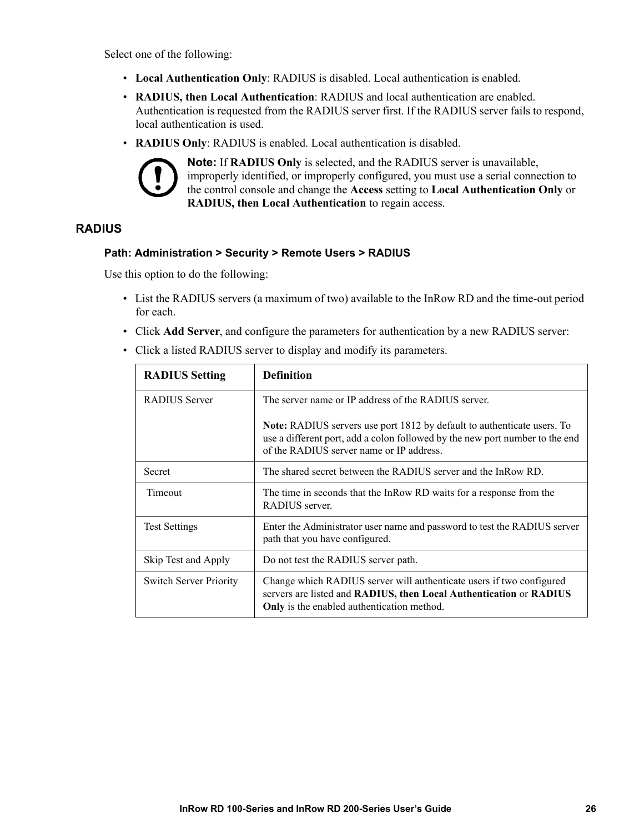Select one of the following:

- **Local Authentication Only**: RADIUS is disabled. Local authentication is enabled.
- **RADIUS, then Local Authentication**: RADIUS and local authentication are enabled. Authentication is requested from the RADIUS server first. If the RADIUS server fails to respond, local authentication is used.
- **RADIUS Only**: RADIUS is enabled. Local authentication is disabled.



**Note:** If **RADIUS Only** is selected, and the RADIUS server is unavailable, improperly identified, or improperly configured, you must use a serial connection to the control console and change the **Access** setting to **Local Authentication Only** or **RADIUS, then Local Authentication** to regain access.

### <span id="page-32-0"></span>**RADIUS**

#### **Path: Administration > Security > Remote Users > RADIUS**

Use this option to do the following:

- List the RADIUS servers (a maximum of two) available to the InRow RD and the time-out period for each.
- Click **Add Server**, and configure the parameters for authentication by a new RADIUS server:
- Click a listed RADIUS server to display and modify its parameters.

| <b>RADIUS Setting</b>         | <b>Definition</b>                                                                                                                                                                                          |  |
|-------------------------------|------------------------------------------------------------------------------------------------------------------------------------------------------------------------------------------------------------|--|
| <b>RADIUS</b> Server          | The server name or IP address of the RADIUS server.                                                                                                                                                        |  |
|                               | <b>Note:</b> RADIUS servers use port 1812 by default to authenticate users. To<br>use a different port, add a colon followed by the new port number to the end<br>of the RADIUS server name or IP address. |  |
| Secret                        | The shared secret between the RADIUS server and the InRow RD.                                                                                                                                              |  |
| Timeout                       | The time in seconds that the InRow RD waits for a response from the<br>RADIUS server.                                                                                                                      |  |
| <b>Test Settings</b>          | Enter the Administrator user name and password to test the RADIUS server<br>path that you have configured.                                                                                                 |  |
| Skip Test and Apply           | Do not test the RADIUS server path.                                                                                                                                                                        |  |
| <b>Switch Server Priority</b> | Change which RADIUS server will authenticate users if two configured<br>servers are listed and RADIUS, then Local Authentication or RADIUS<br>Only is the enabled authentication method.                   |  |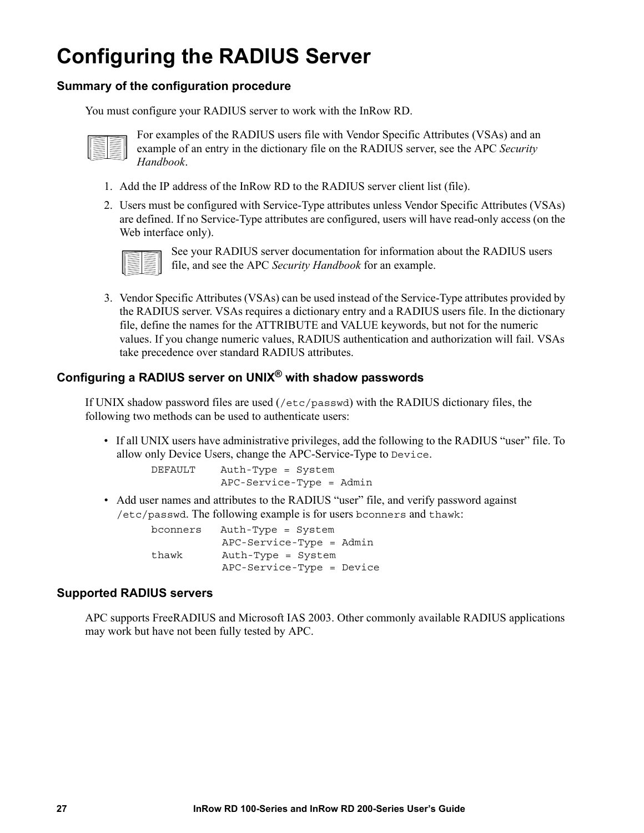### <span id="page-33-0"></span>**Configuring the RADIUS Server**

### <span id="page-33-1"></span>**Summary of the configuration procedure**

You must configure your RADIUS server to work with the InRow RD.



For examples of the RADIUS users file with Vendor Specific Attributes (VSAs) and an example of an entry in the dictionary file on the RADIUS server, see the APC *Security Handbook*.

- 1. Add the IP address of the InRow RD to the RADIUS server client list (file).
- 2. Users must be configured with Service-Type attributes unless Vendor Specific Attributes (VSAs) are defined. If no Service-Type attributes are configured, users will have read-only access (on the Web interface only).



See your RADIUS server documentation for information about the RADIUS users file, and see the APC *Security Handbook* for an example.

3. Vendor Specific Attributes (VSAs) can be used instead of the Service-Type attributes provided by the RADIUS server. VSAs requires a dictionary entry and a RADIUS users file. In the dictionary file, define the names for the ATTRIBUTE and VALUE keywords, but not for the numeric values. If you change numeric values, RADIUS authentication and authorization will fail. VSAs take precedence over standard RADIUS attributes.

### <span id="page-33-2"></span>**Configuring a RADIUS server on UNIX® with shadow passwords**

If UNIX shadow password files are used (/etc/passwd) with the RADIUS dictionary files, the following two methods can be used to authenticate users:

• If all UNIX users have administrative privileges, add the following to the RADIUS "user" file. To allow only Device Users, change the APC-Service-Type to Device.

> DEFAULT Auth-Type = System APC-Service-Type = Admin

• Add user names and attributes to the RADIUS "user" file, and verify password against /etc/passwd. The following example is for users bconners and thawk:

> bconners Auth-Type = System APC-Service-Type = Admin thawk Auth-Type = System APC-Service-Type = Device

### <span id="page-33-3"></span>**Supported RADIUS servers**

APC supports FreeRADIUS and Microsoft IAS 2003. Other commonly available RADIUS applications may work but have not been fully tested by APC.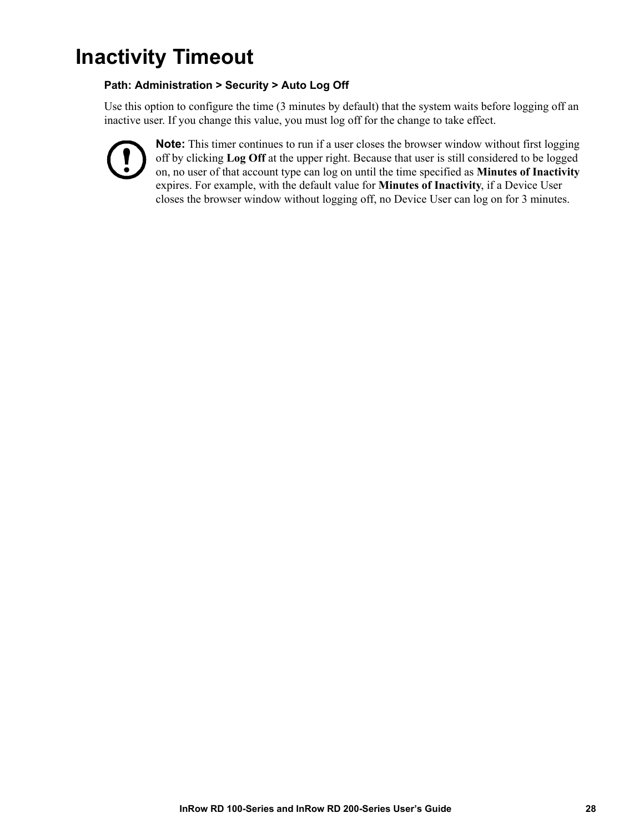### <span id="page-34-0"></span>**Inactivity Timeout**

### **Path: Administration > Security > Auto Log Off**

Use this option to configure the time (3 minutes by default) that the system waits before logging off an inactive user. If you change this value, you must log off for the change to take effect.



**Note:** This timer continues to run if a user closes the browser window without first logging off by clicking **Log Off** at the upper right. Because that user is still considered to be logged on, no user of that account type can log on until the time specified as **Minutes of Inactivity** expires. For example, with the default value for **Minutes of Inactivity**, if a Device User closes the browser window without logging off, no Device User can log on for 3 minutes.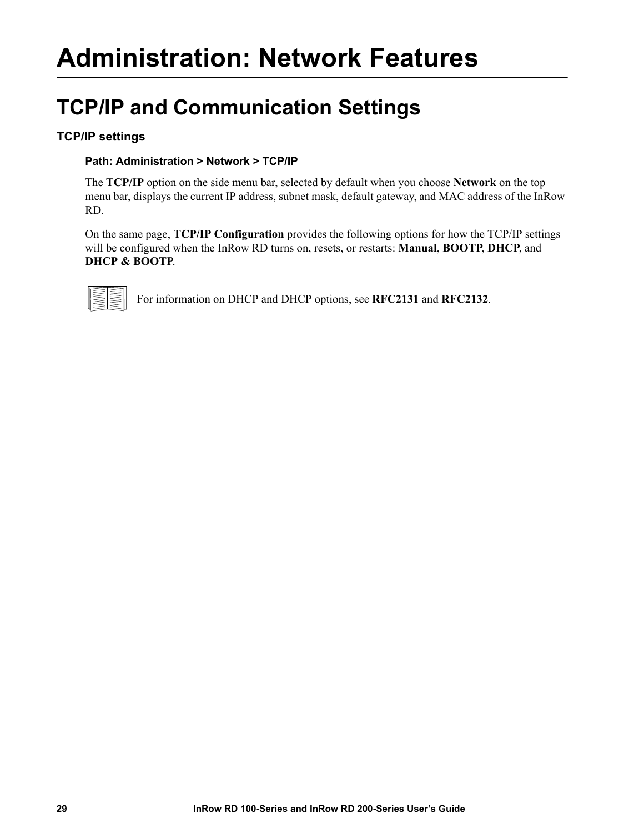## <span id="page-35-3"></span><span id="page-35-1"></span><span id="page-35-0"></span>**Administration: Network Features**

### <span id="page-35-2"></span>**TCP/IP and Communication Settings**

### **TCP/IP settings**

### **Path: Administration > Network > TCP/IP**

The **TCP/IP** option on the side menu bar, selected by default when you choose **Network** on the top menu bar, displays the current IP address, subnet mask, default gateway, and MAC address of the InRow RD.

On the same page, **TCP/IP Configuration** provides the following options for how the TCP/IP settings will be configured when the InRow RD turns on, resets, or restarts: **Manual**, **BOOTP**, **DHCP**, and **DHCP & BOOTP**.



For information on DHCP and DHCP options, see **RFC2131** and **RFC2132**.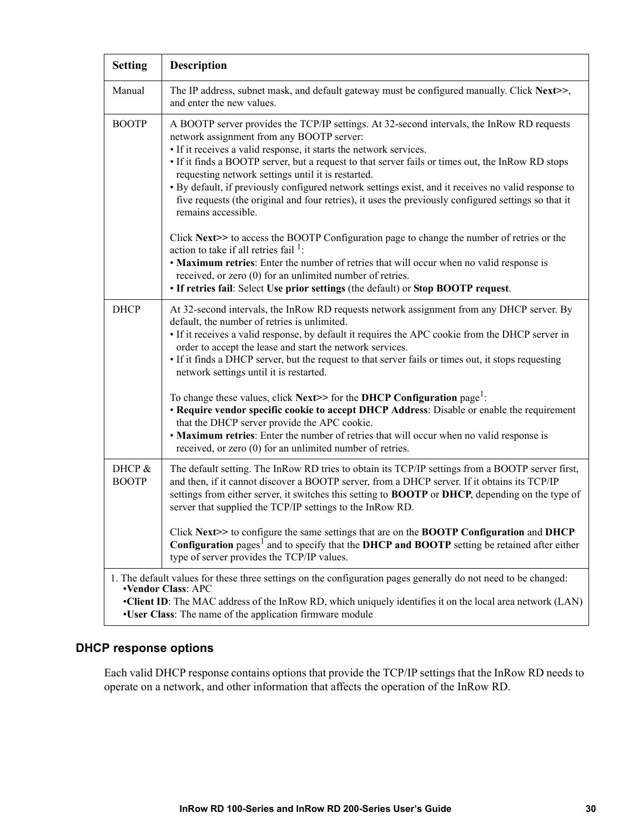| <b>Setting</b>                                                                                                                                                                                                                                                                                                       | <b>Description</b>                                                                                                                                                                                                                                                                                                                                                                                                                                                                                                                                                                                             |
|----------------------------------------------------------------------------------------------------------------------------------------------------------------------------------------------------------------------------------------------------------------------------------------------------------------------|----------------------------------------------------------------------------------------------------------------------------------------------------------------------------------------------------------------------------------------------------------------------------------------------------------------------------------------------------------------------------------------------------------------------------------------------------------------------------------------------------------------------------------------------------------------------------------------------------------------|
| Manual                                                                                                                                                                                                                                                                                                               | The IP address, subnet mask, and default gateway must be configured manually. Click Next>>,<br>and enter the new values.                                                                                                                                                                                                                                                                                                                                                                                                                                                                                       |
| <b>BOOTP</b>                                                                                                                                                                                                                                                                                                         | A BOOTP server provides the TCP/IP settings. At 32-second intervals, the InRow RD requests<br>network assignment from any BOOTP server:<br>• If it receives a valid response, it starts the network services.<br>• If it finds a BOOTP server, but a request to that server fails or times out, the InRow RD stops<br>requesting network settings until it is restarted.<br>· By default, if previously configured network settings exist, and it receives no valid response to<br>five requests (the original and four retries), it uses the previously configured settings so that it<br>remains accessible. |
|                                                                                                                                                                                                                                                                                                                      | Click Next>> to access the BOOTP Configuration page to change the number of retries or the<br>action to take if all retries fail $\frac{1}{1}$ :<br>• Maximum retries: Enter the number of retries that will occur when no valid response is<br>received, or zero (0) for an unlimited number of retries.<br>• If retries fail: Select Use prior settings (the default) or Stop BOOTP request.                                                                                                                                                                                                                 |
| <b>DHCP</b>                                                                                                                                                                                                                                                                                                          | At 32-second intervals, the InRow RD requests network assignment from any DHCP server. By<br>default, the number of retries is unlimited.<br>• If it receives a valid response, by default it requires the APC cookie from the DHCP server in<br>order to accept the lease and start the network services.<br>• If it finds a DHCP server, but the request to that server fails or times out, it stops requesting<br>network settings until it is restarted.                                                                                                                                                   |
|                                                                                                                                                                                                                                                                                                                      | To change these values, click Next>> for the DHCP Configuration page <sup>1</sup> :<br>• Require vendor specific cookie to accept DHCP Address: Disable or enable the requirement<br>that the DHCP server provide the APC cookie.<br>• Maximum retries: Enter the number of retries that will occur when no valid response is<br>received, or zero (0) for an unlimited number of retries.                                                                                                                                                                                                                     |
| DHCP &<br><b>BOOTP</b>                                                                                                                                                                                                                                                                                               | The default setting. The InRow RD tries to obtain its TCP/IP settings from a BOOTP server first,<br>and then, if it cannot discover a BOOTP server, from a DHCP server. If it obtains its TCP/IP<br>settings from either server, it switches this setting to <b>BOOTP</b> or <b>DHCP</b> , depending on the type of<br>server that supplied the TCP/IP settings to the InRow RD.                                                                                                                                                                                                                               |
|                                                                                                                                                                                                                                                                                                                      | Click Next>> to configure the same settings that are on the <b>BOOTP Configuration</b> and <b>DHCP</b><br>Configuration pages <sup>1</sup> and to specify that the DHCP and BOOTP setting be retained after either<br>type of server provides the TCP/IP values.                                                                                                                                                                                                                                                                                                                                               |
| 1. The default values for these three settings on the configuration pages generally do not need to be changed:<br><b>•Vendor Class: APC</b><br>•Client ID: The MAC address of the InRow RD, which uniquely identifies it on the local area network (LAN)<br>•User Class: The name of the application firmware module |                                                                                                                                                                                                                                                                                                                                                                                                                                                                                                                                                                                                                |

#### **DHCP response options**

Each valid DHCP response contains options that provide the TCP/IP settings that the InRow RD needs to operate on a network, and other information that affects the operation of the InRow RD.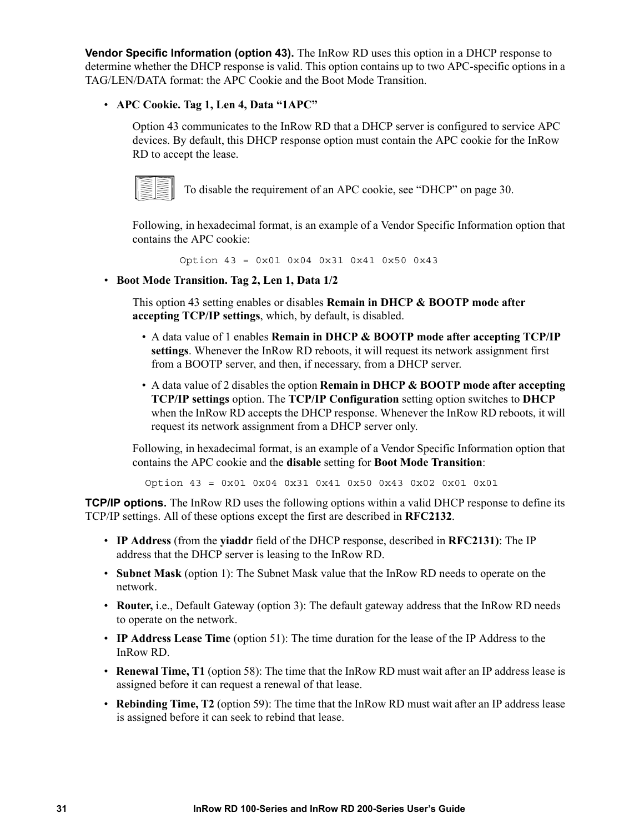**Vendor Specific Information (option 43).** The InRow RD uses this option in a DHCP response to determine whether the DHCP response is valid. This option contains up to two APC-specific options in a TAG/LEN/DATA format: the APC Cookie and the Boot Mode Transition.

#### • **APC Cookie. Tag 1, Len 4, Data "1APC"**

Option 43 communicates to the InRow RD that a DHCP server is configured to service APC devices. By default, this DHCP response option must contain the APC cookie for the InRow RD to accept the lease.



<span id="page-37-0"></span>To disable the requirement of an APC cookie, see "DHCP" on page 30.

Following, in hexadecimal format, is an example of a Vendor Specific Information option that contains the APC cookie:

Option 43 = 0x01 0x04 0x31 0x41 0x50 0x43

• **Boot Mode Transition. Tag 2, Len 1, Data 1/2**

This option 43 setting enables or disables **Remain in DHCP & BOOTP mode after accepting TCP/IP settings**, which, by default, is disabled.

- A data value of 1 enables **Remain in DHCP & BOOTP mode after accepting TCP/IP settings**. Whenever the InRow RD reboots, it will request its network assignment first from a BOOTP server, and then, if necessary, from a DHCP server.
- A data value of 2 disables the option **Remain in DHCP & BOOTP mode after accepting TCP/IP settings** option. The **TCP/IP Configuration** setting option switches to **DHCP**  when the InRow RD accepts the DHCP response. Whenever the InRow RD reboots, it will request its network assignment from a DHCP server only.

Following, in hexadecimal format, is an example of a Vendor Specific Information option that contains the APC cookie and the **disable** setting for **Boot Mode Transition**:

Option 43 = 0x01 0x04 0x31 0x41 0x50 0x43 [0x02 0x](http://www.ietf.org/rfc/rfc2132.txt?number=2132)01 0x01

**TCP/IP options.** The InRow RD uses the following options within a valid DHCP response to define its TCP/IP settings. All of these options except the first are described in **RFC213[2](http://www.ietf.org/rfc/rfc2131.txt?number=2131)**.

- **IP Address** (from the **yiaddr** field of the DHCP response, described in **RFC2131)**: The IP address that the DHCP server is leasing to the InRow RD.
- **Subnet Mask** (option 1): The Subnet Mask value that the InRow RD needs to operate on the network.
- **Router,** i.e., Default Gateway (option 3): The default gateway address that the InRow RD needs to operate on the network.
- **IP Address Lease Time** (option 51): The time duration for the lease of the IP Address to the InRow RD.
- **Renewal Time, T1** (option 58): The time that the InRow RD must wait after an IP address lease is assigned before it can request a renewal of that lease.
- **Rebinding Time, T2** (option 59): The time that the InRow RD must wait after an IP address lease is assigned before it can seek to rebind that lease.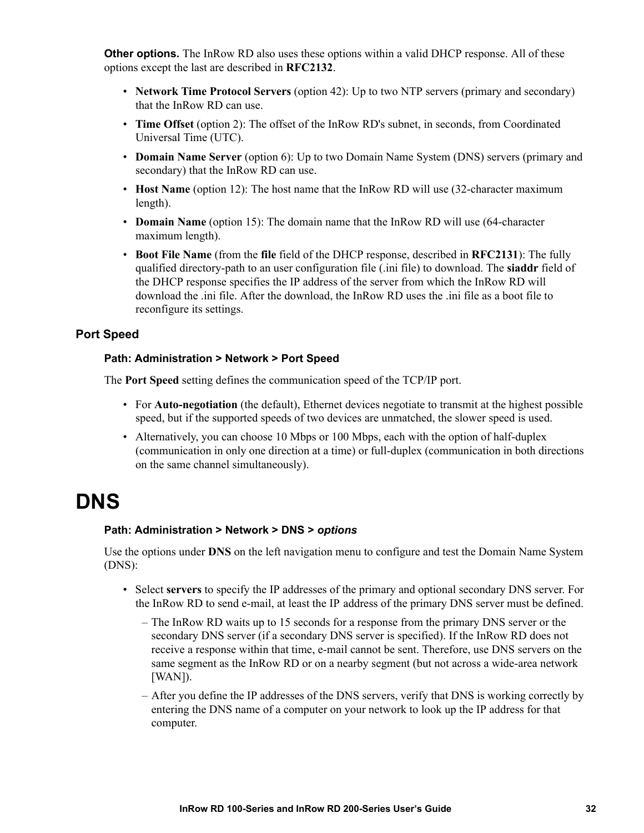**Other options.** The InRow RD also u[ses these o](http://www.ietf.org/rfc/rfc2132.txt?number=2132)ptions within a valid DHCP response. All of these options except the last are described in **RFC2132**.

- **Network Time Protocol Servers** (option 42): Up to two NTP servers (primary and secondary) that the InRow RD can use.
- **Time Offset** (option 2): The offset of the InRow RD's subnet, in seconds, from Coordinated Universal Time (UTC).
- **Domain Name Server** (option 6): Up to two Domain Name System (DNS) servers (primary and secondary) that the InRow RD can use.
- **Host Name** (option 12): The host name that the InRow RD will use (32-character maximum length).
- **Domain Name** (option 15): The domain name that the InRow RD will u[se \(64-char](http://www.ietf.org/rfc/rfc2131.txt?number=2131)acter maximum length).
- <span id="page-38-1"></span>• **Boot File Name** (from the **file** field of the DHCP response, described in **RFC2131**): The fully qualified directory-path to an user configuration file (.ini file) to download. The **siaddr** field of the DHCP response specifies the IP address of the server from which the InRow RD will download the .ini file. After the download, the InRow RD uses the .ini file as a boot file to reconfigure its settings.

#### **Port Speed**

#### **Path: Administration > Network > Port Speed**

The **Port Speed** setting defines the communication speed of the TCP/IP port.

- For **Auto-negotiation** (the default), Ethernet devices negotiate to transmit at the highest possible speed, but if the supported speeds of two devices are unmatched, the slower speed is used.
- Alternatively, you can choose 10 Mbps or 100 Mbps, each with the option of half-duplex (communication in only one direction at a time) or full-duplex (communication in both directions on the same channel simultaneously).

### <span id="page-38-0"></span>**DNS**

#### **Path: Administration > Network > DNS >** *options*

Use the options under **DNS** on the left navigation menu to configure and test the Domain Name System (DNS):

- Select **servers** to specify the IP addresses of the primary and optional secondary DNS server. For the InRow RD to send e-mail, at least the IP address of the primary DNS server must be defined.
	- The InRow RD waits up to 15 seconds for a response from the primary DNS server or the secondary DNS server (if a secondary DNS server is specified). If the InRow RD does not receive a response within that time, e-mail cannot be sent. Therefore, use DNS servers on the same segment as the InRow RD or on a nearby segment (but not across a wide-area network [WAN]).
	- After you define the IP addresses of the DNS servers, verify that DNS is working correctly by entering the DNS name of a computer on your network to look up the IP address for that computer.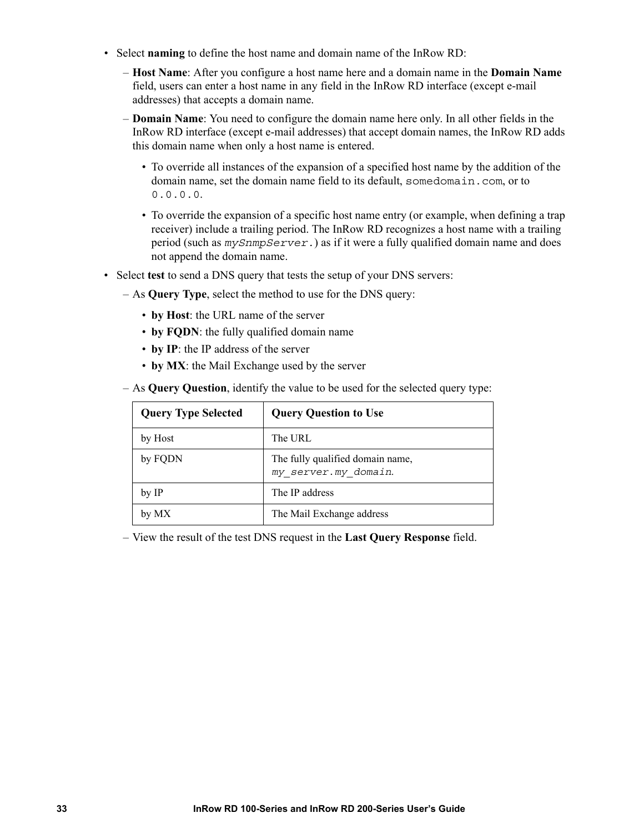- Select **naming** to define the host name and domain name of the InRow RD:
	- **Host Name**: After you configure a host name here and a domain name in the **Domain Name** field, users can enter a host name in any field in the InRow RD interface (except e-mail addresses) that accepts a domain name.
	- **Domain Name**: You need to configure the domain name here only. In all other fields in the InRow RD interface (except e-mail addresses) that accept domain names, the InRow RD adds this domain name when only a host name is entered.
		- To override all instances of the expansion of a specified host name by the addition of the domain name, set the domain name field to its default, somedomain.com, or to 0.0.0.0.
		- To override the expansion of a specific host name entry (or example, when defining a trap receiver) include a trailing period. The InRow RD recognizes a host name with a trailing period (such as *mySnmpServer.*) as if it were a fully qualified domain name and does not append the domain name.
- <span id="page-39-0"></span>• Select **test** to send a DNS query that tests the setup of your DNS servers:
	- As **Query Type**, select the method to use for the DNS query:
		- **by Host**: the URL name of the server
		- **by FQDN**: the fully qualified domain name
		- **by IP**: the IP address of the server
		- **by MX**: the Mail Exchange used by the server
	- As **Query Question**, identify the value to be used for the selected query type:

| <b>Query Type Selected</b> | <b>Query Question to Use</b>                             |
|----------------------------|----------------------------------------------------------|
| by Host                    | The URL                                                  |
| by FQDN                    | The fully qualified domain name,<br>my server.my domain. |
| by IP                      | The IP address                                           |
| by MX                      | The Mail Exchange address                                |

– View the result of the test DNS request in the **Last Query Response** field.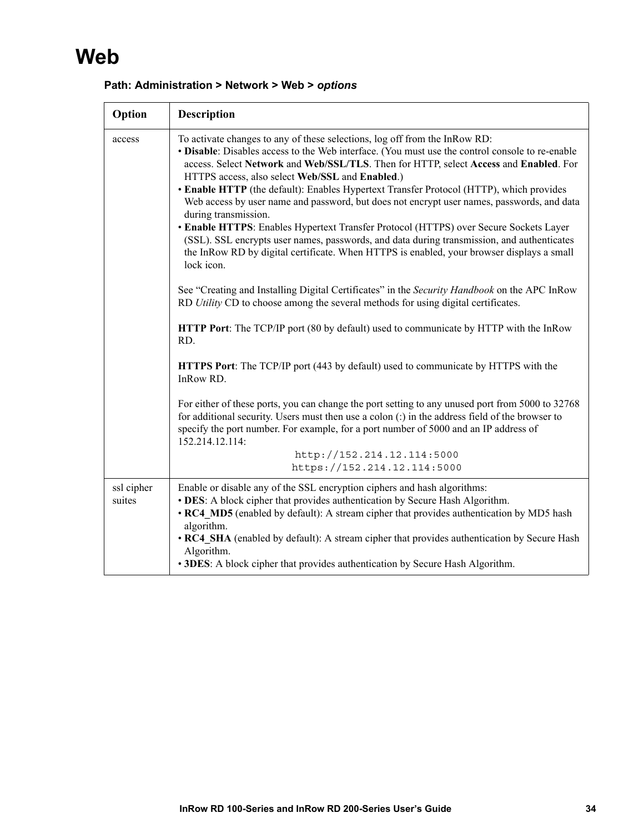# **Web**

<span id="page-40-1"></span><span id="page-40-0"></span>

| Option               | <b>Description</b>                                                                                                                                                                                                                                                                                                                                                                                                                                                                                                                                                                                                                                                                                                                                                                                                                           |
|----------------------|----------------------------------------------------------------------------------------------------------------------------------------------------------------------------------------------------------------------------------------------------------------------------------------------------------------------------------------------------------------------------------------------------------------------------------------------------------------------------------------------------------------------------------------------------------------------------------------------------------------------------------------------------------------------------------------------------------------------------------------------------------------------------------------------------------------------------------------------|
| access               | To activate changes to any of these selections, log off from the InRow RD:<br>• Disable: Disables access to the Web interface. (You must use the control console to re-enable<br>access. Select Network and Web/SSL/TLS. Then for HTTP, select Access and Enabled. For<br>HTTPS access, also select Web/SSL and Enabled.)<br>• Enable HTTP (the default): Enables Hypertext Transfer Protocol (HTTP), which provides<br>Web access by user name and password, but does not encrypt user names, passwords, and data<br>during transmission.<br>• Enable HTTPS: Enables Hypertext Transfer Protocol (HTTPS) over Secure Sockets Layer<br>(SSL). SSL encrypts user names, passwords, and data during transmission, and authenticates<br>the InRow RD by digital certificate. When HTTPS is enabled, your browser displays a small<br>lock icon. |
|                      | See "Creating and Installing Digital Certificates" in the Security Handbook on the APC InRow<br>RD Utility CD to choose among the several methods for using digital certificates.                                                                                                                                                                                                                                                                                                                                                                                                                                                                                                                                                                                                                                                            |
|                      | <b>HTTP Port:</b> The TCP/IP port (80 by default) used to communicate by HTTP with the InRow<br>RD.                                                                                                                                                                                                                                                                                                                                                                                                                                                                                                                                                                                                                                                                                                                                          |
|                      | <b>HTTPS Port:</b> The TCP/IP port (443 by default) used to communicate by HTTPS with the<br>InRow RD.                                                                                                                                                                                                                                                                                                                                                                                                                                                                                                                                                                                                                                                                                                                                       |
|                      | For either of these ports, you can change the port setting to any unused port from 5000 to 32768<br>for additional security. Users must then use a colon $($ :) in the address field of the browser to<br>specify the port number. For example, for a port number of 5000 and an IP address of<br>152.214.12.114:                                                                                                                                                                                                                                                                                                                                                                                                                                                                                                                            |
|                      | http://152.214.12.114:5000<br>https://152.214.12.114:5000                                                                                                                                                                                                                                                                                                                                                                                                                                                                                                                                                                                                                                                                                                                                                                                    |
| ssl cipher<br>suites | Enable or disable any of the SSL encryption ciphers and hash algorithms:<br>• DES: A block cipher that provides authentication by Secure Hash Algorithm.<br>• RC4 MD5 (enabled by default): A stream cipher that provides authentication by MD5 hash<br>algorithm.<br>• RC4 SHA (enabled by default): A stream cipher that provides authentication by Secure Hash<br>Algorithm.<br>• 3DES: A block cipher that provides authentication by Secure Hash Algorithm.                                                                                                                                                                                                                                                                                                                                                                             |

#### **Path: Administration > Network > Web >** *options*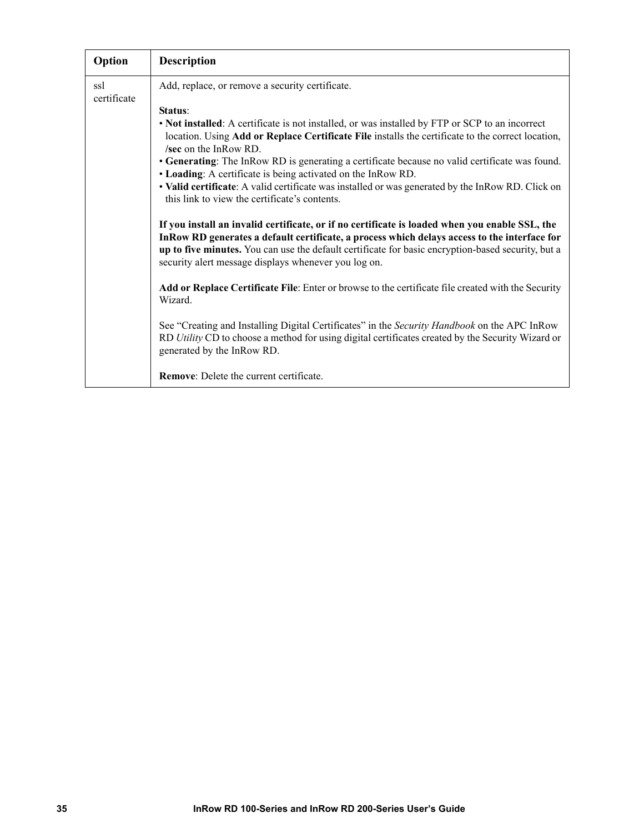| Option             | <b>Description</b>                                                                                                                                                                                                                                                                                                                                            |
|--------------------|---------------------------------------------------------------------------------------------------------------------------------------------------------------------------------------------------------------------------------------------------------------------------------------------------------------------------------------------------------------|
| ssl<br>certificate | Add, replace, or remove a security certificate.                                                                                                                                                                                                                                                                                                               |
|                    | Status:                                                                                                                                                                                                                                                                                                                                                       |
|                    | • Not installed: A certificate is not installed, or was installed by FTP or SCP to an incorrect<br>location. Using Add or Replace Certificate File installs the certificate to the correct location,<br>/sec on the In $Row RD$ .                                                                                                                             |
|                    | • Generating: The InRow RD is generating a certificate because no valid certificate was found.<br>• Loading: A certificate is being activated on the InRow RD.                                                                                                                                                                                                |
|                    | • Valid certificate: A valid certificate was installed or was generated by the InRow RD. Click on<br>this link to view the certificate's contents.                                                                                                                                                                                                            |
|                    | If you install an invalid certificate, or if no certificate is loaded when you enable SSL, the<br>In Row RD generates a default certificate, a process which delays access to the interface for<br>up to five minutes. You can use the default certificate for basic encryption-based security, but a<br>security alert message displays whenever you log on. |
|                    | Add or Replace Certificate File: Enter or browse to the certificate file created with the Security<br>Wizard.                                                                                                                                                                                                                                                 |
|                    | See "Creating and Installing Digital Certificates" in the Security Handbook on the APC InRow<br>RD Utility CD to choose a method for using digital certificates created by the Security Wizard or<br>generated by the InRow RD.                                                                                                                               |
|                    | <b>Remove:</b> Delete the current certificate.                                                                                                                                                                                                                                                                                                                |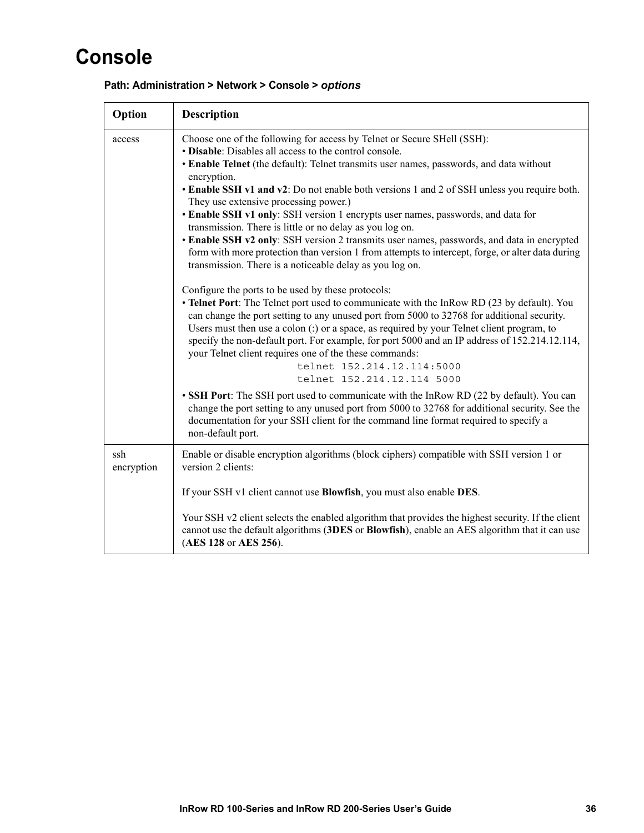# **Console**

<span id="page-42-2"></span><span id="page-42-0"></span>

| Option            | <b>Description</b>                                                                                                                                                                                                                                                                                                                                                                                                                                                                                                                                                                                                                                                                                                                                                                                |
|-------------------|---------------------------------------------------------------------------------------------------------------------------------------------------------------------------------------------------------------------------------------------------------------------------------------------------------------------------------------------------------------------------------------------------------------------------------------------------------------------------------------------------------------------------------------------------------------------------------------------------------------------------------------------------------------------------------------------------------------------------------------------------------------------------------------------------|
| access            | Choose one of the following for access by Telnet or Secure SHell (SSH):<br>• Disable: Disables all access to the control console.<br>• Enable Telnet (the default): Telnet transmits user names, passwords, and data without<br>encryption.<br>• Enable SSH v1 and v2: Do not enable both versions 1 and 2 of SSH unless you require both.<br>They use extensive processing power.)<br>• Enable SSH v1 only: SSH version 1 encrypts user names, passwords, and data for<br>transmission. There is little or no delay as you log on.<br>• Enable SSH v2 only: SSH version 2 transmits user names, passwords, and data in encrypted<br>form with more protection than version 1 from attempts to intercept, forge, or alter data during<br>transmission. There is a noticeable delay as you log on. |
|                   | Configure the ports to be used by these protocols:<br>• Telnet Port: The Telnet port used to communicate with the InRow RD (23 by default). You<br>can change the port setting to any unused port from 5000 to 32768 for additional security.<br>Users must then use a colon $($ ; $)$ or a space, as required by your Telnet client program, to<br>specify the non-default port. For example, for port 5000 and an IP address of 152.214.12.114,<br>your Telnet client requires one of the these commands:<br>telnet 152.214.12.114:5000<br>telnet 152.214.12.114 5000                                                                                                                                                                                                                           |
|                   | • SSH Port: The SSH port used to communicate with the InRow RD (22 by default). You can<br>change the port setting to any unused port from 5000 to 32768 for additional security. See the<br>documentation for your SSH client for the command line format required to specify a<br>non-default port.                                                                                                                                                                                                                                                                                                                                                                                                                                                                                             |
| ssh<br>encryption | Enable or disable encryption algorithms (block ciphers) compatible with SSH version 1 or<br>version 2 clients:                                                                                                                                                                                                                                                                                                                                                                                                                                                                                                                                                                                                                                                                                    |
|                   | If your SSH v1 client cannot use <b>Blowfish</b> , you must also enable <b>DES</b> .                                                                                                                                                                                                                                                                                                                                                                                                                                                                                                                                                                                                                                                                                                              |
|                   | Your SSH v2 client selects the enabled algorithm that provides the highest security. If the client<br>cannot use the default algorithms (3DES or Blowfish), enable an AES algorithm that it can use<br>(AES 128 or AES 256).                                                                                                                                                                                                                                                                                                                                                                                                                                                                                                                                                                      |

#### <span id="page-42-1"></span>**Path: Administration > Network > Console >** *options*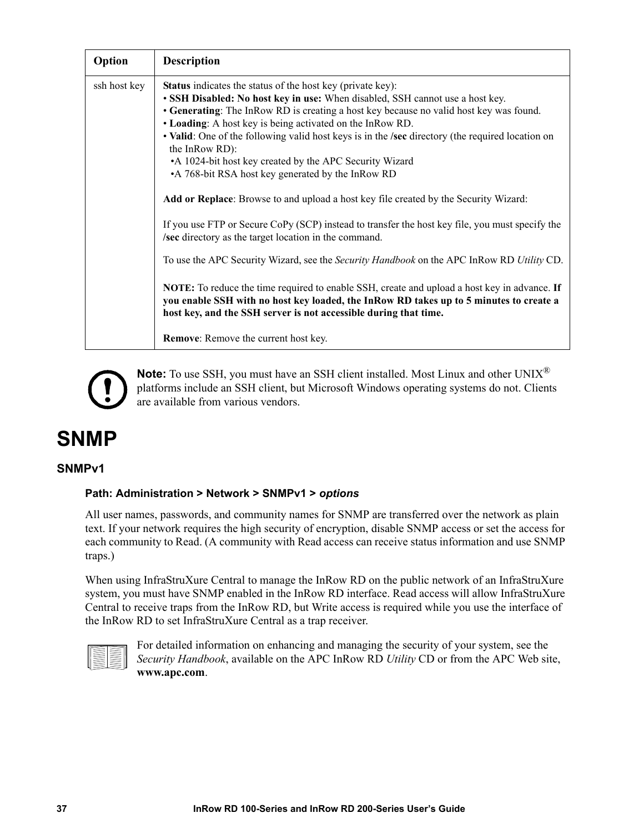<span id="page-43-1"></span>

| Option       | <b>Description</b>                                                                                                                                                                                                                                                                                                                                                                                                                                                                                                                                                                                                                            |
|--------------|-----------------------------------------------------------------------------------------------------------------------------------------------------------------------------------------------------------------------------------------------------------------------------------------------------------------------------------------------------------------------------------------------------------------------------------------------------------------------------------------------------------------------------------------------------------------------------------------------------------------------------------------------|
| ssh host key | <b>Status</b> indicates the status of the host key (private key):<br>• SSH Disabled: No host key in use: When disabled, SSH cannot use a host key.<br>• Generating: The InRow RD is creating a host key because no valid host key was found.<br>• Loading: A host key is being activated on the InRow RD.<br>• Valid: One of the following valid host keys is in the /sec directory (the required location on<br>the InRow RD:<br>•A 1024-bit host key created by the APC Security Wizard<br>•A 768-bit RSA host key generated by the InRow RD<br><b>Add or Replace:</b> Browse to and upload a host key file created by the Security Wizard: |
|              | If you use FTP or Secure CoPy (SCP) instead to transfer the host key file, you must specify the<br>/sec directory as the target location in the command.<br>To use the APC Security Wizard, see the Security Handbook on the APC InRow RD Utility CD.                                                                                                                                                                                                                                                                                                                                                                                         |
|              | <b>NOTE:</b> To reduce the time required to enable SSH, create and upload a host key in advance. If<br>you enable SSH with no host key loaded, the InRow RD takes up to 5 minutes to create a<br>host key, and the SSH server is not accessible during that time.                                                                                                                                                                                                                                                                                                                                                                             |
|              | <b>Remove:</b> Remove the current host key.                                                                                                                                                                                                                                                                                                                                                                                                                                                                                                                                                                                                   |

<span id="page-43-0"></span>

**Note:** To use SSH, you must have an SSH client installed. Most Linux and other UNIX® platforms include an SSH client, but Microsoft Windows operating systems do not. Clients are available from various vendors.

## **SNMP**

#### **SNMPv1**

#### **Path: Administration > Network > SNMPv1 >** *options*

All user names, passwords, and community names for SNMP are transferred over the network as plain text. If your network requires the high security of encryption, disable SNMP access or set the access for each community to Read. (A community with Read access can receive status information and use SNMP traps.)

When using InfraStruXure Central to manage the InRow RD on the public network of an InfraStruXure system, you must have SNMP enabled in the InRow RD interface. Read access will allow InfraStruXure Central to receive traps from the InRow RD, but Write access is required while you use the interface of the InRow RD to set InfraStruXure Central as a trap receiver.



[For detailed inf](http://www.apc.com)ormation on enhancing and managing the security of your system, see the *Security Handbook*, available on the APC InRow RD *Utility* CD or from the APC Web site, **www.apc.com**.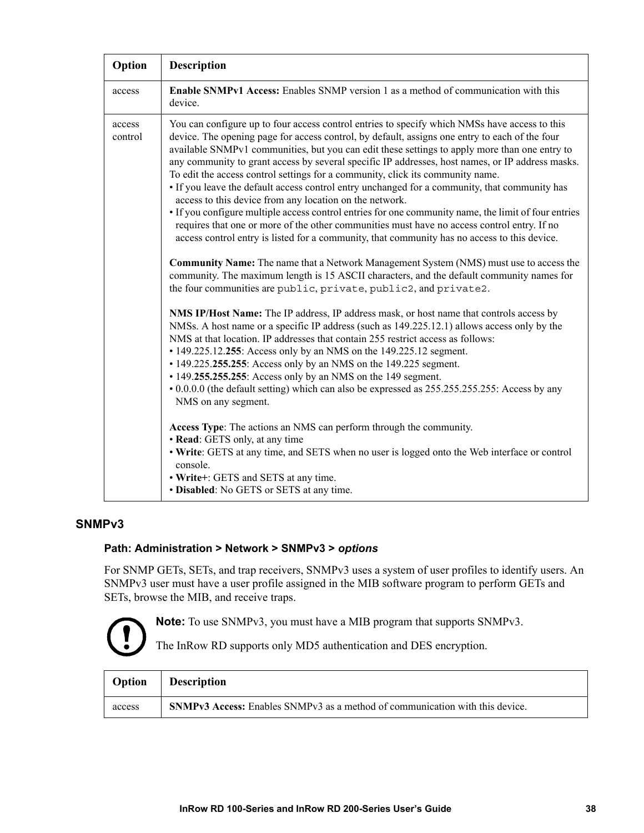| Option            | <b>Description</b>                                                                                                                                                                                                                                                                                                                                                                                                                                                                                                                                                                                                                                                                                                                                                                                                                                                                                                                                                                                                                                                                                                                                                                                                                                                                                                                                                                                                                                                                                                                                                                                                                                                                                                                                                                                                                                                                                                                                                                                                                                                                                                                                 |
|-------------------|----------------------------------------------------------------------------------------------------------------------------------------------------------------------------------------------------------------------------------------------------------------------------------------------------------------------------------------------------------------------------------------------------------------------------------------------------------------------------------------------------------------------------------------------------------------------------------------------------------------------------------------------------------------------------------------------------------------------------------------------------------------------------------------------------------------------------------------------------------------------------------------------------------------------------------------------------------------------------------------------------------------------------------------------------------------------------------------------------------------------------------------------------------------------------------------------------------------------------------------------------------------------------------------------------------------------------------------------------------------------------------------------------------------------------------------------------------------------------------------------------------------------------------------------------------------------------------------------------------------------------------------------------------------------------------------------------------------------------------------------------------------------------------------------------------------------------------------------------------------------------------------------------------------------------------------------------------------------------------------------------------------------------------------------------------------------------------------------------------------------------------------------------|
| access            | <b>Enable SNMPv1 Access:</b> Enables SNMP version 1 as a method of communication with this<br>device.                                                                                                                                                                                                                                                                                                                                                                                                                                                                                                                                                                                                                                                                                                                                                                                                                                                                                                                                                                                                                                                                                                                                                                                                                                                                                                                                                                                                                                                                                                                                                                                                                                                                                                                                                                                                                                                                                                                                                                                                                                              |
| access<br>control | You can configure up to four access control entries to specify which NMSs have access to this<br>device. The opening page for access control, by default, assigns one entry to each of the four<br>available SNMPv1 communities, but you can edit these settings to apply more than one entry to<br>any community to grant access by several specific IP addresses, host names, or IP address masks.<br>To edit the access control settings for a community, click its community name.<br>• If you leave the default access control entry unchanged for a community, that community has<br>access to this device from any location on the network.<br>• If you configure multiple access control entries for one community name, the limit of four entries<br>requires that one or more of the other communities must have no access control entry. If no<br>access control entry is listed for a community, that community has no access to this device.<br><b>Community Name:</b> The name that a Network Management System (NMS) must use to access the<br>community. The maximum length is 15 ASCII characters, and the default community names for<br>the four communities are public, private, public2, and private2.<br>NMS IP/Host Name: The IP address, IP address mask, or host name that controls access by<br>NMSs. A host name or a specific IP address (such as 149.225.12.1) allows access only by the<br>NMS at that location. IP addresses that contain 255 restrict access as follows:<br>• 149.225.12.255: Access only by an NMS on the 149.225.12 segment.<br>• 149.225.255.255: Access only by an NMS on the 149.225 segment.<br>• 149.255.255.255: Access only by an NMS on the 149 segment.<br>• 0.0.0.0 (the default setting) which can also be expressed as 255.255.255.255: Access by any<br>NMS on any segment.<br>Access Type: The actions an NMS can perform through the community.<br>• Read: GETS only, at any time<br>• Write: GETS at any time, and SETS when no user is logged onto the Web interface or control<br>console.<br>• Write+: GETS and SETS at any time.<br>• Disabled: No GETS or SETS at any time. |

#### <span id="page-44-0"></span>**SNMPv3**

#### **Path: Administration > Network > SNMPv3 >** *options*

For SNMP GETs, SETs, and trap receivers, SNMPv3 uses a system of user profiles to identify users. An SNMPv3 user must have a user profile assigned in the MIB software program to perform GETs and SETs, browse the MIB, and receive traps.



**Note:** To use SNMPv3, you must have a MIB program that supports SNMPv3.

The InRow RD supports only MD5 authentication and DES encryption.

| Option | <b>Description</b>                                                                  |
|--------|-------------------------------------------------------------------------------------|
| access | <b>SNMPv3 Access:</b> Enables SNMPv3 as a method of communication with this device. |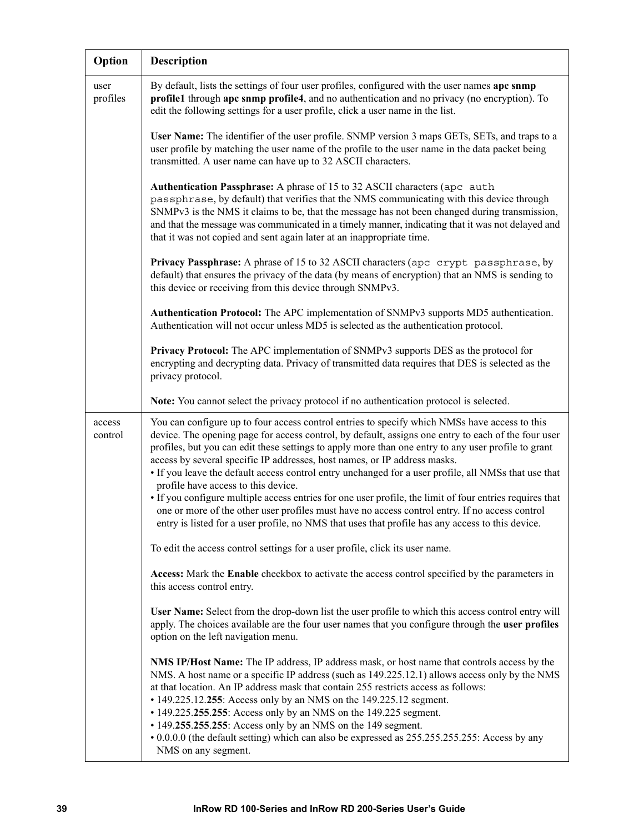| Option            | <b>Description</b>                                                                                                                                                                                                                                                                                                                                                                                                                                                                                                                                                                                                                                                                                                                                                                                                                                        |
|-------------------|-----------------------------------------------------------------------------------------------------------------------------------------------------------------------------------------------------------------------------------------------------------------------------------------------------------------------------------------------------------------------------------------------------------------------------------------------------------------------------------------------------------------------------------------------------------------------------------------------------------------------------------------------------------------------------------------------------------------------------------------------------------------------------------------------------------------------------------------------------------|
| user<br>profiles  | By default, lists the settings of four user profiles, configured with the user names apc snmp<br>profile1 through apc snmp profile4, and no authentication and no privacy (no encryption). To<br>edit the following settings for a user profile, click a user name in the list.                                                                                                                                                                                                                                                                                                                                                                                                                                                                                                                                                                           |
|                   | User Name: The identifier of the user profile. SNMP version 3 maps GETs, SETs, and traps to a<br>user profile by matching the user name of the profile to the user name in the data packet being<br>transmitted. A user name can have up to 32 ASCII characters.                                                                                                                                                                                                                                                                                                                                                                                                                                                                                                                                                                                          |
|                   | Authentication Passphrase: A phrase of 15 to 32 ASCII characters (apc auth<br>passphrase, by default) that verifies that the NMS communicating with this device through<br>SNMPv3 is the NMS it claims to be, that the message has not been changed during transmission,<br>and that the message was communicated in a timely manner, indicating that it was not delayed and<br>that it was not copied and sent again later at an inappropriate time.                                                                                                                                                                                                                                                                                                                                                                                                     |
|                   | Privacy Passphrase: A phrase of 15 to 32 ASCII characters (apc crypt passphrase, by<br>default) that ensures the privacy of the data (by means of encryption) that an NMS is sending to<br>this device or receiving from this device through SNMPv3.                                                                                                                                                                                                                                                                                                                                                                                                                                                                                                                                                                                                      |
|                   | Authentication Protocol: The APC implementation of SNMPv3 supports MD5 authentication.<br>Authentication will not occur unless MD5 is selected as the authentication protocol.                                                                                                                                                                                                                                                                                                                                                                                                                                                                                                                                                                                                                                                                            |
|                   | Privacy Protocol: The APC implementation of SNMPv3 supports DES as the protocol for<br>encrypting and decrypting data. Privacy of transmitted data requires that DES is selected as the<br>privacy protocol.                                                                                                                                                                                                                                                                                                                                                                                                                                                                                                                                                                                                                                              |
|                   | Note: You cannot select the privacy protocol if no authentication protocol is selected.                                                                                                                                                                                                                                                                                                                                                                                                                                                                                                                                                                                                                                                                                                                                                                   |
| access<br>control | You can configure up to four access control entries to specify which NMSs have access to this<br>device. The opening page for access control, by default, assigns one entry to each of the four user<br>profiles, but you can edit these settings to apply more than one entry to any user profile to grant<br>access by several specific IP addresses, host names, or IP address masks.<br>• If you leave the default access control entry unchanged for a user profile, all NMSs that use that<br>profile have access to this device.<br>• If you configure multiple access entries for one user profile, the limit of four entries requires that<br>one or more of the other user profiles must have no access control entry. If no access control<br>entry is listed for a user profile, no NMS that uses that profile has any access to this device. |
|                   | To edit the access control settings for a user profile, click its user name.                                                                                                                                                                                                                                                                                                                                                                                                                                                                                                                                                                                                                                                                                                                                                                              |
|                   | Access: Mark the Enable checkbox to activate the access control specified by the parameters in<br>this access control entry.                                                                                                                                                                                                                                                                                                                                                                                                                                                                                                                                                                                                                                                                                                                              |
|                   | User Name: Select from the drop-down list the user profile to which this access control entry will<br>apply. The choices available are the four user names that you configure through the user profiles<br>option on the left navigation menu.                                                                                                                                                                                                                                                                                                                                                                                                                                                                                                                                                                                                            |
|                   | NMS IP/Host Name: The IP address, IP address mask, or host name that controls access by the<br>NMS. A host name or a specific IP address (such as 149.225.12.1) allows access only by the NMS<br>at that location. An IP address mask that contain 255 restricts access as follows:<br>• 149.225.12.255: Access only by an NMS on the 149.225.12 segment.<br>• 149.225.255.255: Access only by an NMS on the 149.225 segment.<br>• 149.255.255.255: Access only by an NMS on the 149 segment.<br>• 0.0.0.0 (the default setting) which can also be expressed as 255.255.255.255: Access by any<br>NMS on any segment.                                                                                                                                                                                                                                     |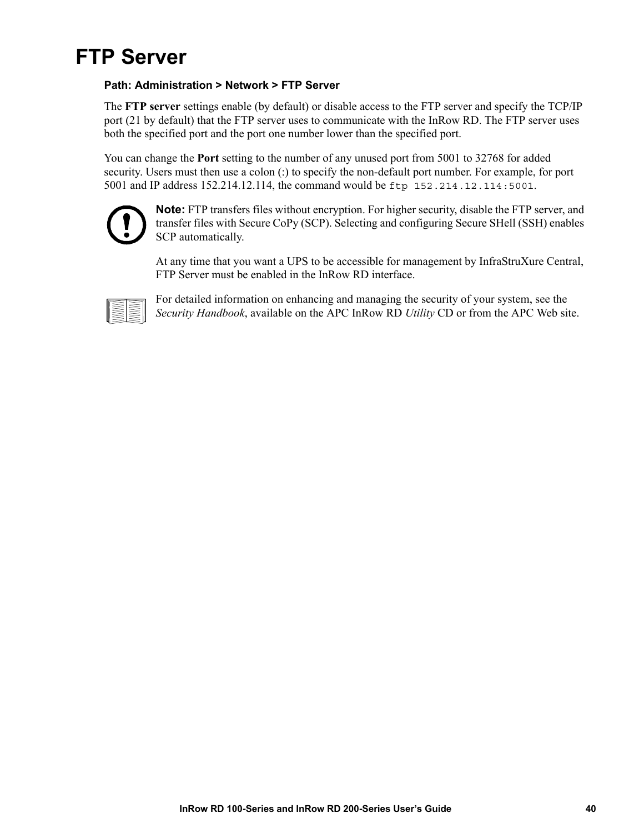

#### **Path: Administration > Network > FTP Server**

The **FTP server** settings enable (by default) or disable access to the FTP server and specify the TCP/IP port (21 by default) that the FTP server uses to communicate with the InRow RD. The FTP server uses both the specified port and the port one number lower than the specified port.

You can change the **Port** setting to the number of any unused port from 5001 to 32768 for added security. Users must then use a colon (:) to specify the non-default port number. For example, for port 5001 and IP address 152.214.12.114, the command would be ftp 152.214.12.114:5001.



<span id="page-46-0"></span>**Note:** FTP transfers files without encryption. For higher security, disable the FTP server, and transfer files with Secure CoPy (SCP). Selecting and configuring Secure SHell (SSH) enables SCP automatically.

At any time that you want a UPS to be accessible for management by InfraStruXure Central, FTP Server must be enabled in the InRow RD interface.



For detailed information on enhancing and managing the security of your system, see the *Security Handbook*, available on the APC InRow RD *Utility* CD or from the APC Web site.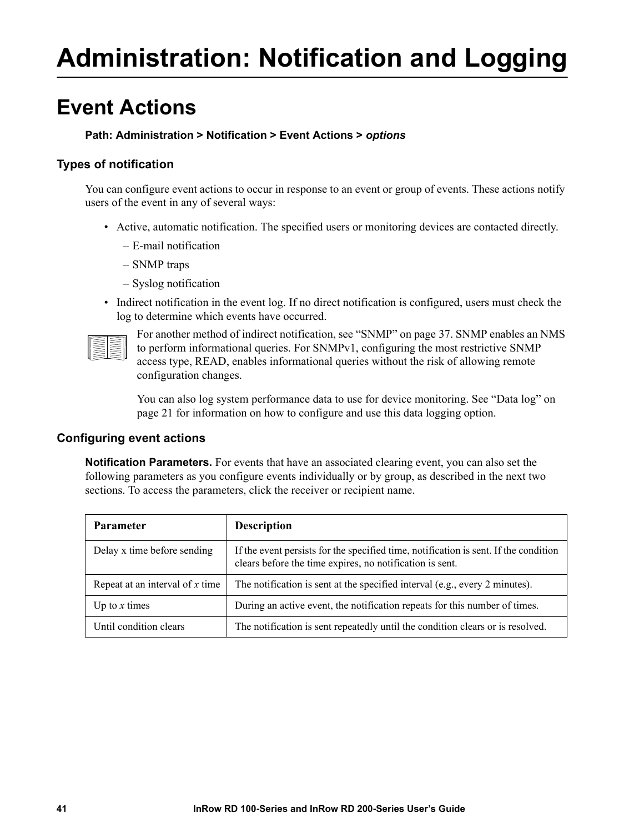# **Administration: Notification and Logging**

## **Event Actions**

#### <span id="page-47-0"></span>**Path: Administration > Notification > Event Actions >** *options*

#### **Types of notification**

You can configure event actions to occur in response to an event or group of events. These actions notify users of the event in any of several ways:

- Active, automatic notification. The specified users or monitoring devices are contacted directly.
	- E-mail notification
	- SNMP traps
	- Syslog notification
- Indirect notification in the event log. If no direct no[tification is configure](#page-43-0)d, users must check the log to determine which events have occurred.



For another method of indirect notification, see "SNMP" on page 37. SNMP enables an NMS to perform informational queries. For SNMPv1, configuring the most restrictive SNMP access type, READ, enables informational queries without the risk of allowing remote configuration changes.

[You can](#page-27-0) also log system performance data to use for device monitoring. See "Data log" on page 21 for information on how to configure and use this data logging option.

#### **Configuring event actions**

**Notification Parameters.** For events that have an associated clearing event, you can also set the following parameters as you configure events individually or by group, as described in the next two sections. To access the parameters, click the receiver or recipient name.

| <b>Parameter</b>                  | <b>Description</b>                                                                                                                               |
|-----------------------------------|--------------------------------------------------------------------------------------------------------------------------------------------------|
| Delay x time before sending       | If the event persists for the specified time, notification is sent. If the condition<br>clears before the time expires, no notification is sent. |
| Repeat at an interval of $x$ time | The notification is sent at the specified interval (e.g., every 2 minutes).                                                                      |
| Up to $x$ times                   | During an active event, the notification repeats for this number of times.                                                                       |
| Until condition clears            | The notification is sent repeatedly until the condition clears or is resolved.                                                                   |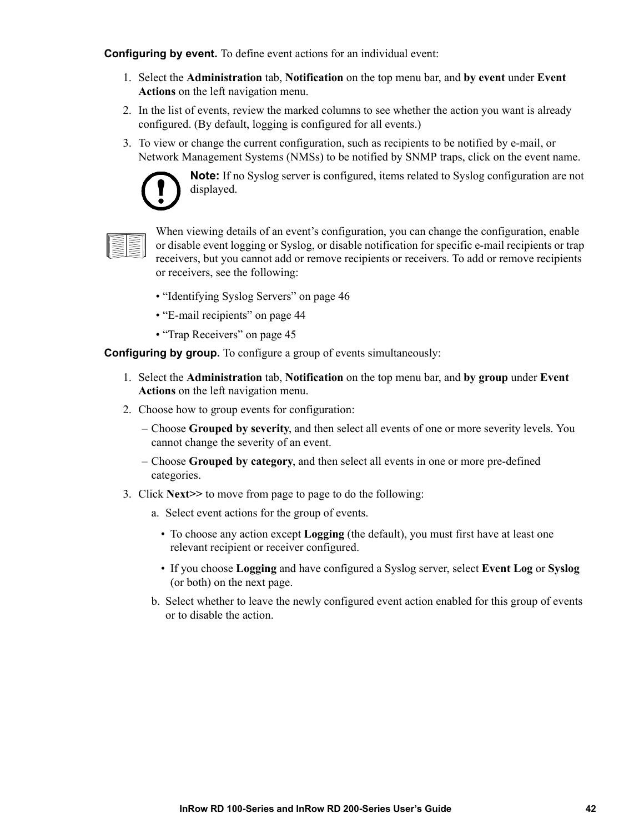**Configuring by event.** To define event actions for an individual event:

- 1. Select the **Administration** tab, **Notification** on the top menu bar, and **by event** under **Event Actions** on the left navigation menu.
- 2. In the list of events, review the marked columns to see whether the action you want is already configured. (By default, logging is configured for all events.)
- 3. To view or change the current configuration, such as recipients to be notified by e-mail, or Network Management Systems (NMSs) to be notified by SNMP traps, click on the event name.



**Note:** If no Syslog server is configured, items related to Syslog configuration are not displayed.



When viewing details of an event's configuration, you can change the configuration, enable or disable event logging or Syslog, or disable notification for specific e-mail recipients or trap receivers, but you cannot add or remove recipients or receivers. To add or remove recipients or receivers, see the following:

- "Identifying Syslog Servers" on page 46
- "E-mail recipients" on page 44
- "Trap Receivers" on page 45

<span id="page-48-0"></span>**Configuring by group.** To configure a group of events simultaneously:

- 1. Select the **Administration** tab, **Notification** on the top menu bar, and **by group** under **Event Actions** on the left navigation menu.
- 2. Choose how to group events for configuration:
	- Choose **Grouped by severity**, and then select all events of one or more severity levels. You cannot change the severity of an event.
	- Choose **Grouped by category**, and then select all events in one or more pre-defined categories.
- 3. Click **Next>>** to move from page to page to do the following:
	- a. Select event actions for the group of events.
		- To choose any action except **Logging** (the default), you must first have at least one relevant recipient or receiver configured.
		- If you choose **Logging** and have configured a Syslog server, select **Event Log** or **Syslog** (or both) on the next page.
	- b. Select whether to leave the newly configured event action enabled for this group of events or to disable the action.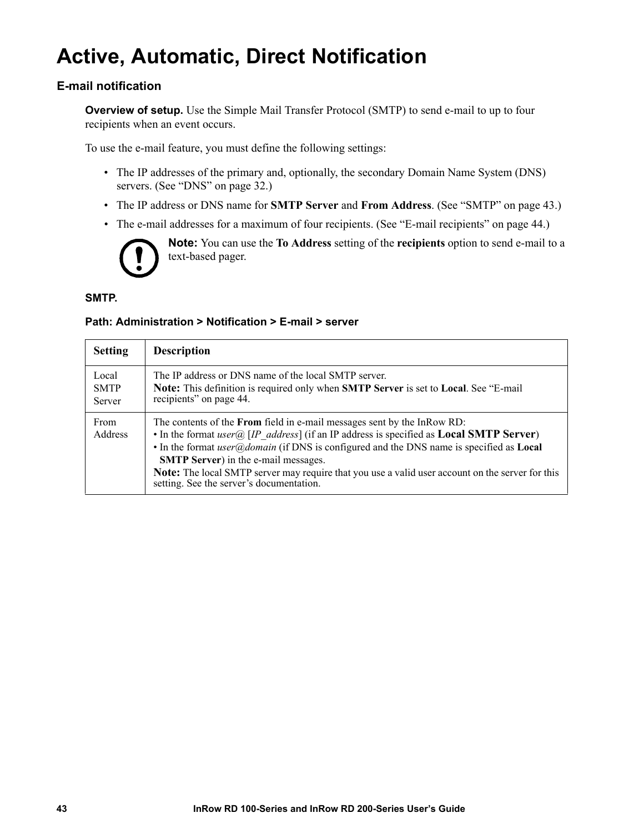# **Active, Automatic, Direct Notification**

#### **E-mail notification**

**Overview of setup.** Use the Simple Mail Transfer Protocol (SMTP) to send e-mail to up to four recipients when an event occurs.

To use the e-mail feature, you must define the following settings:

- The IP a[ddresses of the primary a](#page-38-0)nd, optionally, the secondary Domain Name System (DNS) servers. (See "DNS" on page 32.)
- The IP address or DNS name for **SMTP Server** and **From Address**. (See "SMTP" on page 43.)
- The e-mail addresses for a maximum of four recipients. (See "E-mail recipients" on page 44.)



**Note:** You can use the **To Address** setting of the **recipients** option to send e-mail to a text-based pager.

#### **SMTP.**

#### **Path: Administration > Notification > E-mail > server**

<span id="page-49-0"></span>

| <b>Setting</b>                 | <b>Description</b>                                                                                                                                                                                                                                                                                                                                                                                                                                                                                                                              |
|--------------------------------|-------------------------------------------------------------------------------------------------------------------------------------------------------------------------------------------------------------------------------------------------------------------------------------------------------------------------------------------------------------------------------------------------------------------------------------------------------------------------------------------------------------------------------------------------|
| Local<br><b>SMTP</b><br>Server | The IP address or DNS name of the local SMTP server.<br>Note: This definition is required only when SMTP Server is set to Local. See "E-mail<br>recipients" on page 44.                                                                                                                                                                                                                                                                                                                                                                         |
| From<br><b>Address</b>         | The contents of the <b>From</b> field in e-mail messages sent by the InRow RD:<br>• In the format <i>user</i> $\widehat{a}$ [ <i>IP address</i> ] (if an IP address is specified as <b>Local SMTP Server</b> )<br>• In the format <i>user</i> $\omega$ <i>domain</i> (if DNS is configured and the DNS name is specified as <b>Local</b><br><b>SMTP Server</b> ) in the e-mail messages.<br><b>Note:</b> The local SMTP server may require that you use a valid user account on the server for this<br>setting. See the server's documentation. |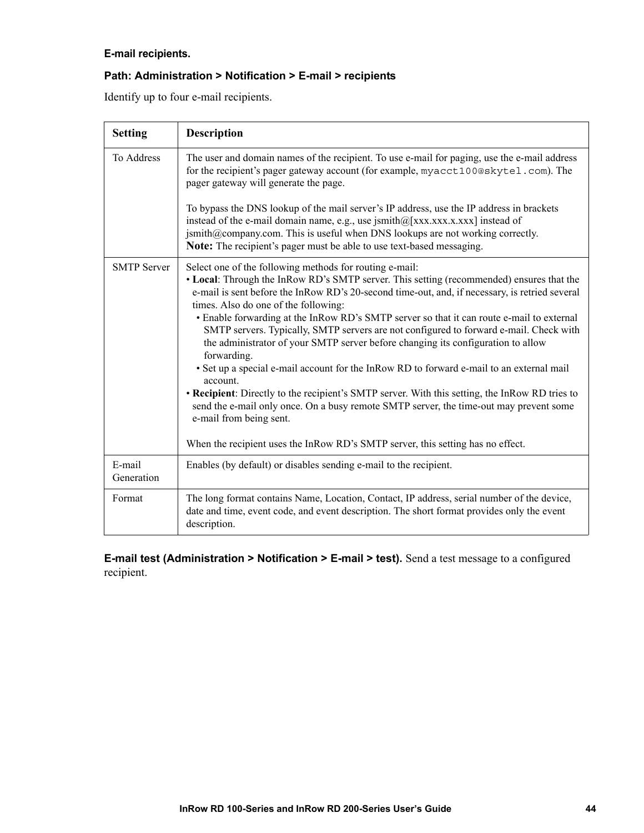#### <span id="page-50-1"></span>**E-mail recipients.**

#### **Path: Administration > Notification > E-mail > recipients**

Identify up to four e-mail recipients.

<span id="page-50-3"></span>

| <b>Setting</b>       | <b>Description</b>                                                                                                                                                                                                                                                                                                                                                                                                                                                                                                                                                                                                                                                                                                                                                                                                                                                                                                                                                                                        |
|----------------------|-----------------------------------------------------------------------------------------------------------------------------------------------------------------------------------------------------------------------------------------------------------------------------------------------------------------------------------------------------------------------------------------------------------------------------------------------------------------------------------------------------------------------------------------------------------------------------------------------------------------------------------------------------------------------------------------------------------------------------------------------------------------------------------------------------------------------------------------------------------------------------------------------------------------------------------------------------------------------------------------------------------|
| To Address           | The user and domain names of the recipient. To use e-mail for paging, use the e-mail address<br>for the recipient's pager gateway account (for example, myacct100@skytel.com). The<br>pager gateway will generate the page.                                                                                                                                                                                                                                                                                                                                                                                                                                                                                                                                                                                                                                                                                                                                                                               |
|                      | To bypass the DNS lookup of the mail server's IP address, use the IP address in brackets<br>instead of the e-mail domain name, e.g., use jsmith $@$ [xxx.xxx.x.xxx] instead of<br>jsmith@company.com. This is useful when DNS lookups are not working correctly.<br>Note: The recipient's pager must be able to use text-based messaging.                                                                                                                                                                                                                                                                                                                                                                                                                                                                                                                                                                                                                                                                 |
| <b>SMTP Server</b>   | Select one of the following methods for routing e-mail:<br>• Local: Through the InRow RD's SMTP server. This setting (recommended) ensures that the<br>e-mail is sent before the InRow RD's 20-second time-out, and, if necessary, is retried several<br>times. Also do one of the following:<br>• Enable forwarding at the InRow RD's SMTP server so that it can route e-mail to external<br>SMTP servers. Typically, SMTP servers are not configured to forward e-mail. Check with<br>the administrator of your SMTP server before changing its configuration to allow<br>forwarding.<br>• Set up a special e-mail account for the InRow RD to forward e-mail to an external mail<br>account.<br>• Recipient: Directly to the recipient's SMTP server. With this setting, the InRow RD tries to<br>send the e-mail only once. On a busy remote SMTP server, the time-out may prevent some<br>e-mail from being sent.<br>When the recipient uses the InRow RD's SMTP server, this setting has no effect. |
| E-mail<br>Generation | Enables (by default) or disables sending e-mail to the recipient.                                                                                                                                                                                                                                                                                                                                                                                                                                                                                                                                                                                                                                                                                                                                                                                                                                                                                                                                         |
| Format               | The long format contains Name, Location, Contact, IP address, serial number of the device,<br>date and time, event code, and event description. The short format provides only the event<br>description.                                                                                                                                                                                                                                                                                                                                                                                                                                                                                                                                                                                                                                                                                                                                                                                                  |

<span id="page-50-2"></span><span id="page-50-0"></span>**E-mail test (Administration > Notification > E-mail > test).** Send a test message to a configured recipient.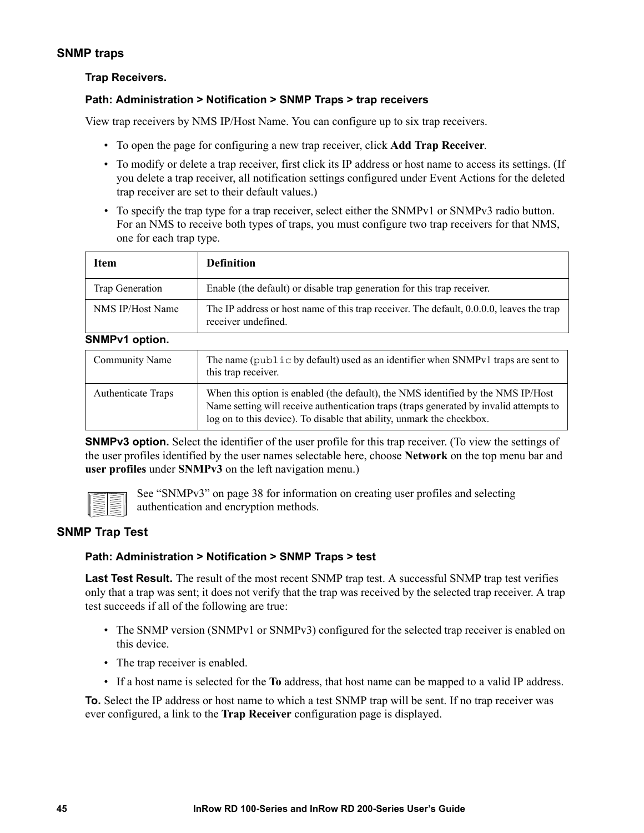#### **SNMP traps**

#### **Trap Receivers.**

#### **Path: Administration > Notification > SNMP Traps > trap receivers**

View trap receivers by NMS IP/Host Name. You can configure up to six trap receivers.

- To open the page for configuring a new trap receiver, click **Add Trap Receiver**.
- To modify or delete a trap receiver, first click its IP address or host name to access its settings. (If you delete a trap receiver, all notification settings configured under Event Actions for the deleted trap receiver are set to their default values.)
- To specify the trap type for a trap receiver, select either the SNMPv1 or SNMPv3 radio button. For an NMS to receive both types of traps, you must configure two trap receivers for that NMS, one for each trap type.

| Item             | <b>Definition</b>                                                                                               |  |
|------------------|-----------------------------------------------------------------------------------------------------------------|--|
| Trap Generation  | Enable (the default) or disable trap generation for this trap receiver.                                         |  |
| NMS IP/Host Name | The IP address or host name of this trap receiver. The default, 0.0.0.0, leaves the trap<br>receiver undefined. |  |
| SNMPv1 option.   |                                                                                                                 |  |
| Community Name   | The name (public by default) used as an identifier when SNMPv1 traps are sent to                                |  |

<span id="page-51-1"></span><span id="page-51-0"></span>

| Community Name            | The name (public by default) used as an identifier when SNMPv1 traps are sent to<br>this trap receiver.                                                                                                                                             |
|---------------------------|-----------------------------------------------------------------------------------------------------------------------------------------------------------------------------------------------------------------------------------------------------|
| <b>Authenticate Traps</b> | When this option is enabled (the default), the NMS identified by the NMS IP/Host<br>Name setting will receive authentication traps (traps generated by invalid attempts to<br>log on to this device). To disable that ability, unmark the checkbox. |

**SNMPv3 option.** Select the identifier of the user profile for this trap receiver. (To view the settings of the user profiles identified by the user names selectable here, choose **Network** on the top menu bar and **user profiles** under **[SNMPv3](#page-44-0)** on the left navigation menu.)



See "SNMPv3" on page 38 for information on creating user profiles and selecting authentication and encryption methods.

#### **SNMP Trap Test**

#### **Path: Administration > Notification > SNMP Traps > test**

**Last Test Result.** The result of the most recent SNMP trap test. A successful SNMP trap test verifies only that a trap was sent; it does not verify that the trap was received by the selected trap receiver. A trap test succeeds if all of the following are true:

- The SNMP version (SNMPv1 or SNMPv3) configured for the selected trap receiver is enabled on this device.
- The trap receiver is enabled.
- If a host name is selected for the **To** address, that host name can be mapped to a valid IP address.

**To.** Select the IP address or host name to which a test SNMP trap will be sent. If no trap receiver was ever configured, a link to the **Trap Receiver** configuration page is displayed.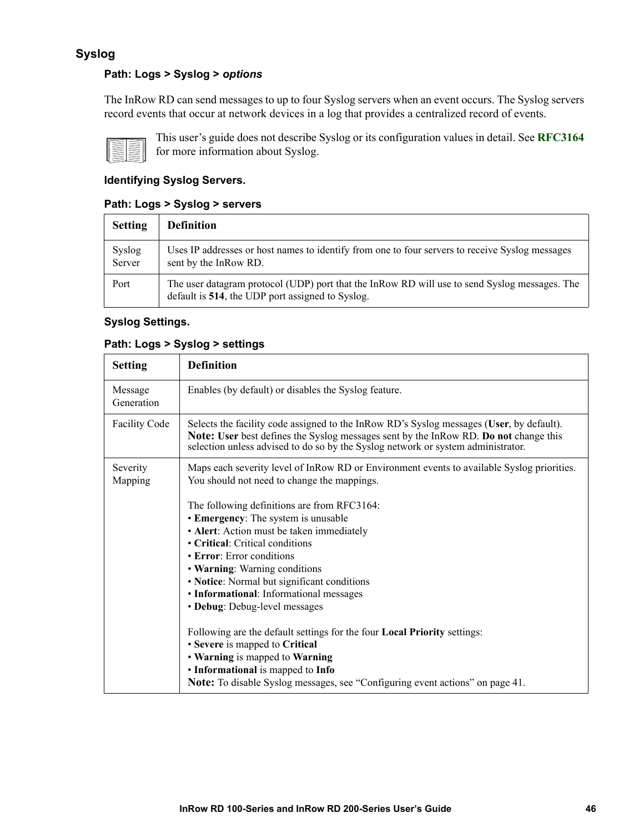#### **Syslog**

#### **Path: Logs > Syslog >** *options*

The InRow RD can send messages to up to four Syslog servers when an event occurs. The Syslog servers record events that occur at network devices in a log that provides a centralized record of even[ts.](http://www.ietf.org/rfc/rfc3164.txt?number=3164)



This user's guide does not describe Syslog or its configuration values in detail. See **RFC3164** for more information about Syslog.

#### **Identifying Syslog Servers.**

#### **Path: Logs > Syslog > servers**

| <b>Setting</b>   | <b>Definition</b>                                                                                                                                 |
|------------------|---------------------------------------------------------------------------------------------------------------------------------------------------|
| Syslog<br>Server | Uses IP addresses or host names to identify from one to four servers to receive Syslog messages<br>sent by the InRow RD.                          |
| Port             | The user datagram protocol (UDP) port that the InRow RD will use to send Syslog messages. The<br>default is 514, the UDP port assigned to Syslog. |

#### **Syslog Settings.**

#### **Path: Logs > Syslog > settings**

| <b>Setting</b>        | <b>Definition</b>                                                                                                                                                                                                                                                                                                                                                                                                                                                                                                                                                                                                                                                                             |
|-----------------------|-----------------------------------------------------------------------------------------------------------------------------------------------------------------------------------------------------------------------------------------------------------------------------------------------------------------------------------------------------------------------------------------------------------------------------------------------------------------------------------------------------------------------------------------------------------------------------------------------------------------------------------------------------------------------------------------------|
| Message<br>Generation | Enables (by default) or disables the Syslog feature.                                                                                                                                                                                                                                                                                                                                                                                                                                                                                                                                                                                                                                          |
| <b>Facility Code</b>  | Selects the facility code assigned to the InRow RD's Syslog messages (User, by default).<br>Note: User best defines the Syslog messages sent by the InRow RD. Do not change this<br>selection unless advised to do so by the Syslog network or system administrator.                                                                                                                                                                                                                                                                                                                                                                                                                          |
| Severity<br>Mapping   | Maps each severity level of InRow RD or Environment events to available Syslog priorities.<br>You should not need to change the mappings.<br>The following definitions are from RFC3164:<br>• Emergency: The system is unusable<br>• Alert: Action must be taken immediately<br>• Critical: Critical conditions<br>• Error: Error conditions<br>• Warning: Warning conditions<br>• Notice: Normal but significant conditions<br>• Informational: Informational messages<br>• Debug: Debug-level messages<br>Following are the default settings for the four Local Priority settings:<br>• Severe is mapped to Critical<br>• Warning is mapped to Warning<br>• Informational is mapped to Info |
|                       | Note: To disable Syslog messages, see "Configuring event actions" on page 41.                                                                                                                                                                                                                                                                                                                                                                                                                                                                                                                                                                                                                 |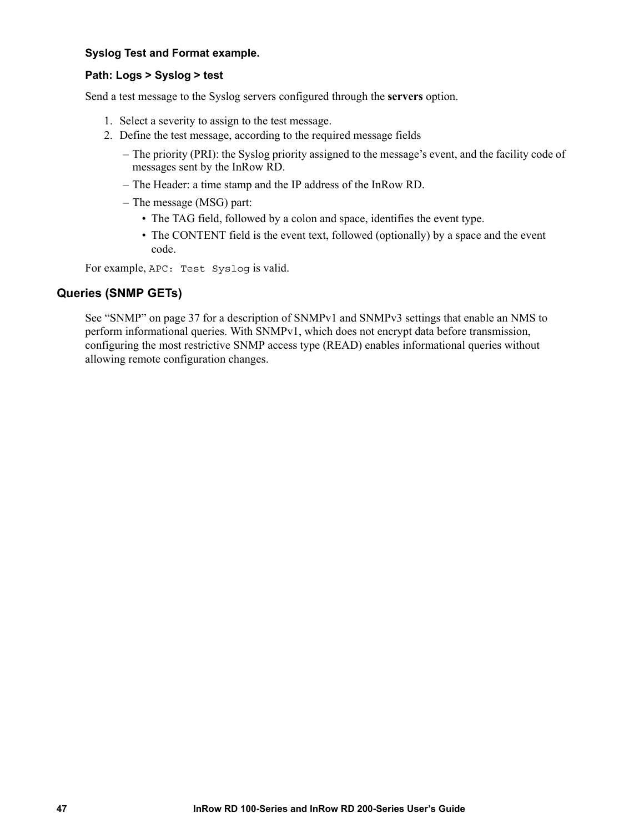#### **Syslog Test and Format example.**

#### **Path: Logs > Syslog > test**

Send a test message to the Syslog servers configured through the **servers** option.

- 1. Select a severity to assign to the test message.
- 2. Define the test message, according to the required message fields
	- The priority (PRI): the Syslog priority assigned to the message's event, and the facility code of messages sent by the InRow RD.
	- The Header: a time stamp and the IP address of the InRow RD.
	- The message (MSG) part:
		- The TAG field, followed by a colon and space, identifies the event type.
		- The CONTENT field is the event text, followed (optionally) by a space and the event code.

For example, APC: Test Syslog is valid.

#### **Queries [\(SNMP GETs\)](#page-43-0)**

See "SNMP" on page 37 for a description of SNMPv1 and SNMPv3 settings that enable an NMS to perform informational queries. With SNMPv1, which does not encrypt data before transmission, configuring the most restrictive SNMP access type (READ) enables informational queries without allowing remote configuration changes.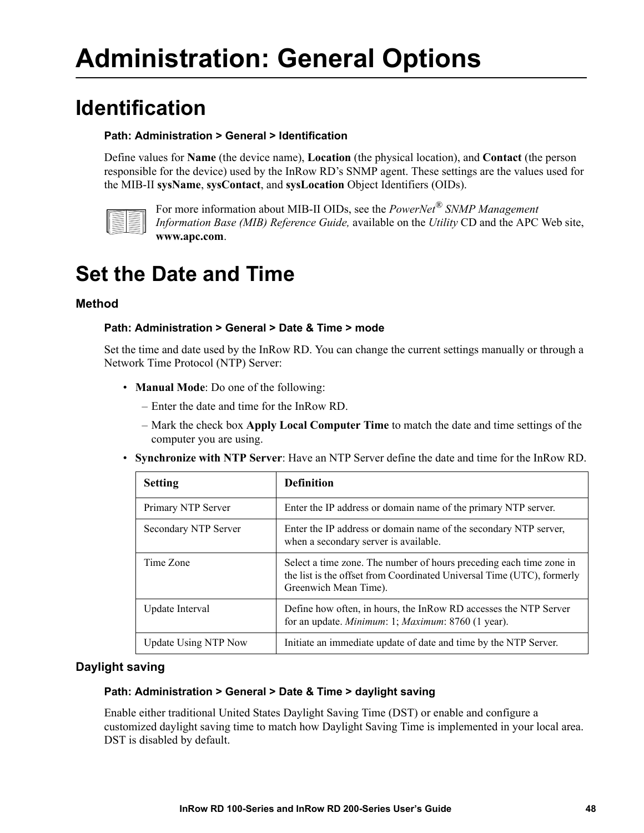# **Administration: General Options**

## **Identification**

#### <span id="page-54-2"></span>**Path: Administration > General > Identification**

Define values for **Name** (the device name), **Location** (the physical location), and **Contact** (the person responsible for the device) used by the InRow RD's SNMP agent. These settings are the values used for the MIB-II **sysName**, **sysContact**, and **sysLocation** Object Identifiers (OIDs).



[For more inform](http://www.apc.com)ation about MIB-II OIDs, see the *PowerNet® SNMP Management Information Base (MIB) Reference Guide,* available on the *Utility* CD and the APC Web site, **www.apc.com**.

# **Set the Date and Time**

#### **Method**

#### <span id="page-54-0"></span>**Path: Administration > General > Date & Time > mode**

Set the time and date used by the InRow RD. You can change the current settings manually or through a Network Time Protocol (NTP) Server:

- **Manual Mode**: Do one of the following:
	- Enter the date and time for the InRow RD.
	- Mark the check box **Apply Local Computer Time** to match the date and time settings of the computer you are using.
- **Synchronize with NTP Server**: Have an NTP Server define the date and time for the InRow RD.

| <b>Setting</b>       | <b>Definition</b>                                                                                                                                                      |
|----------------------|------------------------------------------------------------------------------------------------------------------------------------------------------------------------|
| Primary NTP Server   | Enter the IP address or domain name of the primary NTP server.                                                                                                         |
| Secondary NTP Server | Enter the IP address or domain name of the secondary NTP server,<br>when a secondary server is available.                                                              |
| Time Zone            | Select a time zone. The number of hours preceding each time zone in<br>the list is the offset from Coordinated Universal Time (UTC), formerly<br>Greenwich Mean Time). |
| Update Interval      | Define how often, in hours, the InRow RD accesses the NTP Server<br>for an update. Minimum: 1; Maximum: 8760 (1 year).                                                 |
| Update Using NTP Now | Initiate an immediate update of date and time by the NTP Server.                                                                                                       |

#### **Daylight saving**

#### <span id="page-54-1"></span>**Path: Administration > General > Date & Time > daylight saving**

Enable either traditional United States Daylight Saving Time (DST) or enable and configure a customized daylight saving time to match how Daylight Saving Time is implemented in your local area. DST is disabled by default.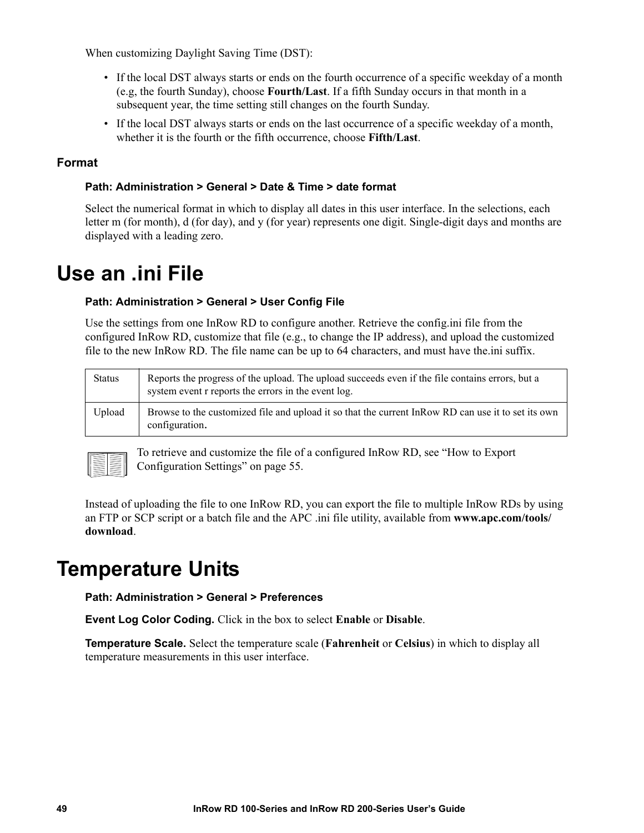When customizing Daylight Saving Time (DST):

- If the local DST always starts or ends on the fourth occurrence of a specific weekday of a month (e.g, the fourth Sunday), choose **Fourth/Last**. If a fifth Sunday occurs in that month in a subsequent year, the time setting still changes on the fourth Sunday.
- <span id="page-55-0"></span>• If the local DST always starts or ends on the last occurrence of a specific weekday of a month, whether it is the fourth or the fifth occurrence, choose **Fifth/Last**.

#### **Format**

#### **Path: Administration > General > Date & Time > date format**

Select the numerical format in which to display all dates in this user interface. In the selections, each letter m (for month), d (for day), and y (for year) represents one digit. Single-digit days and months are displayed with a leading zero.

### **Use an .ini File**

#### **Path: Administration > General > User Config File**

Use the settings from one InRow RD to configure another. Retrieve the config.ini file from the configured InRow RD, customize that file (e.g., to change the IP address), and upload the customized file to the new InRow RD. The file name can be up to 64 characters, and must have the.ini suffix.

| <b>Status</b> | Reports the progress of the upload. The upload succeeds even if the file contains errors, but a<br>system event r reports the errors in the event log. |
|---------------|--------------------------------------------------------------------------------------------------------------------------------------------------------|
| Upload        | Browse to the customized file and upload it so that the current In Row RD can use it to set its own<br>configuration.                                  |



[To retrieve and customize the file of](#page-61-0) a configured InRow RD, see "How to Export Configuration Settings" on page 55.

[Instead of](http://www.apc.com/tools/download) uploading the file to one InRow RD, you can export the file to multi[ple InRow RDs by using](http://www.apc.com/tools/download)  an FTP or SCP script or a batch file and the APC .ini file utility, available from **www.apc.com/tools/ download**.

### **Temperature Units**

**Path: Administration > General > Preferences**

**Event Log Color Coding.** Click in the box to select **Enable** or **Disable**.

**Temperature Scale.** Select the temperature scale (**Fahrenheit** or **Celsius**) in which to display all temperature measurements in this user interface.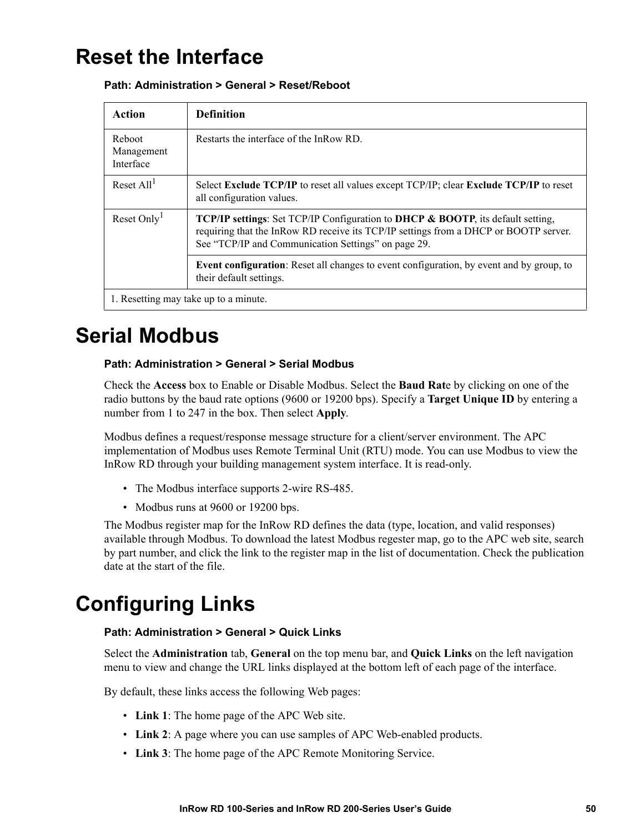### **Reset the Interface**

#### **Path: Administration > General > Reset/Reboot**

| Action                                | <b>Definition</b>                                                                                                                                                                                                                     |
|---------------------------------------|---------------------------------------------------------------------------------------------------------------------------------------------------------------------------------------------------------------------------------------|
| Reboot<br>Management<br>Interface     | Restarts the interface of the InRow RD                                                                                                                                                                                                |
| Reset $All1$                          | Select Exclude TCP/IP to reset all values except TCP/IP; clear Exclude TCP/IP to reset<br>all configuration values.                                                                                                                   |
| Reset Only <sup>1</sup>               | <b>TCP/IP settings:</b> Set TCP/IP Configuration to DHCP & BOOTP, its default setting,<br>requiring that the InRow RD receive its TCP/IP settings from a DHCP or BOOTP server.<br>See "TCP/IP and Communication Settings" on page 29. |
|                                       | <b>Event configuration</b> : Reset all changes to event configuration, by event and by group, to<br>their default settings.                                                                                                           |
| 1. Resetting may take up to a minute. |                                                                                                                                                                                                                                       |

### **Serial Modbus**

#### **Path: Administration > General > Serial Modbus**

Check the **Access** box to Enable or Disable Modbus. Select the **Baud Rat**e by clicking on one of the radio buttons by the baud rate options (9600 or 19200 bps). Specify a **Target Unique ID** by entering a number from 1 to 247 in the box. Then select **Apply**.

Modbus defines a request/response message structure for a client/server environment. The APC implementation of Modbus uses Remote Terminal Unit (RTU) mode. You can use Modbus to view the InRow RD through your building management system interface. It is read-only.

- The Modbus interface supports 2-wire RS-485.
- <span id="page-56-0"></span>• Modbus runs at 9600 or 19200 bps.

The Modbus register map for the InRow RD defines the data (type, location, and valid responses) available through Modbus. To download the latest Modbus regester map, go to the APC web site, search by part number, and click the link to the register map in the list of documentation. Check the publication date at the start of the file.

# **Configuring Links**

#### **Path: Administration > General > Quick Links**

Select the **Administration** tab, **General** on the top menu bar, and **Quick Links** on the left navigation menu to view and change the URL links displayed at the bottom left of each page of the interface.

By default, these links access the following Web pages:

- **Link 1**: The home page of the APC Web site.
- **Link 2**: A page where you can use samples of APC Web-enabled products.
- **Link 3**: The home page of the APC Remote Monitoring Service.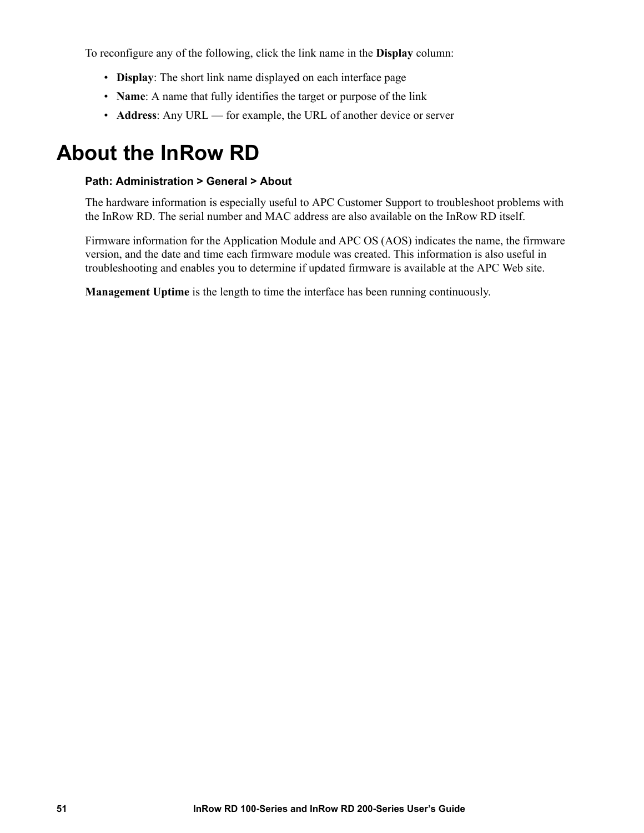To reconfigure any of the following, click the link name in the **Display** column:

- **Display**: The short link name displayed on each interface page
- **Name**: A name that fully identifies the target or purpose of the link
- **Address**: Any URL for example, the URL of another device or server

### **About the InRow RD**

#### **Path: Administration > General > About**

The hardware information is especially useful to APC Customer Support to troubleshoot problems with the InRow RD. The serial number and MAC address are also available on the InRow RD itself.

Firmware information for the Application Module and APC OS (AOS) indicates the name, the firmware version, and the date and time each firmware module was created. This information is also useful in troubleshooting and enables you to determine if updated firmware is available at the APC Web site.

**Management Uptime** is the length to time the interface has been running continuously.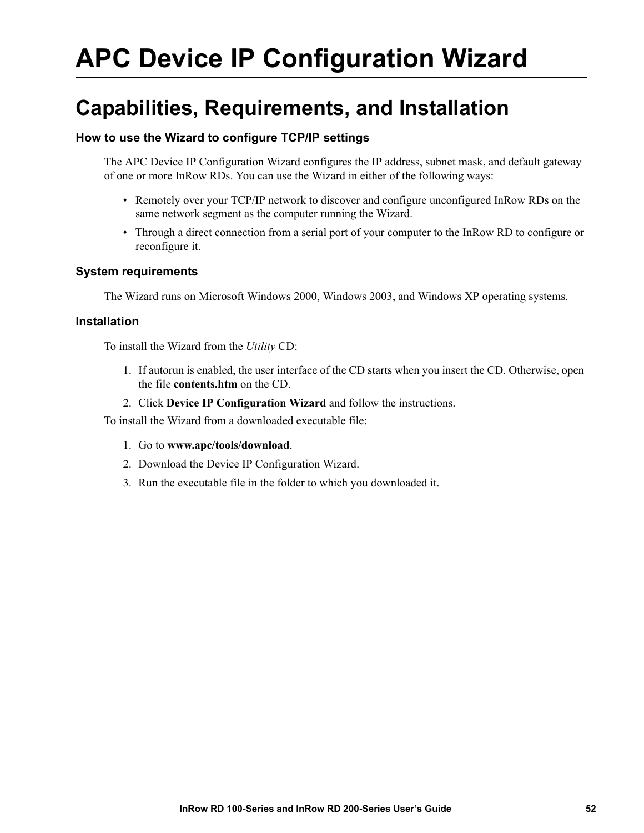# **APC Device IP Configuration Wizard**

### **Capabilities, Requirements, and Installation**

#### **How to use the Wizard to configure TCP/IP settings**

The APC Device IP Configuration Wizard configures the IP address, subnet mask, and default gateway of one or more InRow RDs. You can use the Wizard in either of the following ways:

- Remotely over your TCP/IP network to discover and configure unconfigured InRow RDs on the same network segment as the computer running the Wizard.
- Through a direct connection from a serial port of your computer to the InRow RD to configure or reconfigure it.

#### **System requirements**

The Wizard runs on Microsoft Windows 2000, Windows 2003, and Windows XP operating systems.

#### **Installation**

To install the Wizard from the *Utility* CD:

- 1. If autorun is enabled, the user interface of the CD starts when you insert the CD. Otherwise, open the file **contents.htm** on the CD.
- 2. Click **Device IP Configuration Wizard** and follow the instructions.

To install the [Wizard from a downloaded](http://www.apc.com/tools/download) executable file:

- 1. Go to **www.apc/tools/download**.
- 2. Download the Device IP Configuration Wizard.
- 3. Run the executable file in the folder to which you downloaded it.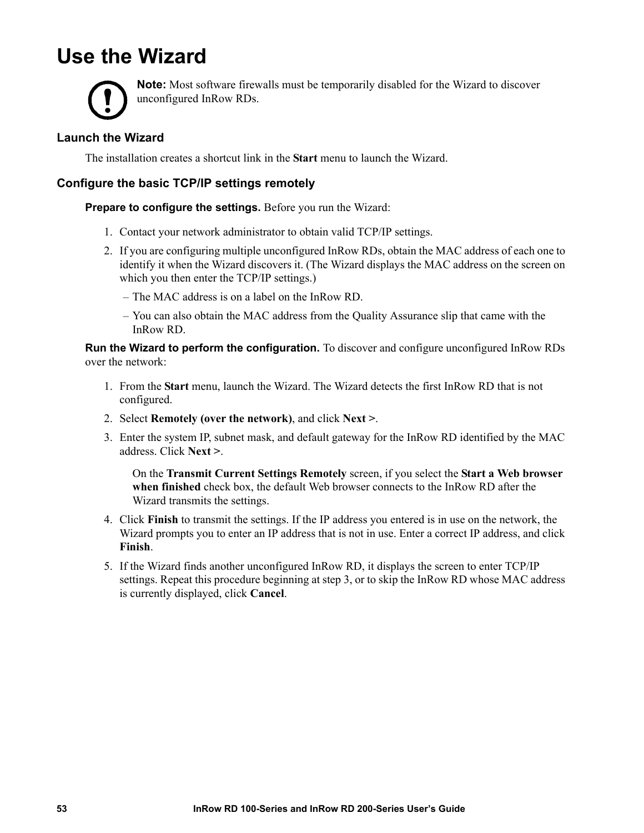### <span id="page-59-0"></span>**Use the Wizard**



**Note:** Most software firewalls must be temporarily disabled for the Wizard to discover unconfigured InRow RDs.

#### **Launch the Wizard**

The installation creates a shortcut link in the **Start** menu to launch the Wizard.

#### **Configure the basic TCP/IP settings remotely**

**Prepare to configure the settings.** Before you run the Wizard:

- 1. Contact your network administrator to obtain valid TCP/IP settings.
- 2. If you are configuring multiple unconfigured InRow RDs, obtain the MAC address of each one to identify it when the Wizard discovers it. (The Wizard displays the MAC address on the screen on which you then enter the TCP/IP settings.)
	- The MAC address is on a label on the InRow RD.
	- You can also obtain the MAC address from the Quality Assurance slip that came with the InRow RD.

**Run the Wizard to perform the configuration.** To discover and configure unconfigured InRow RDs over the network:

- 1. From the **Start** menu, launch the Wizard. The Wizard detects the first InRow RD that is not configured.
- 2. Select **Remotely (over the network)**, and click **Next >**.
- 3. Enter the system IP, subnet mask, and default gateway for the InRow RD identified by the MAC address. Click **Next >**.

On the **Transmit Current Settings Remotely** screen, if you select the **Start a Web browser when finished** check box, the default Web browser connects to the InRow RD after the Wizard transmits the settings.

- 4. Click **Finish** to transmit the settings. If the IP address you entered is in use on the network, the Wizard prompts you to enter an IP address that is not in use. Enter a correct IP address, and click **Finish**.
- 5. If the Wizard finds another unconfigured InRow RD, it displays the screen to enter TCP/IP settings. Repeat this procedure beginning at step 3, or to skip the InRow RD whose MAC address is currently displayed, click **Cancel**.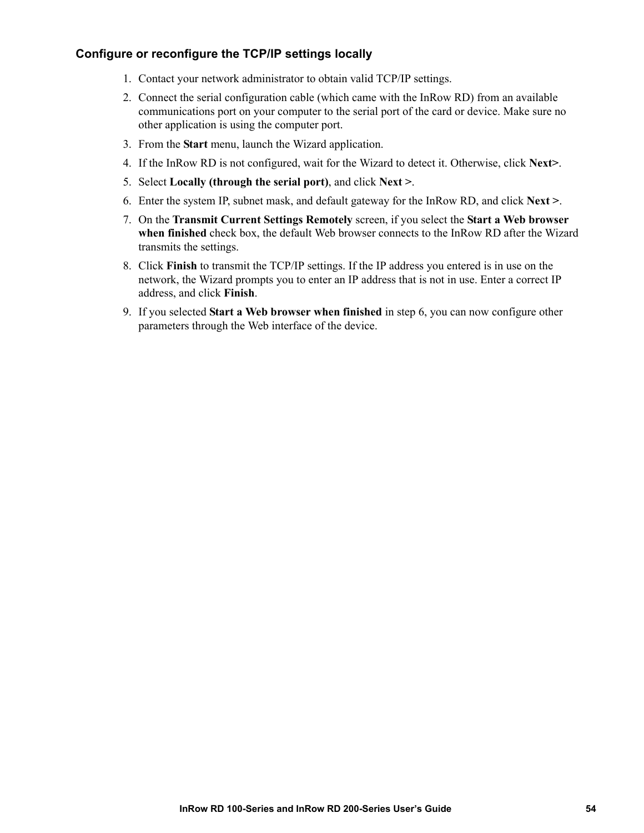#### **Configure or reconfigure the TCP/IP settings locally**

- <span id="page-60-0"></span>1. Contact your network administrator to obtain valid TCP/IP settings.
- 2. Connect the serial configuration cable (which came with the InRow RD) from an available communications port on your computer to the serial port of the card or device. Make sure no other application is using the computer port.
- 3. From the **Start** menu, launch the Wizard application.
- 4. If the InRow RD is not configured, wait for the Wizard to detect it. Otherwise, click **Next>**.
- 5. Select **Locally (through the serial port)**, and click **Next >**.
- 6. Enter the system IP, subnet mask, and default gateway for the InRow RD, and click **Next >**.
- 7. On the **Transmit Current Settings Remotely** screen, if you select the **Start a Web browser when finished** check box, the default Web browser connects to the InRow RD after the Wizard transmits the settings.
- 8. Click **Finish** to transmit the TCP/IP settings. If the IP address you entered is in use on the network, the Wizard prompts you to enter an IP address that is not in use. Enter a correct IP address, and click **Finish**.
- 9. If you selected **Start a Web browser when finished** in step 6, you can now configure other parameters through the Web interface of the device.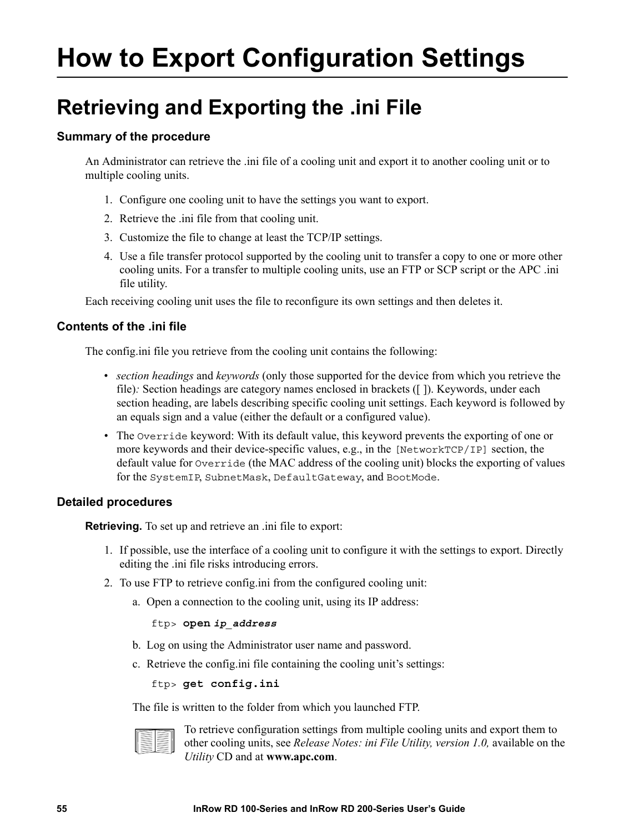# <span id="page-61-0"></span>**How to Export Configuration Settings**

# <span id="page-61-3"></span>**Retrieving and Exporting the .ini File**

#### **Summary of the procedure**

An Administrator can retrieve the .ini file of a cooling unit and export it to another cooling unit or to multiple cooling units.

- <span id="page-61-2"></span>1. Configure one cooling unit to have the settings you want to export.
- 2. Retrieve the .ini file from that cooling unit.
- 3. Customize the file to change at least the TCP/IP settings.
- 4. Use a file transfer protocol supported by the cooling unit to transfer a copy to one or more other cooling units. For a transfer to multiple cooling units, use an FTP or SCP script or the APC .ini file utility.

Each receiving cooling unit uses the file to reconfigure its own settings and then deletes it.

#### <span id="page-61-1"></span>**Contents of the .ini file**

The config.ini file you retrieve from the cooling unit contains the following:

- *section headings* and *keywords* (only those supported for the device from which you retrieve the file): Section headings are category names enclosed in brackets ([1]). Keywords, under each section heading, are labels describing specific cooling unit settings. Each keyword is followed by an equals sign and a value (either the default or a configured value).
- The Override keyword: With its default value, this keyword prevents the exporting of one or more keywords and their device-specific values, e.g., in the [NetworkTCP/IP] section, the default value for Override (the MAC address of the cooling unit) blocks the exporting of values for the SystemIP, SubnetMask, DefaultGateway, and BootMode.

#### **Detailed procedures**

**Retrieving.** To set up and retrieve an .ini file to export:

- 1. If possible, use the interface of a cooling unit to configure it with the settings to export. Directly editing the .ini file risks introducing errors.
- 2. To use FTP to retrieve config.ini from the configured cooling unit:
	- a. Open a connection to the cooling unit, using its IP address:

#### ftp> **open** *ip\_address*

- b. Log on using the Administrator user name and password.
- c. Retrieve the config.ini file containing the cooling unit's settings:

ftp> **get config.ini**

The file is written to the folder from which you launched FTP.



To retrieve confi[guration settings](http://www.apc.com) from multiple cooling units and export them to other cooling units, see *Release Notes: ini File Utility, version 1.0,* available on the *Utility* CD and at **www.apc.com**.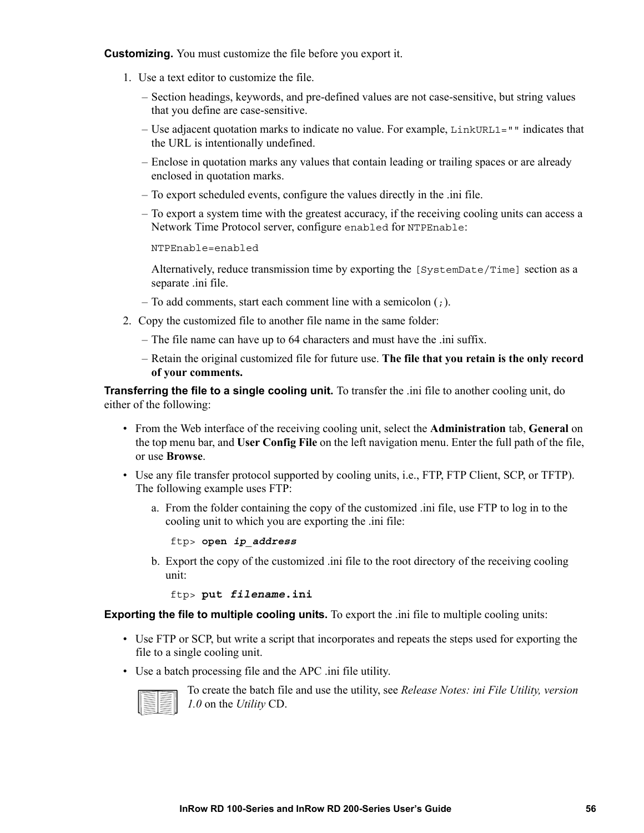**Customizing.** You must customize the file before you export it.

- 1. Use a text editor to customize the file.
	- Section headings, keywords, and pre-defined values are not case-sensitive, but string values that you define are case-sensitive.
	- Use adjacent quotation marks to indicate no value. For example,  $LinkURL1="$ " indicates that the URL is intentionally undefined.
	- Enclose in quotation marks any values that contain leading or trailing spaces or are already enclosed in quotation marks.
	- To export scheduled events, configure the values directly in the .ini file.
	- To export a system time with the greatest accuracy, if the receiving cooling units can access a Network Time Protocol server, configure enabled for NTPEnable:

```
NTPEnable=enabled
```
Alternatively, reduce transmission time by exporting the [SystemDate/Time] section as a separate .ini file.

- To add comments, start each comment line with a semicolon  $(j)$ .
- 2. Copy the customized file to another file name in the same folder:
	- The file name can have up to 64 characters and must have the .ini suffix.
	- Retain the original customized file for future use. **The file that you retain is the only record of your comments.**

**Transferring the file to a single cooling unit.** To transfer the .ini file to another cooling unit, do either of the following:

- From the Web interface of the receiving cooling unit, select the **Administration** tab, **General** on the top menu bar, and **User Config File** on the left navigation menu. Enter the full path of the file, or use **Browse**.
- Use any file transfer protocol supported by cooling units, i.e., FTP, FTP Client, SCP, or TFTP). The following example uses FTP:
	- a. From the folder containing the copy of the customized .ini file, use FTP to log in to the cooling unit to which you are exporting the .ini file:

ftp> **open** *ip\_address*

b. Export the copy of the customized .ini file to the root directory of the receiving cooling unit:

ftp> **put** *filename***.ini**

**Exporting the file to multiple cooling units.** To export the .ini file to multiple cooling units:

- Use FTP or SCP, but write a script that incorporates and repeats the steps used for exporting the file to a single cooling unit.
- Use a batch processing file and the APC .ini file utility.



To create the batch file and use the utility, see *Release Notes: ini File Utility, version 1.0* on the *Utility* CD.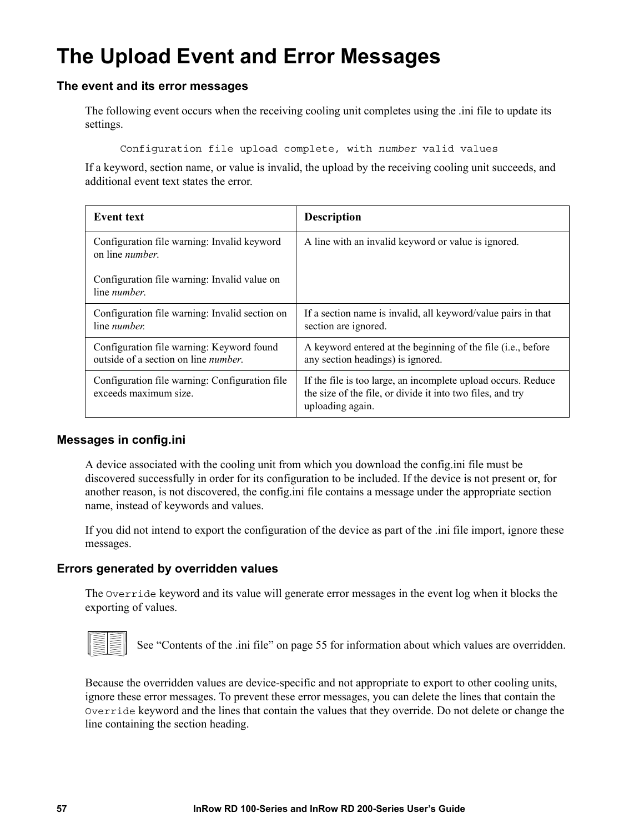# **The Upload Event and Error Messages**

#### **The event and its error messages**

The following event occurs when the receiving cooling unit completes using the .ini file to update its settings.

Configuration file upload complete, with *number* valid values

If a keyword, section name, or value is invalid, the upload by the receiving cooling unit succeeds, and additional event text states the error.

| <b>Event text</b>                                                                         | <b>Description</b>                                                                                                                              |
|-------------------------------------------------------------------------------------------|-------------------------------------------------------------------------------------------------------------------------------------------------|
| Configuration file warning: Invalid keyword<br>on line <i>number</i> .                    | A line with an invalid keyword or value is ignored.                                                                                             |
| Configuration file warning: Invalid value on<br>line <i>number</i> .                      |                                                                                                                                                 |
| Configuration file warning: Invalid section on<br>line <i>number</i> .                    | If a section name is invalid, all keyword/value pairs in that<br>section are ignored.                                                           |
| Configuration file warning: Keyword found<br>outside of a section on line <i>number</i> . | A keyword entered at the beginning of the file (i.e., before<br>any section headings) is ignored.                                               |
| Configuration file warning: Configuration file<br>exceeds maximum size.                   | If the file is too large, an incomplete upload occurs. Reduce<br>the size of the file, or divide it into two files, and try<br>uploading again. |

#### **Messages in config.ini**

A device associated with the cooling unit from which you download the config.ini file must be discovered successfully in order for its configuration to be included. If the device is not present or, for another reason, is not discovered, the config.ini file contains a message under the appropriate section name, instead of keywords and values.

If you did not intend to export the configuration of the device as part of the .ini file import, ignore these messages.

#### **Errors generated by overridden values**

The Override keyword and its value will generate error messages in the event log when it blocks the exporting of va[lues.](#page-61-1)



See "Contents of the .ini file" on page 55 for information about which values are overridden.

Because the overridden values are device-specific and not appropriate to export to other cooling units, ignore these error messages. To prevent these error messages, you can delete the lines that contain the Override keyword and the lines that contain the values that they override. Do not delete or change the line containing the section heading.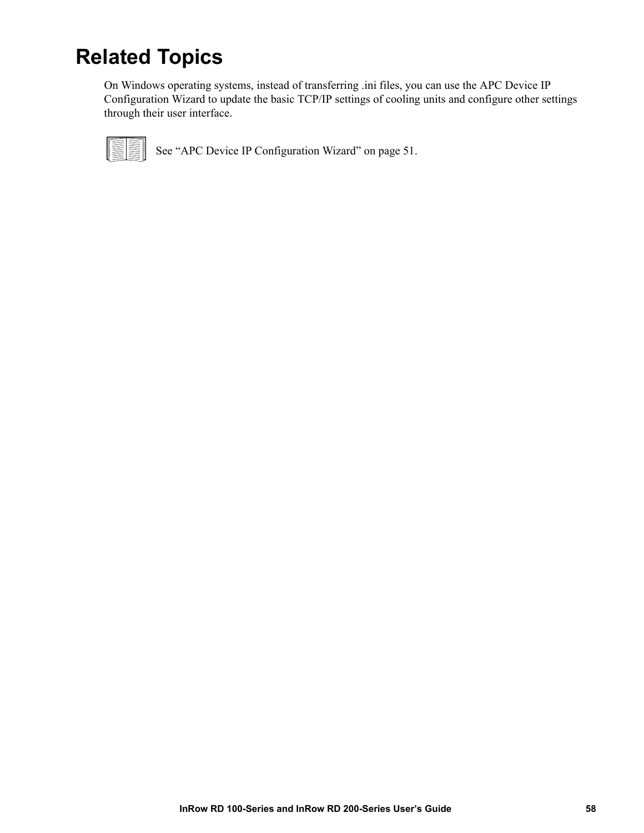# **Related Topics**

On Windows operating systems, instead of transferring .ini files, you can use the APC Device IP Configuration Wizard to update the basic TCP/IP settings of cooling units and configure other settings through their user interface.



See "APC Device IP Configuration Wizard" on page 51.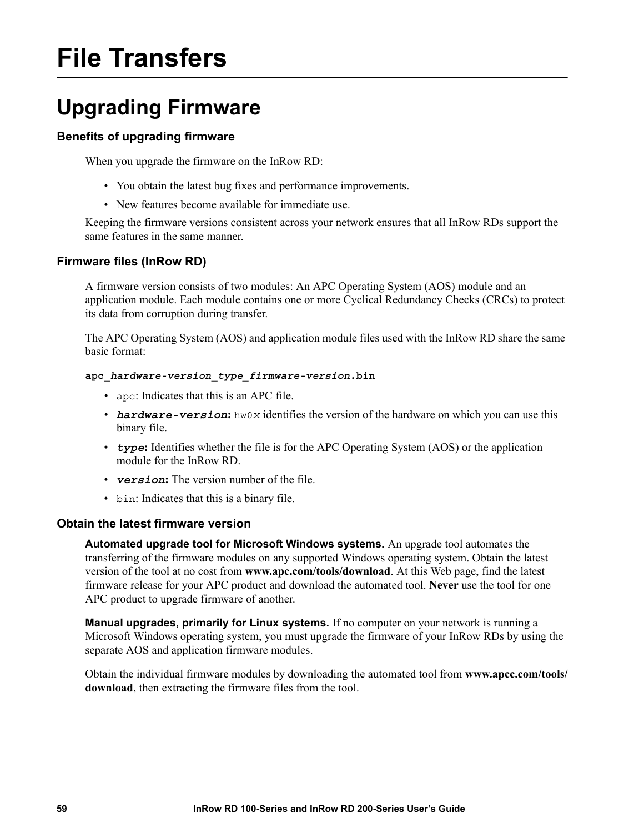# **File Transfers**

# **Upgrading Firmware**

#### **Benefits of upgrading firmware**

When you upgrade the firmware on the InRow RD:

- <span id="page-65-1"></span>• You obtain the latest bug fixes and performance improvements.
- New features become available for immediate use.

Keeping the firmware versions consistent across your network ensures that all InRow RDs support the same features in the same manner.

#### <span id="page-65-0"></span>**Firmware files (InRow RD)**

A firmware version consists of two modules: An APC Operating System (AOS) module and an application module. Each module contains one or more Cyclical Redundancy Checks (CRCs) to protect its data from corruption during transfer.

The APC Operating System (AOS) and application module files used with the InRow RD share the same basic format:

#### **apc\_***hardware-version***\_***type\_firmware-version***.bin**

- apc: Indicates that this is an APC file.
- *hardware-version*:  $h_{\text{W}}(x)$  identifies the version of the hardware on which you can use this binary file.
- *type***:** Identifies whether the file is for the APC Operating System (AOS) or the application module for the InRow RD.
- *version***:** The version number of the file.
- bin: Indicates that this is a binary file.

#### **Obtain the latest firmware version**

**Automated upgrade tool for M[icrosoft Windows systems.](http://www.apc.com/tools/download)** An upgrade tool automates the transferring of the firmware modules on any supported Windows operating system. Obtain the latest version of the tool at no cost from **www.apc.com/tools/download**. At this Web page, find the latest firmware release for your APC product and download the automated tool. **Never** use the tool for one APC product to upgrade firmware of another.

**Manual upgrades, primarily for Linux systems.** If no computer on your network is running a Microsoft Windows operating system, you must upgrade the firmware of your InRow RDs by using the separate AOS and application firmware modules.

[Obtain the](http://www.apc.com/tools/download) individual firmware modules by downloading the automated tool from **www.apcc.com/tools/ download**, then extracting the firmware files from the tool.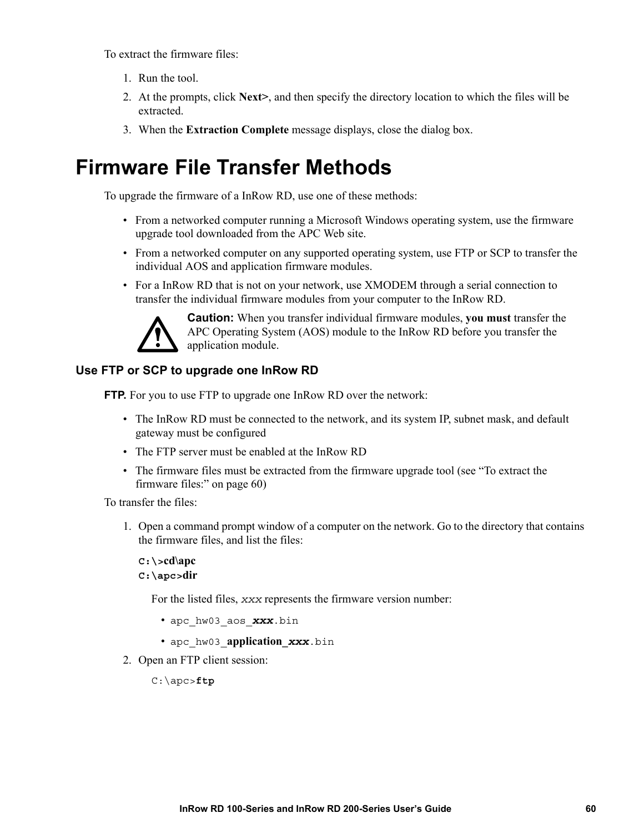<span id="page-66-0"></span>To extract the firmware files:

- 1. Run the tool.
- 2. At the prompts, click **Next>**, and then specify the directory location to which the files will be extracted.
- 3. When the **Extraction Complete** message displays, close the dialog box.

### **Firmware File Transfer Methods**

To upgrade the firmware of a InRow RD, use one of these methods:

- From a networked computer running a Microsoft Windows operating system, use the firmware upgrade tool downloaded from the APC Web site.
- From a networked computer on any supported operating system, use FTP or SCP to transfer the individual AOS and application firmware modules.
- For a InRow RD that is not on your network, use XMODEM through a serial connection to transfer the individual firmware modules from your computer to the InRow RD.

<span id="page-66-2"></span>

**Caution:** When you transfer individual firmware modules, **you must** transfer the APC Operating System (AOS) module to the InRow RD before you transfer the application module.

#### **Use FTP or SCP to upgrade one InRow RD**

FTP. For you to use FTP to upgrade one InRow RD over the network:

- The InRow RD must be connected to the network, and its system IP, subnet mask, and default gateway must be configured
- [The FTP server must be ena](#page-66-0)bled at the InRow RD
- The firmware files must be extracted from the firmware upgrade tool (see "To extract the firmware files:" on page 60)

To transfer the files:

1. Open a command prompt window of a computer on the network. Go to the directory that contains the firmware files, and list the files:

**C:\>cd\apc C:\apc>dir**

For the listed files, *xxx* represents the firmware version number:

- apc\_hw03\_aos\_*xxx*.bin
- apc\_hw03\_**application\_***xxx*.bin
- <span id="page-66-1"></span>2. Open an FTP client session:

C:\apc>**ftp**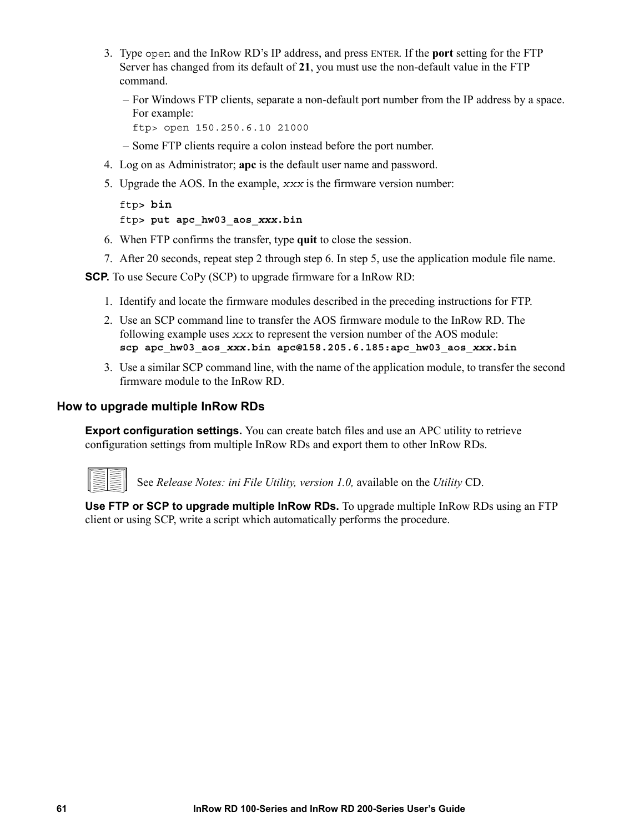- 3. Type open and the InRow RD's IP address, and press ENTER. If the **port** setting for the FTP Server has changed from its default of **21**, you must use the non-default value in the FTP command.
	- For Windows FTP clients, separate a non-default port number from the IP address by a space. For example:

ftp> open 150.250.6.10 21000

- Some FTP clients require a colon instead before the port number.
- 4. Log on as Administrator; **apc** is the default user name and password.
- 5. Upgrade the AOS. In the example, *xxx* is the firmware version number:

```
ftp> bin
ftp> put apc_hw03_aos_xxx.bin
```
- 6. When FTP confirms the [transfe](#page-66-1)r, type **quit** to close the session.
- 7. After 20 seconds, repeat step 2 through step 6. In step 5, use the application module file name.

**SCP.** To use Secure CoPy (SCP) to upgrade firmware for a InRow RD:

- 1. Identify and locate the firmware modules described in the preceding instructions for FTP.
- 2. Use an SCP command line to transfer the AOS firmware module to the InRow RD. The following example uses *xxx* to represent the version number of the AOS module: **scp apc\_hw03\_aos\_***xxx***.bin apc@158.205.6.185:apc\_hw03\_aos\_***xxx***.bin**
- 3. Use a similar SCP command line, with the name of the application module, to transfer the second firmware module to the InRow RD.

#### **How to upgrade multiple InRow RDs**

**Export configuration settings.** You can create batch files and use an APC utility to retrieve configuration settings from multiple InRow RDs and export them to other InRow RDs.



See *Release Notes: ini File Utility, version 1.0,* available on the *Utility* CD.

**Use FTP or SCP to upgrade multiple InRow RDs.** To upgrade multiple InRow RDs using an FTP client or using SCP, write a script which automatically performs the procedure.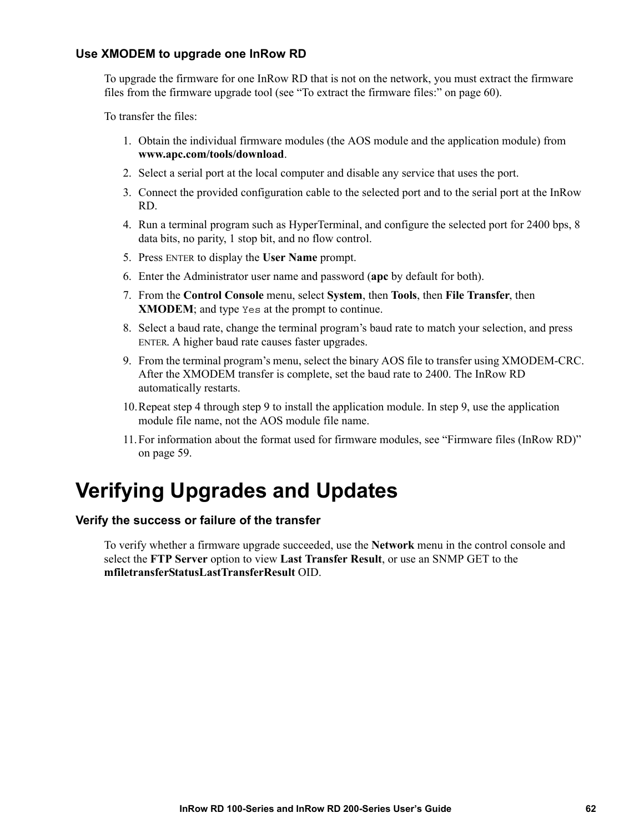#### <span id="page-68-2"></span>**Use XMODEM to upgrade one InRow RD**

To upgrade the firmware for one InRow [RD that is not on the network, you must extr](#page-66-0)act the firmware files from the firmware upgrade tool (see "To extract the firmware files:" on page 60).

To transfer the files:

- [1.](http://www.apc.com/tools/download) [Obtain the individual firmware](http://www.apc.com/tools/download) modules (the AOS module and the application module) from **www.apc.com/tools/download**.
- 2. Select a serial port at the local computer and disable any service that uses the port.
- <span id="page-68-0"></span>3. Connect the provided configuration cable to the selected port and to the serial port at the InRow RD.
- 4. Run a terminal program such as HyperTerminal, and configure the selected port for 2400 bps, 8 data bits, no parity, 1 stop bit, and no flow control.
- 5. Press ENTER to display the **User Name** prompt.
- 6. Enter the Administrator user name and password (**apc** by default for both).
- 7. From the **Control Console** menu, select **System**, then **Tools**, then **File Transfer**, then **XMODEM**; and type Yes at the prompt to continue.
- <span id="page-68-1"></span>8. Select a baud rate, change the terminal program's baud rate to match your selection, and press ENTER. A higher baud rate causes faster upgrades.
- 9. From the terminal program's menu, select the binary AOS file to transfer using XMODEM-CRC. After the XMODEM t[ransfe](#page-68-1)r is complete, set the baud rate to 24[00. Th](#page-68-1)e InRow RD automa[tically](#page-68-0) restarts.
- 10.Repeat step 4 through step 9 to install the application module. In [step 9, use the application](#page-65-0)  [module file](#page-65-0) name, not the AOS module file name.
- 11. For information about the format used for firmware modules, see "Firmware files (InRow RD)" on page 59.

## **Verifying Upgrades and Updates**

#### **Verify the success or failure of the transfer**

To verify whether a firmware upgrade succeeded, use the **Network** menu in the control console and select the **FTP Server** option to view **Last Transfer Result**, or use an SNMP GET to the **mfiletransferStatusLastTransferResult** OID.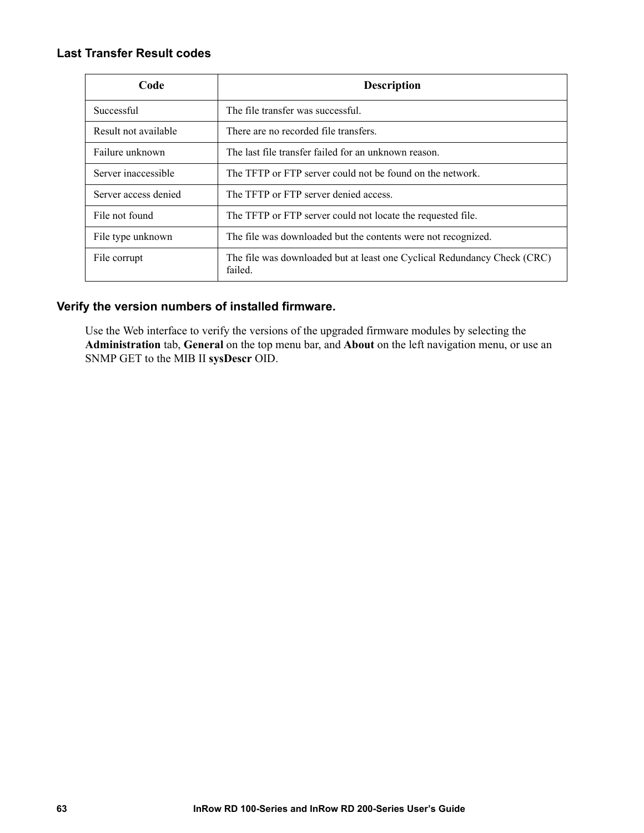#### **Last Transfer Result codes**

| Code                 | <b>Description</b>                                                                  |
|----------------------|-------------------------------------------------------------------------------------|
| Successful           | The file transfer was successful.                                                   |
| Result not available | There are no recorded file transfers.                                               |
| Failure unknown      | The last file transfer failed for an unknown reason.                                |
| Server inaccessible  | The TFTP or FTP server could not be found on the network.                           |
| Server access denied | The TFTP or FTP server denied access.                                               |
| File not found       | The TFTP or FTP server could not locate the requested file.                         |
| File type unknown    | The file was downloaded but the contents were not recognized.                       |
| File corrupt         | The file was downloaded but at least one Cyclical Redundancy Check (CRC)<br>failed. |

#### **Verify the version numbers of installed firmware.**

Use the Web interface to verify the versions of the upgraded firmware modules by selecting the **Administration** tab, **General** on the top menu bar, and **About** on the left navigation menu, or use an SNMP GET to the MIB II **sysDescr** OID.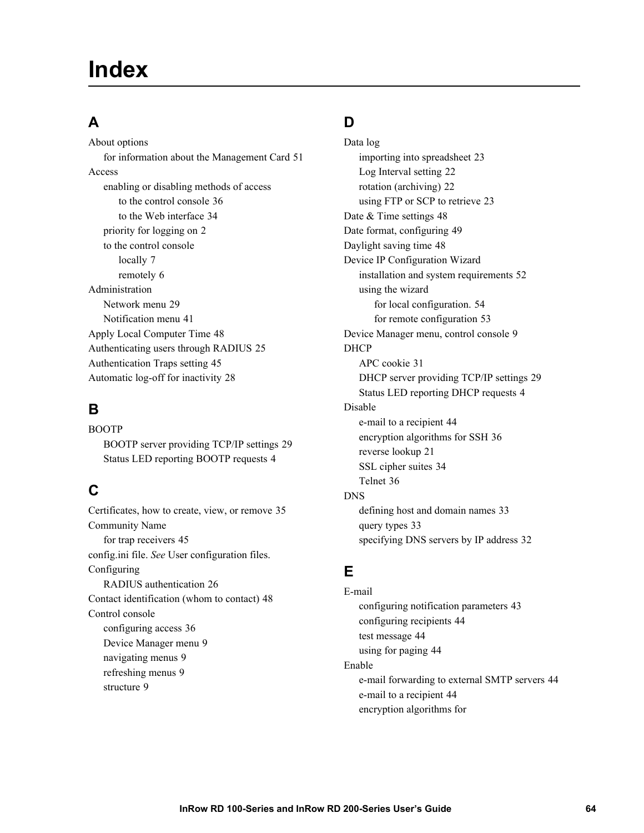### **Index**

### **A**

About options for information about the Management Card 51 Access enabling or disabling m[ethods of access](#page-40-0) to the control console [36](#page-8-0) to the Web interface 34 priority for [logging on](#page-13-0) 2 to the contro[l console](#page-12-0) locally 7 remotely 6 Administration Network menu 29 Notification menu 41 Apply Local Computer Time [48](#page-51-0) Authenticating users through R[ADIUS](#page-34-0) 25 Authentication Traps setting 45 Automatic log-off for inactivity 28

### **B**

BOOTP BOOTP server providing TCP/IP settings [29](#page-10-0) Status LED reporting BOOTP requests 4

### **C**

Certificates, how to c[reate, view, or remove](#page-51-1) 35 [Community Na](#page-61-2)me for trap receivers 45 config.ini file. *See* User con[figuration files.](#page-32-0) Configuring RADIUS authentication 26 Contact identification [\(whom to contact\)](#page-42-1) 48 Control console configuring access [36](#page-15-0) Device Manager [menu](#page-15-1) 9 navigatin[g menus](#page-15-2) 9 refreshing menus 9 structure 9

### **D**

Data log importing into spre[adsheet](#page-28-1) 23 Log Interval setting 22 rotation (archiving) [22](#page-54-0) using FTP or SCP to [retrieve](#page-55-0) 23 Date & Time settings [48](#page-54-1) Date format, configuring 49 Daylight saving time 48 Device IP Configuration Wizard installation and system req[uirements](#page-60-0) 52 using the wizard for local configuration. 5[4](#page-59-0) for remote configuration 53 Device Manage[r menu, control console](#page-37-0) 9 DHCP APC cookie 31 DHCP server providing TCP/IP settings [29](#page-10-1) Status LED reportin[g DHCP requests](#page-50-0) 4 Disable e-mail to a reci[pient](#page-27-1) 44 encryption algorit[hms for SSH](#page-40-1) 36 revers[e lookup](#page-42-2) 21 SSL cipher suites 34 Telnet 36 DNS defining ho[st and domain names](#page-39-0) 33 query types 33 specifying DNS servers by IP address 32

### **E**

E-mail configuring [notification parameters](#page-50-2) 43 configuring reci[pients](#page-50-3) 44 test message 44 using for paging 44 Enable e-mail forwarding to [external SMTP servers](#page-50-0) 44 e-mail to a recipient 44 encryption algorithms for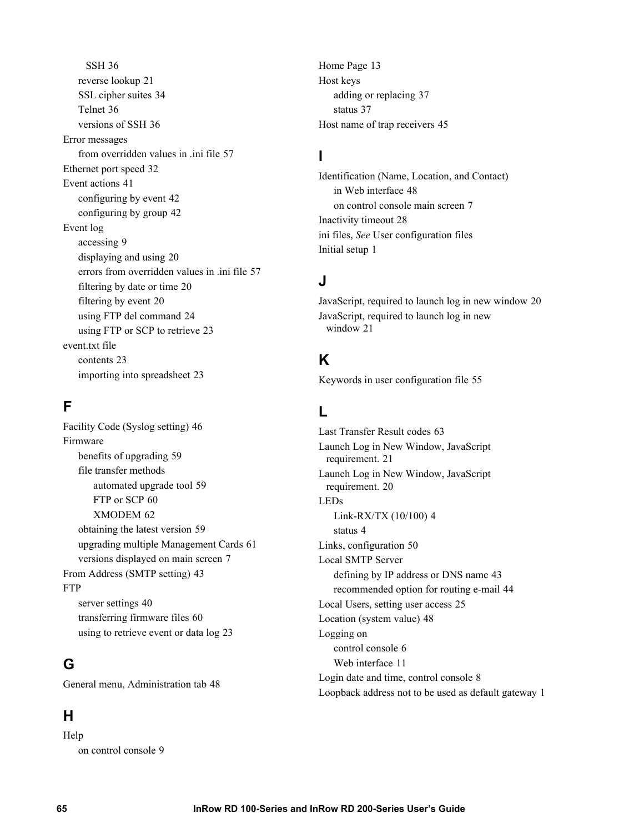SSH 36 revers[e lookup](#page-42-2) 21 SSL cipher suites [34](#page-42-2) Telnet 36 versions of SSH 36 Error messages from over[ridden values in .ini file](#page-47-0) 57 Ethernet port speed 32 Event actions 41 configuring by event [42](#page-48-0) configurin[g by group](#page-15-3) 42 Event log accessing 9 displaying and using 20 errors from overri[dden values in .ini file](#page-26-1) 57 filtering by date or time [20](#page-30-0) filtering by event 20 using FTP del command 24 using FT[P or SCP to retrieve](#page-29-0) 23 event.txt file contents 23 importing into spreadsheet 23

### **F**

Facility Code (Syslog set[ting\)](#page-65-1) 46 Firmware benefits of upgrading 59 file transfer met[hods](#page-66-2) automated [upgrade tool](#page-68-2) 59 FTP or SCP 60 XMODEM 62 obtaining the latest version 59 upgrading multiple Manag[ement Cards](#page-49-0) 61 versions displayed on main screen 7 From Address (S[MTP setting\)](#page-46-0) 43 **FTP** server settings 40 transferring firmware files 60 using to retrieve event or data log 23

### **G**

General menu, Administration tab 48

### **H**

Help on control console 9 Home Page 13 Host keys addin[g or replacing](#page-43-1) 37 status 37 Host name of trap receivers 45

### **I**

Identification (Name[, Location, an](#page-54-2)[d Contact\)](#page-13-2) in Web interface 48 [on co](#page-61-3)ntrol con[sole main screen](#page-34-0) 7 Inactivity ti[meout](#page-7-0) 28 ini files, *See* User configuration files Initial setup 1

### **J**

JavaScript[, required to launch log in new window](#page-27-2) 20 JavaScript, required to launch log in new window 21

### **K**

Keywords in user configuration file 55

### **L**

Last Transfer [Result codes](#page-27-2) 63 Launch Log in New Window, JavaScript requirement. [21](#page-26-2) Launch Log in New Window, JavaScript requirement. 20 LEDs Link-[RX/TX \(10/](#page-10-2)[100\)](#page-56-0) 4 status 4 Links, configuration 50 Local SMTP Server defining by IP address or D[NS name](#page-31-0) 43 recommended option [for routing e-mail](#page-54-2) 44 Local Users, setting user access 25 Location (system v[alue\)](#page-12-1) 48 Logging on control console [6](#page-17-0) Web interface 11 Login date and time, control console 8 Loopback address not to be used as default gateway 1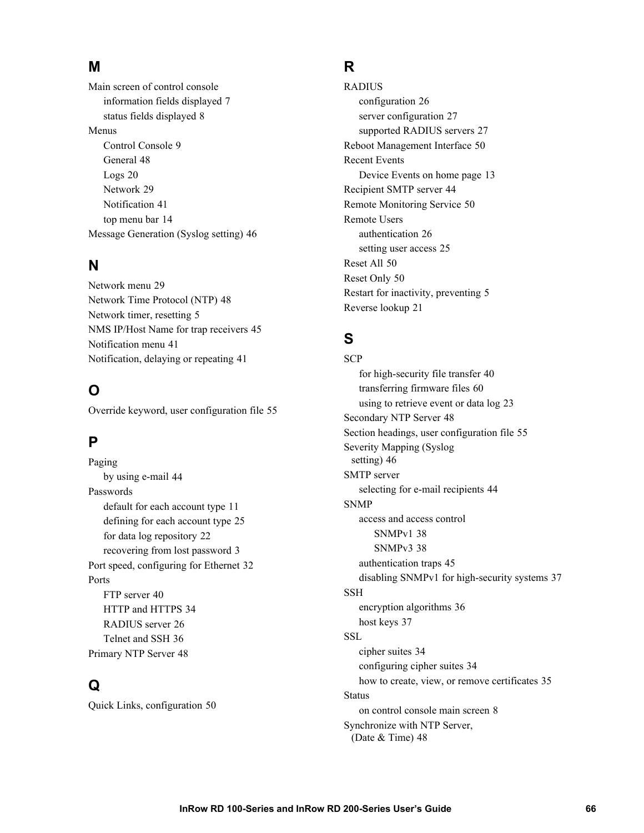#### **M**

Main screen of control co[nsole](#page-14-0) information fields displayed 7 status fields disp[layed](#page-15-0) 8 Menus Cont[rol Console](#page-26-0) 9 General [48](#page-35-0) Logs 20 Network 29 Notification [41](#page-20-0) top menu bar 14 Message Generation (Syslog setting) 46

#### **N**

Network menu 29 Network Time Protocol ([NTP\)](#page-11-0) 48 Network timer, res[etting](#page-47-0) 5 NMS IP/Host Name for trap receiv[ers](#page-47-1) 45 Notification menu 41 Notification, delaying or repeating 41

## **O**

Override keyword, user configuration file 55

## **P**

Paging by using e-mail 44 Passwords default for each accou[nt type](#page-28-0) 1[1](#page-31-0) defining for each account type [25](#page-9-0) for data log repository 22 recovering from lost password 3 Port speed, con[figuring for Ethernet](#page-46-0) 32 Ports FTP server 40 HTTP and HTTPS [34](#page-42-0) RADIUS server [26](#page-54-1) Telnet and SSH 36 Primary NTP Server 48

## **Q**

Quick Links, configuration 50

#### **R**

RADIUS configuration 26 server configuration 27 supported RADIUS servers [27](#page-56-0) Reboot Management Interface 5[0](#page-19-0) Recent Events Device Events on h[ome](#page-50-0) [page](#page-56-1) 13 Recipient SMTP server 44 Remote Monitori[ng Service](#page-32-1) 50 Remote Users authe[ntication](#page-56-2) 26 setting [user access](#page-56-3) 25 Reset All 50 Reset Only 50 Restart for inact[ivity, preventing](#page-27-0) 5 Reverse lookup 21

## **S**

**SCP** for high-security file transfer [40](#page-66-0) transferring firmwa[re files](#page-54-2) 60 using to retrieve event or data log 23 Secondary NTP Server 48 Section h[eadings, user configuration file](#page-52-0) 55 Severity Mapping (Syslog setting) 46 SMTP server selecting for e-mail recipients 44 SNMP access and ac[cess control](#page-44-1) SNMPv1 38 SNMPv3 38 authentication traps 45 disabling SNMPv1 for [high-security systems](#page-42-1) 37 SSH encryptio[n algorithms](#page-43-0) 36 host keys 37 SSL cipher suites 34 configuring cipher suites 34 how to create, view, or remove [certificates](#page-14-0) 35 **Status** on control co[nso](#page-54-3)le main screen 8 Synchronize with NTP Server, (Date & Time) 48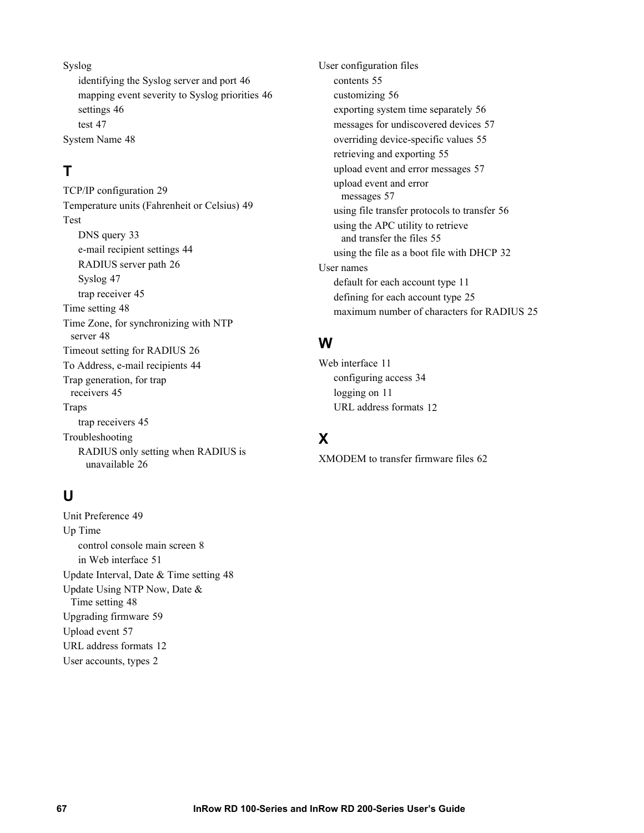Syslog identify[ing the Syslog server and port](#page-52-1) 46 ma[pping event severity to Syslog priorities](#page-53-0) 46 settings 46 test 47 System Name 48

## **T**

TCP/IP configuration 29 Temperature u[nits \(Fahrenheit or Celsius\)](#page-39-0) 49 Test DNS query 33 e-mail [recipient settings](#page-53-0) [44](#page-32-2) RADIUS ser[ver path](#page-51-0) 26 Syslog 47 trap recei[ver](#page-54-4) 45 Time set[ting](#page-54-5) 48 Time Zone, for synchronizing [with NTP](#page-32-3) server 48 Timeout setting for RADIUS [26](#page-50-1) To Addres[s, e-mail recipients](#page-51-1) 44 Trap generation, for trap receivers 45 Traps trap receivers 45 Troubleshooting RADIUS only setting when RADIUS is unavailable 26

## **U**

Unit Preference 49 Up Time control console [main screen](#page-57-0) 8 in Web interface 51 Update Interva[l, Date & Time setting](#page-54-6) 48 Update Using NTP [Now, Date &](#page-65-0)  Time setting [48](#page-63-0) Upgrading firmware [59](#page-18-0) Upload event 57 URL address formats [12](#page-8-0) User accounts, types 2

User config[urati](#page-61-0)[on files](#page-62-0) contents 55 customizing 56 exporting system time separately [56](#page-61-1) messages for undiscover[ed devices](#page-61-2) 57 overriding device-specific values [55](#page-63-2) retrieving and exporting 55 upload eve[nt and error messages](#page-63-0) 57 upload event and error messages 57 using file transfer prot[ocols to transfer](#page-61-3) 56 using the APC utility to retrieve and transfer the files 55 using the file as a boot file wi[th DHCP](#page-17-0) 32 User names default for each account type 1[1](#page-31-1) defining for each account type 25 maximum number of characters for RADIUS 25

#### **W**

Web interface [11](#page-17-1) configuring access 34 logging on 11 URL address formats 12

## **X**

XMODEM to transfer firmware files 62